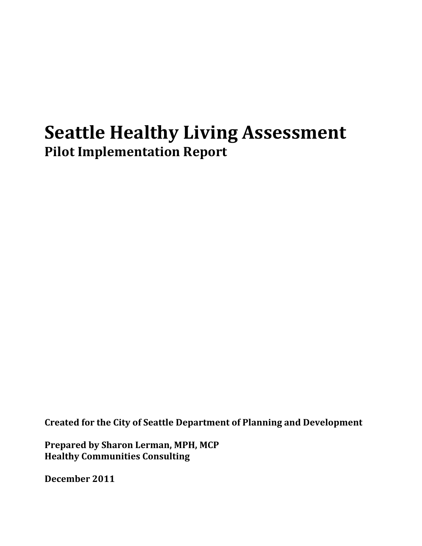# **Seattle Healthy Living Assessment Pilot Implementation Report**

**Created for the City of Seattle Department of Planning and Development**

**Prepared by Sharon Lerman, MPH, MCP Healthy Communities Consulting**

**December 2011**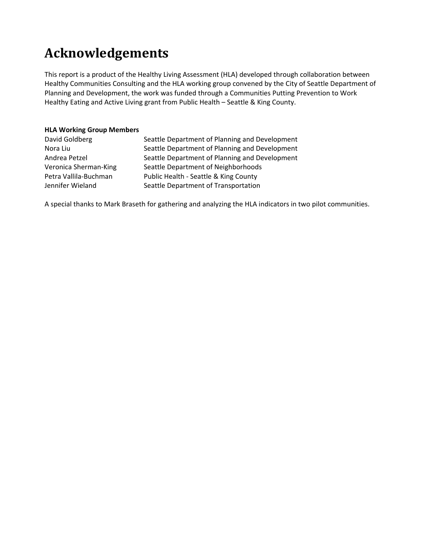# **Acknowledgements**

This report is a product of the Healthy Living Assessment (HLA) developed through collaboration between Healthy Communities Consulting and the HLA working group convened by the City of Seattle Department of Planning and Development, the work was funded through a Communities Putting Prevention to Work Healthy Eating and Active Living grant from Public Health – Seattle & King County.

#### **HLA Working Group Members**

| David Goldberg        | Seattle Department of Planning and Development |
|-----------------------|------------------------------------------------|
| Nora Liu              | Seattle Department of Planning and Development |
| Andrea Petzel         | Seattle Department of Planning and Development |
| Veronica Sherman-King | Seattle Department of Neighborhoods            |
| Petra Vallila-Buchman | Public Health - Seattle & King County          |
| Jennifer Wieland      | Seattle Department of Transportation           |

A special thanks to Mark Braseth for gathering and analyzing the HLA indicators in two pilot communities.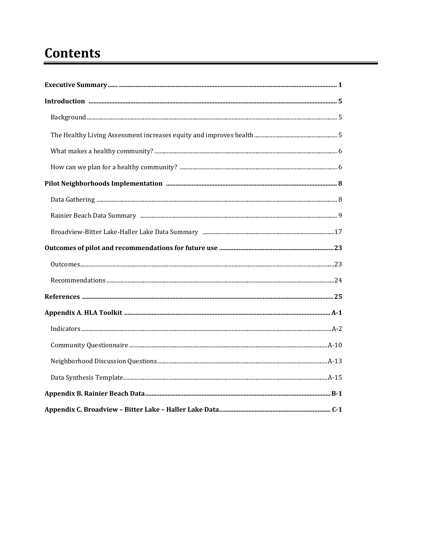# **Contents**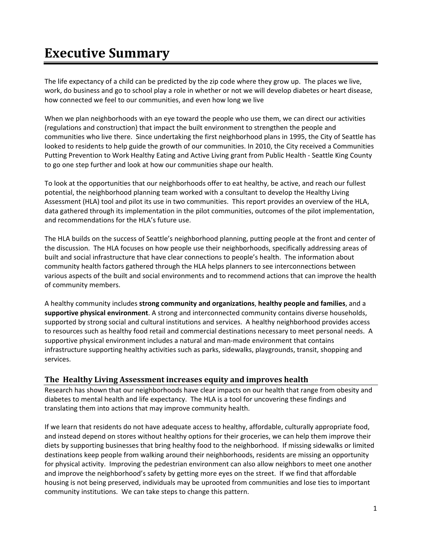# **Executive Summary**

The life expectancy of a child can be predicted by the zip code where they grow up. The places we live, work, do business and go to school play a role in whether or not we will develop diabetes or heart disease, how connected we feel to our communities, and even how long we live

When we plan neighborhoods with an eye toward the people who use them, we can direct our activities (regulations and construction) that impact the built environment to strengthen the people and communities who live there. Since undertaking the first neighborhood plans in 1995, the City of Seattle has looked to residents to help guide the growth of our communities. In 2010, the City received a Communities Putting Prevention to Work Healthy Eating and Active Living grant from Public Health ‐ Seattle King County to go one step further and look at how our communities shape our health.

To look at the opportunities that our neighborhoods offer to eat healthy, be active, and reach our fullest potential, the neighborhood planning team worked with a consultant to develop the Healthy Living Assessment (HLA) tool and pilot its use in two communities. This report provides an overview of the HLA, data gathered through its implementation in the pilot communities, outcomes of the pilot implementation, and recommendations for the HLA's future use.

The HLA builds on the success of Seattle's neighborhood planning, putting people at the front and center of the discussion. The HLA focuses on how people use their neighborhoods, specifically addressing areas of built and social infrastructure that have clear connections to people's health. The information about community health factors gathered through the HLA helps planners to see interconnections between various aspects of the built and social environments and to recommend actions that can improve the health of community members.

A healthy community includes **strong community and organizations**, **healthy people and families**, and a **supportive physical environment**. A strong and interconnected community contains diverse households, supported by strong social and cultural institutions and services. A healthy neighborhood provides access to resources such as healthy food retail and commercial destinations necessary to meet personal needs. A supportive physical environment includes a natural and man-made environment that contains infrastructure supporting healthy activities such as parks, sidewalks, playgrounds, transit, shopping and services.

#### **The Healthy Living Assessment increases equity and improves health**

Research has shown that our neighborhoods have clear impacts on our health that range from obesity and diabetes to mental health and life expectancy. The HLA is a tool for uncovering these findings and translating them into actions that may improve community health.

If we learn that residents do not have adequate access to healthy, affordable, culturally appropriate food, and instead depend on stores without healthy options for their groceries, we can help them improve their diets by supporting businesses that bring healthy food to the neighborhood. If missing sidewalks or limited destinations keep people from walking around their neighborhoods, residents are missing an opportunity for physical activity. Improving the pedestrian environment can also allow neighbors to meet one another and improve the neighborhood's safety by getting more eyes on the street. If we find that affordable housing is not being preserved, individuals may be uprooted from communities and lose ties to important community institutions. We can take steps to change this pattern.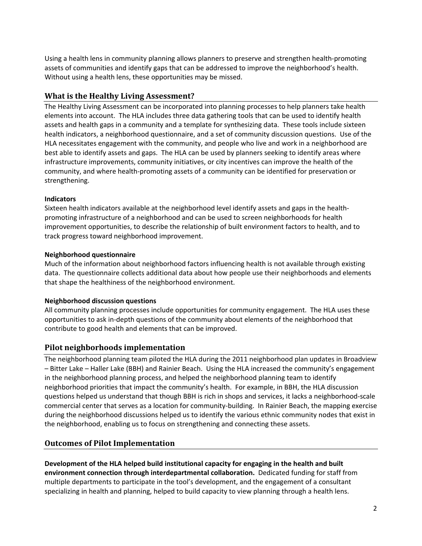Using a health lens in community planning allows planners to preserve and strengthen health‐promoting assets of communities and identify gaps that can be addressed to improve the neighborhood's health. Without using a health lens, these opportunities may be missed.

# **What is the Healthy Living Assessment?**

The Healthy Living Assessment can be incorporated into planning processes to help planners take health elements into account. The HLA includes three data gathering tools that can be used to identify health assets and health gaps in a community and a template for synthesizing data. These tools include sixteen health indicators, a neighborhood questionnaire, and a set of community discussion questions. Use of the HLA necessitates engagement with the community, and people who live and work in a neighborhood are best able to identify assets and gaps. The HLA can be used by planners seeking to identify areas where infrastructure improvements, community initiatives, or city incentives can improve the health of the community, and where health‐promoting assets of a community can be identified for preservation or strengthening.

### **Indicators**

Sixteen health indicators available at the neighborhood level identify assets and gaps in the health‐ promoting infrastructure of a neighborhood and can be used to screen neighborhoods for health improvement opportunities, to describe the relationship of built environment factors to health, and to track progress toward neighborhood improvement.

# **Neighborhood questionnaire**

Much of the information about neighborhood factors influencing health is not available through existing data. The questionnaire collects additional data about how people use their neighborhoods and elements that shape the healthiness of the neighborhood environment.

# **Neighborhood discussion questions**

All community planning processes include opportunities for community engagement. The HLA uses these opportunities to ask in‐depth questions of the community about elements of the neighborhood that contribute to good health and elements that can be improved.

# **Pilot neighborhoods implementation**

The neighborhood planning team piloted the HLA during the 2011 neighborhood plan updates in Broadview – Bitter Lake – Haller Lake (BBH) and Rainier Beach. Using the HLA increased the community's engagement in the neighborhood planning process, and helped the neighborhood planning team to identify neighborhood priorities that impact the community's health. For example, in BBH, the HLA discussion questions helped us understand that though BBH is rich in shops and services, it lacks a neighborhood‐scale commercial center that serves as a location for community‐building. In Rainier Beach, the mapping exercise during the neighborhood discussions helped us to identify the various ethnic community nodes that exist in the neighborhood, enabling us to focus on strengthening and connecting these assets.

# **Outcomes of Pilot Implementation**

**Development of the HLA helped build institutional capacity for engaging in the health and built environment connection through interdepartmental collaboration.** Dedicated funding for staff from multiple departments to participate in the tool's development, and the engagement of a consultant specializing in health and planning, helped to build capacity to view planning through a health lens.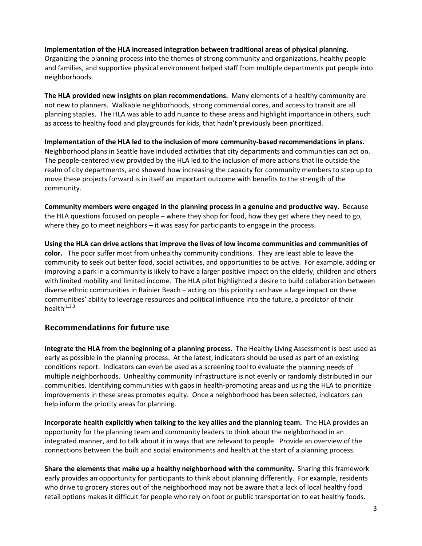#### **Implementation of the HLA increased integration between traditional areas of physical planning.**

Organizing the planning process into the themes of strong community and organizations, healthy people and families, and supportive physical environment helped staff from multiple departments put people into neighborhoods.

**The HLA provided new insights on plan recommendations.** Many elements of a healthy community are not new to planners. Walkable neighborhoods, strong commercial cores, and access to transit are all planning staples. The HLA was able to add nuance to these areas and highlight importance in others, such as access to healthy food and playgrounds for kids, that hadn't previously been prioritized.

**Implementation of the HLA led to the inclusion of more community‐based recommendations in plans.**  Neighborhood plans in Seattle have included activities that city departments and communities can act on. The people‐centered view provided by the HLA led to the inclusion of more actions that lie outside the realm of city departments, and showed how increasing the capacity for community members to step up to move these projects forward is in itself an important outcome with benefits to the strength of the community.

**Community members were engaged in the planning process in a genuine and productive way.** Because the HLA questions focused on people – where they shop for food, how they get where they need to go, where they go to meet neighbors – it was easy for participants to engage in the process.

**Using the HLA can drive actions that improve the lives of low income communities and communities of color.** The poor suffer most from unhealthy community conditions. They are least able to leave the community to seek out better food, social activities, and opportunities to be active. For example, adding or improving a park in a community is likely to have a larger positive impact on the elderly, children and others with limited mobility and limited income. The HLA pilot highlighted a desire to build collaboration between diverse ethnic communities in Rainier Beach – acting on this priority can have a large impact on these communities' ability to leverage resources and political influence into the future, a predictor of their health $^{1,2,3}$ 

#### **Recommendations for future use**

**Integrate the HLA from the beginning of a planning process.** The Healthy Living Assessment is best used as early as possible in the planning process. At the latest, indicators should be used as part of an existing conditions report. Indicators can even be used as a screening tool to evaluate the planning needs of multiple neighborhoods. Unhealthy community infrastructure is not evenly or randomly distributed in our communities. Identifying communities with gaps in health‐promoting areas and using the HLA to prioritize improvements in these areas promotes equity. Once a neighborhood has been selected, indicators can help inform the priority areas for planning.

**Incorporate health explicitly when talking to the key allies and the planning team.** The HLA provides an opportunity for the planning team and community leaders to think about the neighborhood in an integrated manner, and to talk about it in ways that are relevant to people. Provide an overview of the connections between the built and social environments and health at the start of a planning process.

**Share the elements that make up a healthy neighborhood with the community.** Sharing this framework early provides an opportunity for participants to think about planning differently. For example, residents who drive to grocery stores out of the neighborhood may not be aware that a lack of local healthy food retail options makes it difficult for people who rely on foot or public transportation to eat healthy foods.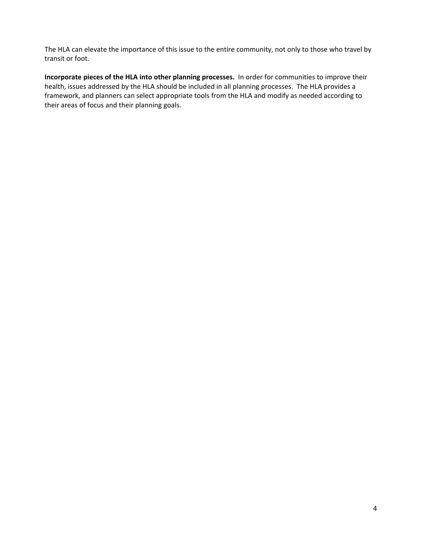The HLA can elevate the importance of this issue to the entire community, not only to those who travel by transit or foot.

**Incorporate pieces of the HLA into other planning processes.** In order for communities to improve their health, issues addressed by the HLA should be included in all planning processes. The HLA provides a framework, and planners can select appropriate tools from the HLA and modify as needed according to their areas of focus and their planning goals.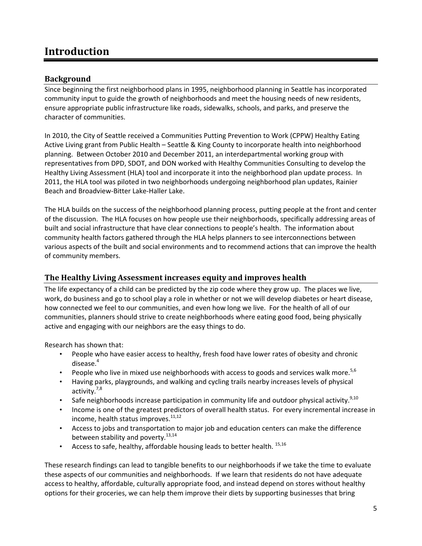# **Introduction**

# **Background**

Since beginning the first neighborhood plans in 1995, neighborhood planning in Seattle has incorporated community input to guide the growth of neighborhoods and meet the housing needs of new residents, ensure appropriate public infrastructure like roads, sidewalks, schools, and parks, and preserve the character of communities.

In 2010, the City of Seattle received a Communities Putting Prevention to Work (CPPW) Healthy Eating Active Living grant from Public Health – Seattle & King County to incorporate health into neighborhood planning. Between October 2010 and December 2011, an interdepartmental working group with representatives from DPD, SDOT, and DON worked with Healthy Communities Consulting to develop the Healthy Living Assessment (HLA) tool and incorporate it into the neighborhood plan update process. In 2011, the HLA tool was piloted in two neighborhoods undergoing neighborhood plan updates, Rainier Beach and Broadview‐Bitter Lake‐Haller Lake.

The HLA builds on the success of the neighborhood planning process, putting people at the front and center of the discussion. The HLA focuses on how people use their neighborhoods, specifically addressing areas of built and social infrastructure that have clear connections to people's health. The information about community health factors gathered through the HLA helps planners to see interconnections between various aspects of the built and social environments and to recommend actions that can improve the health of community members.

### **The Healthy Living Assessment increases equity and improves health**

The life expectancy of a child can be predicted by the zip code where they grow up. The places we live, work, do business and go to school play a role in whether or not we will develop diabetes or heart disease, how connected we feel to our communities, and even how long we live. For the health of all of our communities, planners should strive to create neighborhoods where eating good food, being physically active and engaging with our neighbors are the easy things to do.

Research has shown that:

- People who have easier access to healthy, fresh food have lower rates of obesity and chronic disease.<sup>4</sup>
- People who live in mixed use neighborhoods with access to goods and services walk more.<sup>5,6</sup>
- Having parks, playgrounds, and walking and cycling trails nearby increases levels of physical activity.<sup>7,8</sup>
- Safe neighborhoods increase participation in community life and outdoor physical activity.<sup>9,10</sup>
- Income is one of the greatest predictors of overall health status. For every incremental increase in income, health status improves.<sup>11,12</sup>
- Access to jobs and transportation to major job and education centers can make the difference between stability and poverty.<sup>13,14</sup>
- Access to safe, healthy, affordable housing leads to better health. 15,16

These research findings can lead to tangible benefits to our neighborhoods if we take the time to evaluate these aspects of our communities and neighborhoods. If we learn that residents do not have adequate access to healthy, affordable, culturally appropriate food, and instead depend on stores without healthy options for their groceries, we can help them improve their diets by supporting businesses that bring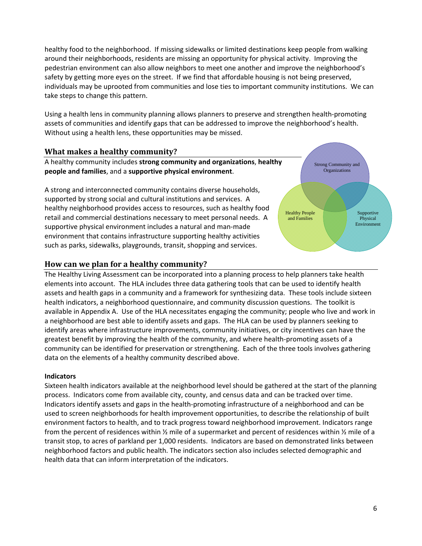healthy food to the neighborhood. If missing sidewalks or limited destinations keep people from walking around their neighborhoods, residents are missing an opportunity for physical activity. Improving the pedestrian environment can also allow neighbors to meet one another and improve the neighborhood's safety by getting more eyes on the street. If we find that affordable housing is not being preserved, individuals may be uprooted from communities and lose ties to important community institutions. We can take steps to change this pattern.

Using a health lens in community planning allows planners to preserve and strengthen health‐promoting assets of communities and identify gaps that can be addressed to improve the neighborhood's health. Without using a health lens, these opportunities may be missed.

#### **What makes a healthy community?**

A healthy community includes **strong community and organizations**, **healthy people and families**, and a **supportive physical environment**.

A strong and interconnected community contains diverse households, supported by strong social and cultural institutions and services. A healthy neighborhood provides access to resources, such as healthy food retail and commercial destinations necessary to meet personal needs. A supportive physical environment includes a natural and man-made environment that contains infrastructure supporting healthy activities such as parks, sidewalks, playgrounds, transit, shopping and services.



The Healthy Living Assessment can be incorporated into a planning process to help planners take health elements into account. The HLA includes three data gathering tools that can be used to identify health assets and health gaps in a community and a framework for synthesizing data. These tools include sixteen health indicators, a neighborhood questionnaire, and community discussion questions. The toolkit is available in Appendix A. Use of the HLA necessitates engaging the community; people who live and work in a neighborhood are best able to identify assets and gaps. The HLA can be used by planners seeking to identify areas where infrastructure improvements, community initiatives, or city incentives can have the greatest benefit by improving the health of the community, and where health‐promoting assets of a community can be identified for preservation or strengthening. Each of the three tools involves gathering data on the elements of a healthy community described above.

#### **Indicators**

Sixteen health indicators available at the neighborhood level should be gathered at the start of the planning process. Indicators come from available city, county, and census data and can be tracked over time. Indicators identify assets and gaps in the health‐promoting infrastructure of a neighborhood and can be used to screen neighborhoods for health improvement opportunities, to describe the relationship of built environment factors to health, and to track progress toward neighborhood improvement. Indicators range from the percent of residences within ½ mile of a supermarket and percent of residences within ½ mile of a transit stop, to acres of parkland per 1,000 residents. Indicators are based on demonstrated links between neighborhood factors and public health. The indicators section also includes selected demographic and health data that can inform interpretation of the indicators.

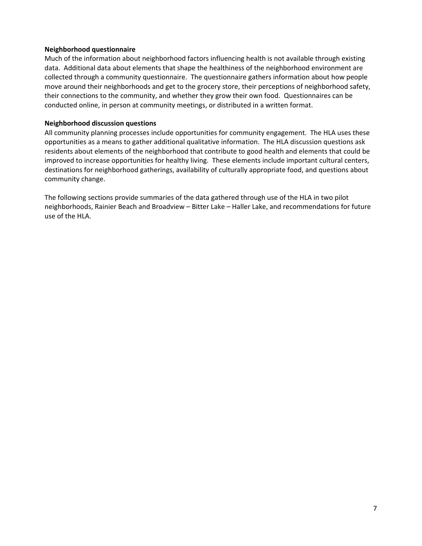#### **Neighborhood questionnaire**

Much of the information about neighborhood factors influencing health is not available through existing data. Additional data about elements that shape the healthiness of the neighborhood environment are collected through a community questionnaire. The questionnaire gathers information about how people move around their neighborhoods and get to the grocery store, their perceptions of neighborhood safety, their connections to the community, and whether they grow their own food. Questionnaires can be conducted online, in person at community meetings, or distributed in a written format.

#### **Neighborhood discussion questions**

All community planning processes include opportunities for community engagement. The HLA uses these opportunities as a means to gather additional qualitative information. The HLA discussion questions ask residents about elements of the neighborhood that contribute to good health and elements that could be improved to increase opportunities for healthy living. These elements include important cultural centers, destinations for neighborhood gatherings, availability of culturally appropriate food, and questions about community change.

The following sections provide summaries of the data gathered through use of the HLA in two pilot neighborhoods, Rainier Beach and Broadview – Bitter Lake – Haller Lake, and recommendations for future use of the HLA.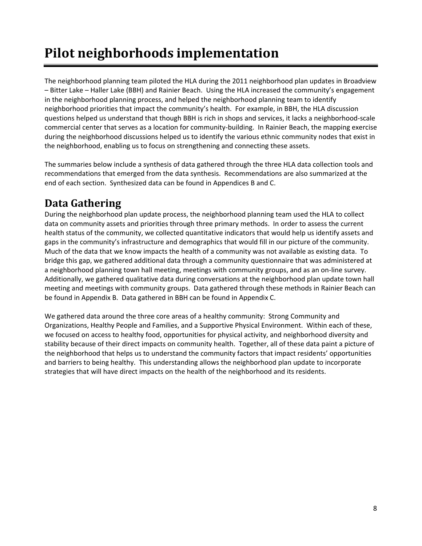# **Pilot neighborhoods implementation**

The neighborhood planning team piloted the HLA during the 2011 neighborhood plan updates in Broadview – Bitter Lake – Haller Lake (BBH) and Rainier Beach. Using the HLA increased the community's engagement in the neighborhood planning process, and helped the neighborhood planning team to identify neighborhood priorities that impact the community's health. For example, in BBH, the HLA discussion questions helped us understand that though BBH is rich in shops and services, it lacks a neighborhood‐scale commercial center that serves as a location for community‐building. In Rainier Beach, the mapping exercise during the neighborhood discussions helped us to identify the various ethnic community nodes that exist in the neighborhood, enabling us to focus on strengthening and connecting these assets.

The summaries below include a synthesis of data gathered through the three HLA data collection tools and recommendations that emerged from the data synthesis. Recommendations are also summarized at the end of each section. Synthesized data can be found in Appendices B and C.

# **Data Gathering**

During the neighborhood plan update process, the neighborhood planning team used the HLA to collect data on community assets and priorities through three primary methods. In order to assess the current health status of the community, we collected quantitative indicators that would help us identify assets and gaps in the community's infrastructure and demographics that would fill in our picture of the community. Much of the data that we know impacts the health of a community was not available as existing data. To bridge this gap, we gathered additional data through a community questionnaire that was administered at a neighborhood planning town hall meeting, meetings with community groups, and as an on‐line survey. Additionally, we gathered qualitative data during conversations at the neighborhood plan update town hall meeting and meetings with community groups. Data gathered through these methods in Rainier Beach can be found in Appendix B. Data gathered in BBH can be found in Appendix C.

We gathered data around the three core areas of a healthy community: Strong Community and Organizations, Healthy People and Families, and a Supportive Physical Environment. Within each of these, we focused on access to healthy food, opportunities for physical activity, and neighborhood diversity and stability because of their direct impacts on community health. Together, all of these data paint a picture of the neighborhood that helps us to understand the community factors that impact residents' opportunities and barriers to being healthy. This understanding allows the neighborhood plan update to incorporate strategies that will have direct impacts on the health of the neighborhood and its residents.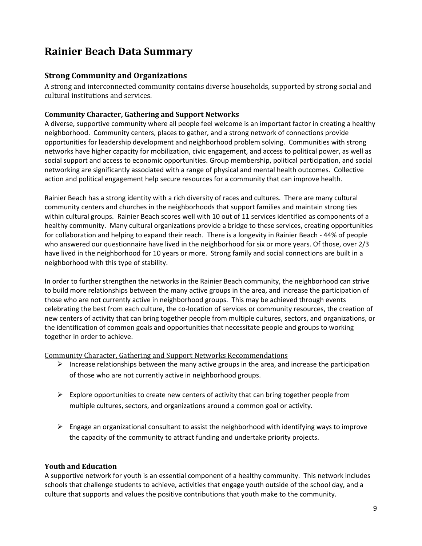# **Rainier Beach Data Summary**

# **Strong Community and Organizations**

A strong and interconnected community contains diverse households, supported by strong social and cultural institutions and services.

### **Community Character, Gathering and Support Networks**

A diverse, supportive community where all people feel welcome is an important factor in creating a healthy neighborhood. Community centers, places to gather, and a strong network of connections provide opportunities for leadership development and neighborhood problem solving. Communities with strong networks have higher capacity for mobilization, civic engagement, and access to political power, as well as social support and access to economic opportunities. Group membership, political participation, and social networking are significantly associated with a range of physical and mental health outcomes. Collective action and political engagement help secure resources for a community that can improve health.

Rainier Beach has a strong identity with a rich diversity of races and cultures. There are many cultural community centers and churches in the neighborhoods that support families and maintain strong ties within cultural groups. Rainier Beach scores well with 10 out of 11 services identified as components of a healthy community. Many cultural organizations provide a bridge to these services, creating opportunities for collaboration and helping to expand their reach. There is a longevity in Rainier Beach ‐ 44% of people who answered our questionnaire have lived in the neighborhood for six or more years. Of those, over 2/3 have lived in the neighborhood for 10 years or more. Strong family and social connections are built in a neighborhood with this type of stability.

In order to further strengthen the networks in the Rainier Beach community, the neighborhood can strive to build more relationships between the many active groups in the area, and increase the participation of those who are not currently active in neighborhood groups. This may be achieved through events celebrating the best from each culture, the co‐location of services or community resources, the creation of new centers of activity that can bring together people from multiple cultures, sectors, and organizations, or the identification of common goals and opportunities that necessitate people and groups to working together in order to achieve.

Community Character, Gathering and Support Networks Recommendations

- $\triangleright$  Increase relationships between the many active groups in the area, and increase the participation of those who are not currently active in neighborhood groups.
- $\triangleright$  Explore opportunities to create new centers of activity that can bring together people from multiple cultures, sectors, and organizations around a common goal or activity.
- $\triangleright$  Engage an organizational consultant to assist the neighborhood with identifying ways to improve the capacity of the community to attract funding and undertake priority projects.

#### **Youth and Education**

A supportive network for youth is an essential component of a healthy community. This network includes schools that challenge students to achieve, activities that engage youth outside of the school day, and a culture that supports and values the positive contributions that youth make to the community.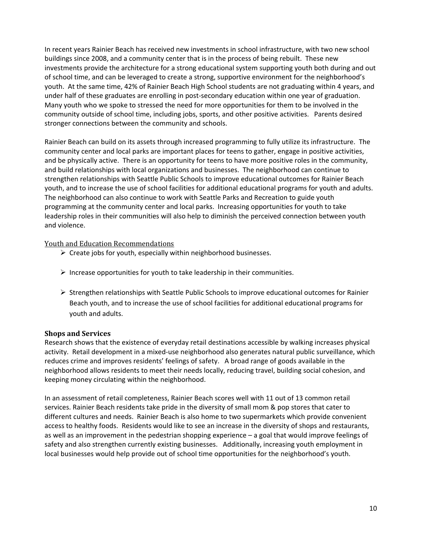In recent years Rainier Beach has received new investments in school infrastructure, with two new school buildings since 2008, and a community center that is in the process of being rebuilt. These new investments provide the architecture for a strong educational system supporting youth both during and out of school time, and can be leveraged to create a strong, supportive environment for the neighborhood's youth. At the same time, 42% of Rainier Beach High School students are not graduating within 4 years, and under half of these graduates are enrolling in post‐secondary education within one year of graduation. Many youth who we spoke to stressed the need for more opportunities for them to be involved in the community outside of school time, including jobs, sports, and other positive activities. Parents desired stronger connections between the community and schools.

Rainier Beach can build on its assets through increased programming to fully utilize its infrastructure. The community center and local parks are important places for teens to gather, engage in positive activities, and be physically active. There is an opportunity for teens to have more positive roles in the community, and build relationships with local organizations and businesses. The neighborhood can continue to strengthen relationships with Seattle Public Schools to improve educational outcomes for Rainier Beach youth, and to increase the use of school facilities for additional educational programs for youth and adults. The neighborhood can also continue to work with Seattle Parks and Recreation to guide youth programming at the community center and local parks. Increasing opportunities for youth to take leadership roles in their communities will also help to diminish the perceived connection between youth and violence.

#### Youth and Education Recommendations

- $\triangleright$  Create jobs for youth, especially within neighborhood businesses.
- $\triangleright$  Increase opportunities for youth to take leadership in their communities.
- $\triangleright$  Strengthen relationships with Seattle Public Schools to improve educational outcomes for Rainier Beach youth, and to increase the use of school facilities for additional educational programs for youth and adults.

#### **Shops and Services**

Research shows that the existence of everyday retail destinations accessible by walking increases physical activity. Retail development in a mixed-use neighborhood also generates natural public surveillance, which reduces crime and improves residents' feelings of safety. A broad range of goods available in the neighborhood allows residents to meet their needs locally, reducing travel, building social cohesion, and keeping money circulating within the neighborhood.

In an assessment of retail completeness, Rainier Beach scores well with 11 out of 13 common retail services. Rainier Beach residents take pride in the diversity of small mom & pop stores that cater to different cultures and needs. Rainier Beach is also home to two supermarkets which provide convenient access to healthy foods. Residents would like to see an increase in the diversity of shops and restaurants, as well as an improvement in the pedestrian shopping experience – a goal that would improve feelings of safety and also strengthen currently existing businesses. Additionally, increasing youth employment in local businesses would help provide out of school time opportunities for the neighborhood's youth.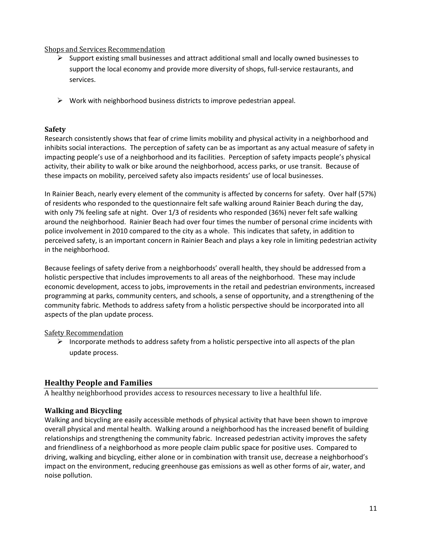#### Shops and Services Recommendation

- $\triangleright$  Support existing small businesses and attract additional small and locally owned businesses to support the local economy and provide more diversity of shops, full-service restaurants, and services.
- $\triangleright$  Work with neighborhood business districts to improve pedestrian appeal.

#### **Safety**

Research consistently shows that fear of crime limits mobility and physical activity in a neighborhood and inhibits social interactions. The perception of safety can be as important as any actual measure of safety in impacting people's use of a neighborhood and its facilities. Perception of safety impacts people's physical activity, their ability to walk or bike around the neighborhood, access parks, or use transit. Because of these impacts on mobility, perceived safety also impacts residents' use of local businesses.

In Rainier Beach, nearly every element of the community is affected by concerns for safety. Over half (57%) of residents who responded to the questionnaire felt safe walking around Rainier Beach during the day, with only 7% feeling safe at night. Over 1/3 of residents who responded (36%) never felt safe walking around the neighborhood. Rainier Beach had over four times the number of personal crime incidents with police involvement in 2010 compared to the city as a whole. This indicates that safety, in addition to perceived safety, is an important concern in Rainier Beach and plays a key role in limiting pedestrian activity in the neighborhood.

Because feelings of safety derive from a neighborhoods' overall health, they should be addressed from a holistic perspective that includes improvements to all areas of the neighborhood. These may include economic development, access to jobs, improvements in the retail and pedestrian environments, increased programming at parks, community centers, and schools, a sense of opportunity, and a strengthening of the community fabric. Methods to address safety from a holistic perspective should be incorporated into all aspects of the plan update process.

#### **Safety Recommendation**

 $\triangleright$  Incorporate methods to address safety from a holistic perspective into all aspects of the plan update process.

# **Healthy People and Families**

A healthy neighborhood provides access to resources necessary to live a healthful life.

#### **Walking and Bicycling**

Walking and bicycling are easily accessible methods of physical activity that have been shown to improve overall physical and mental health. Walking around a neighborhood has the increased benefit of building relationships and strengthening the community fabric. Increased pedestrian activity improves the safety and friendliness of a neighborhood as more people claim public space for positive uses. Compared to driving, walking and bicycling, either alone or in combination with transit use, decrease a neighborhood's impact on the environment, reducing greenhouse gas emissions as well as other forms of air, water, and noise pollution.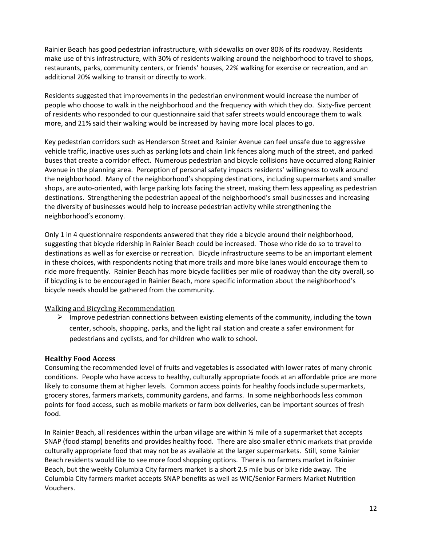Rainier Beach has good pedestrian infrastructure, with sidewalks on over 80% of its roadway. Residents make use of this infrastructure, with 30% of residents walking around the neighborhood to travel to shops, restaurants, parks, community centers, or friends' houses, 22% walking for exercise or recreation, and an additional 20% walking to transit or directly to work.

Residents suggested that improvements in the pedestrian environment would increase the number of people who choose to walk in the neighborhood and the frequency with which they do. Sixty‐five percent of residents who responded to our questionnaire said that safer streets would encourage them to walk more, and 21% said their walking would be increased by having more local places to go.

Key pedestrian corridors such as Henderson Street and Rainier Avenue can feel unsafe due to aggressive vehicle traffic, inactive uses such as parking lots and chain link fences along much of the street, and parked buses that create a corridor effect. Numerous pedestrian and bicycle collisions have occurred along Rainier Avenue in the planning area. Perception of personal safety impacts residents' willingness to walk around the neighborhood. Many of the neighborhood's shopping destinations, including supermarkets and smaller shops, are auto‐oriented, with large parking lots facing the street, making them less appealing as pedestrian destinations. Strengthening the pedestrian appeal of the neighborhood's small businesses and increasing the diversity of businesses would help to increase pedestrian activity while strengthening the neighborhood's economy.

Only 1 in 4 questionnaire respondents answered that they ride a bicycle around their neighborhood, suggesting that bicycle ridership in Rainier Beach could be increased. Those who ride do so to travel to destinations as well as for exercise or recreation. Bicycle infrastructure seems to be an important element in these choices, with respondents noting that more trails and more bike lanes would encourage them to ride more frequently. Rainier Beach has more bicycle facilities per mile of roadway than the city overall, so if bicycling is to be encouraged in Rainier Beach, more specific information about the neighborhood's bicycle needs should be gathered from the community.

#### Walking and Bicycling Recommendation

 $\triangleright$  Improve pedestrian connections between existing elements of the community, including the town center, schools, shopping, parks, and the light rail station and create a safer environment for pedestrians and cyclists, and for children who walk to school.

#### **Healthy Food Access**

Consuming the recommended level of fruits and vegetables is associated with lower rates of many chronic conditions. People who have access to healthy, culturally appropriate foods at an affordable price are more likely to consume them at higher levels. Common access points for healthy foods include supermarkets, grocery stores, farmers markets, community gardens, and farms. In some neighborhoods less common points for food access, such as mobile markets or farm box deliveries, can be important sources of fresh food.

In Rainier Beach, all residences within the urban village are within  $\frac{1}{2}$  mile of a supermarket that accepts SNAP (food stamp) benefits and provides healthy food. There are also smaller ethnic markets that provide culturally appropriate food that may not be as available at the larger supermarkets. Still, some Rainier Beach residents would like to see more food shopping options. There is no farmers market in Rainier Beach, but the weekly Columbia City farmers market is a short 2.5 mile bus or bike ride away. The Columbia City farmers market accepts SNAP benefits as well as WIC/Senior Farmers Market Nutrition Vouchers.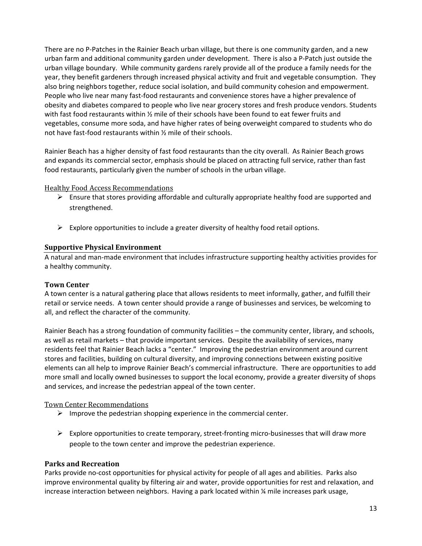There are no P‐Patches in the Rainier Beach urban village, but there is one community garden, and a new urban farm and additional community garden under development. There is also a P‐Patch just outside the urban village boundary. While community gardens rarely provide all of the produce a family needs for the year, they benefit gardeners through increased physical activity and fruit and vegetable consumption. They also bring neighbors together, reduce social isolation, and build community cohesion and empowerment. People who live near many fast‐food restaurants and convenience stores have a higher prevalence of obesity and diabetes compared to people who live near grocery stores and fresh produce vendors. Students with fast food restaurants within  $\frac{y}{x}$  mile of their schools have been found to eat fewer fruits and vegetables, consume more soda, and have higher rates of being overweight compared to students who do not have fast-food restaurants within % mile of their schools.

Rainier Beach has a higher density of fast food restaurants than the city overall. As Rainier Beach grows and expands its commercial sector, emphasis should be placed on attracting full service, rather than fast food restaurants, particularly given the number of schools in the urban village.

#### Healthy Food Access Recommendations

- $\triangleright$  Ensure that stores providing affordable and culturally appropriate healthy food are supported and strengthened.
- $\triangleright$  Explore opportunities to include a greater diversity of healthy food retail options.

#### **Supportive Physical Environment**

A natural and man‐made environment that includes infrastructure supporting healthy activities provides for a healthy community.

#### **Town Center**

A town center is a natural gathering place that allows residents to meet informally, gather, and fulfill their retail or service needs. A town center should provide a range of businesses and services, be welcoming to all, and reflect the character of the community.

Rainier Beach has a strong foundation of community facilities – the community center, library, and schools, as well as retail markets – that provide important services. Despite the availability of services, many residents feel that Rainier Beach lacks a "center." Improving the pedestrian environment around current stores and facilities, building on cultural diversity, and improving connections between existing positive elements can all help to improve Rainier Beach's commercial infrastructure. There are opportunities to add more small and locally owned businesses to support the local economy, provide a greater diversity of shops and services, and increase the pedestrian appeal of the town center.

#### Town Center Recommendations

- $\triangleright$  Improve the pedestrian shopping experience in the commercial center.
- $\triangleright$  Explore opportunities to create temporary, street-fronting micro-businesses that will draw more people to the town center and improve the pedestrian experience.

#### **Parks and Recreation**

Parks provide no‐cost opportunities for physical activity for people of all ages and abilities. Parks also improve environmental quality by filtering air and water, provide opportunities for rest and relaxation, and increase interaction between neighbors. Having a park located within  $\frac{1}{4}$  mile increases park usage,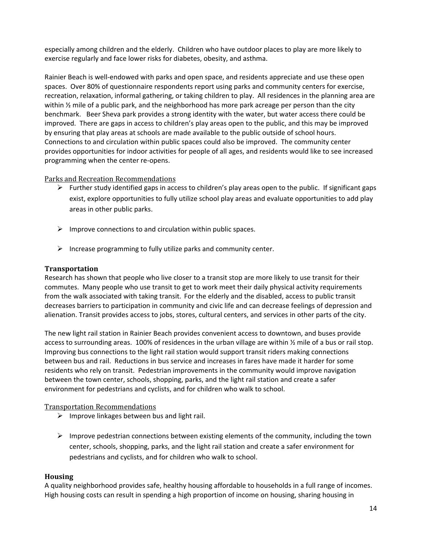especially among children and the elderly. Children who have outdoor places to play are more likely to exercise regularly and face lower risks for diabetes, obesity, and asthma.

Rainier Beach is well‐endowed with parks and open space, and residents appreciate and use these open spaces. Over 80% of questionnaire respondents report using parks and community centers for exercise, recreation, relaxation, informal gathering, or taking children to play. All residences in the planning area are within  $\frac{1}{2}$  mile of a public park, and the neighborhood has more park acreage per person than the city benchmark. Beer Sheva park provides a strong identity with the water, but water access there could be improved. There are gaps in access to children's play areas open to the public, and this may be improved by ensuring that play areas at schools are made available to the public outside of school hours. Connections to and circulation within public spaces could also be improved. The community center provides opportunities for indoor activities for people of all ages, and residents would like to see increased programming when the center re‐opens.

#### Parks and Recreation Recommendations

- $\triangleright$  Further study identified gaps in access to children's play areas open to the public. If significant gaps exist, explore opportunities to fully utilize school play areas and evaluate opportunities to add play areas in other public parks.
- $\triangleright$  Improve connections to and circulation within public spaces.
- $\triangleright$  Increase programming to fully utilize parks and community center.

### **Transportation**

Research has shown that people who live closer to a transit stop are more likely to use transit for their commutes. Many people who use transit to get to work meet their daily physical activity requirements from the walk associated with taking transit. For the elderly and the disabled, access to public transit decreases barriers to participation in community and civic life and can decrease feelings of depression and alienation. Transit provides access to jobs, stores, cultural centers, and services in other parts of the city.

The new light rail station in Rainier Beach provides convenient access to downtown, and buses provide access to surrounding areas. 100% of residences in the urban village are within ½ mile of a bus or rail stop. Improving bus connections to the light rail station would support transit riders making connections between bus and rail. Reductions in bus service and increases in fares have made it harder for some residents who rely on transit. Pedestrian improvements in the community would improve navigation between the town center, schools, shopping, parks, and the light rail station and create a safer environment for pedestrians and cyclists, and for children who walk to school.

#### **Transportation Recommendations**

- $\triangleright$  Improve linkages between bus and light rail.
- $\triangleright$  Improve pedestrian connections between existing elements of the community, including the town center, schools, shopping, parks, and the light rail station and create a safer environment for pedestrians and cyclists, and for children who walk to school.

#### **Housing**

A quality neighborhood provides safe, healthy housing affordable to households in a full range of incomes. High housing costs can result in spending a high proportion of income on housing, sharing housing in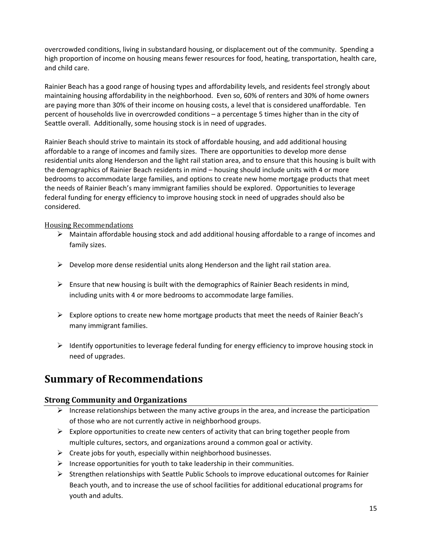overcrowded conditions, living in substandard housing, or displacement out of the community. Spending a high proportion of income on housing means fewer resources for food, heating, transportation, health care, and child care.

Rainier Beach has a good range of housing types and affordability levels, and residents feel strongly about maintaining housing affordability in the neighborhood. Even so, 60% of renters and 30% of home owners are paying more than 30% of their income on housing costs, a level that is considered unaffordable. Ten percent of households live in overcrowded conditions – a percentage 5 times higher than in the city of Seattle overall. Additionally, some housing stock is in need of upgrades.

Rainier Beach should strive to maintain its stock of affordable housing, and add additional housing affordable to a range of incomes and family sizes. There are opportunities to develop more dense residential units along Henderson and the light rail station area, and to ensure that this housing is built with the demographics of Rainier Beach residents in mind – housing should include units with 4 or more bedrooms to accommodate large families, and options to create new home mortgage products that meet the needs of Rainier Beach's many immigrant families should be explored. Opportunities to leverage federal funding for energy efficiency to improve housing stock in need of upgrades should also be considered.

#### Housing Recommendations

- $\triangleright$  Maintain affordable housing stock and add additional housing affordable to a range of incomes and family sizes.
- $\triangleright$  Develop more dense residential units along Henderson and the light rail station area.
- $\triangleright$  Ensure that new housing is built with the demographics of Rainier Beach residents in mind, including units with 4 or more bedrooms to accommodate large families.
- $\triangleright$  Explore options to create new home mortgage products that meet the needs of Rainier Beach's many immigrant families.
- $\triangleright$  Identify opportunities to leverage federal funding for energy efficiency to improve housing stock in need of upgrades.

# **Summary of Recommendations**

#### **Strong Community and Organizations**

- Increase relationships between the many active groups in the area, and increase the participation of those who are not currently active in neighborhood groups.
- $\triangleright$  Explore opportunities to create new centers of activity that can bring together people from multiple cultures, sectors, and organizations around a common goal or activity.
- $\triangleright$  Create jobs for youth, especially within neighborhood businesses.
- $\triangleright$  Increase opportunities for youth to take leadership in their communities.
- $\triangleright$  Strengthen relationships with Seattle Public Schools to improve educational outcomes for Rainier Beach youth, and to increase the use of school facilities for additional educational programs for youth and adults.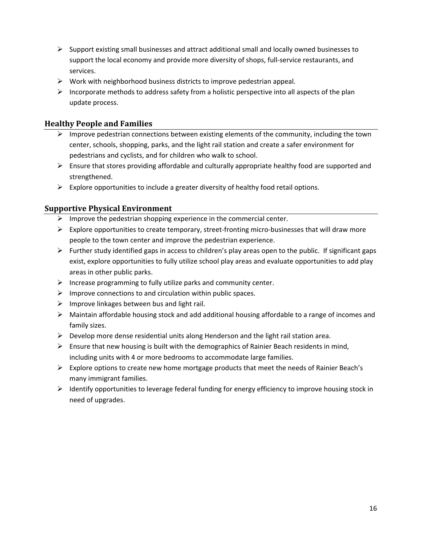- $\triangleright$  Support existing small businesses and attract additional small and locally owned businesses to support the local economy and provide more diversity of shops, full-service restaurants, and services.
- $\triangleright$  Work with neighborhood business districts to improve pedestrian appeal.
- $\triangleright$  Incorporate methods to address safety from a holistic perspective into all aspects of the plan update process.

# **Healthy People and Families**

- $\triangleright$  Improve pedestrian connections between existing elements of the community, including the town center, schools, shopping, parks, and the light rail station and create a safer environment for pedestrians and cyclists, and for children who walk to school.
- $\triangleright$  Ensure that stores providing affordable and culturally appropriate healthy food are supported and strengthened.
- $\triangleright$  Explore opportunities to include a greater diversity of healthy food retail options.

# **Supportive Physical Environment**

- $\triangleright$  Improve the pedestrian shopping experience in the commercial center.
- Explore opportunities to create temporary, street-fronting micro-businesses that will draw more people to the town center and improve the pedestrian experience.
- $\triangleright$  Further study identified gaps in access to children's play areas open to the public. If significant gaps exist, explore opportunities to fully utilize school play areas and evaluate opportunities to add play areas in other public parks.
- $\triangleright$  Increase programming to fully utilize parks and community center.
- $\triangleright$  Improve connections to and circulation within public spaces.
- $\triangleright$  Improve linkages between bus and light rail.
- $\triangleright$  Maintain affordable housing stock and add additional housing affordable to a range of incomes and family sizes.
- $\triangleright$  Develop more dense residential units along Henderson and the light rail station area.
- $\triangleright$  Ensure that new housing is built with the demographics of Rainier Beach residents in mind, including units with 4 or more bedrooms to accommodate large families.
- $\triangleright$  Explore options to create new home mortgage products that meet the needs of Rainier Beach's many immigrant families.
- $\triangleright$  Identify opportunities to leverage federal funding for energy efficiency to improve housing stock in need of upgrades.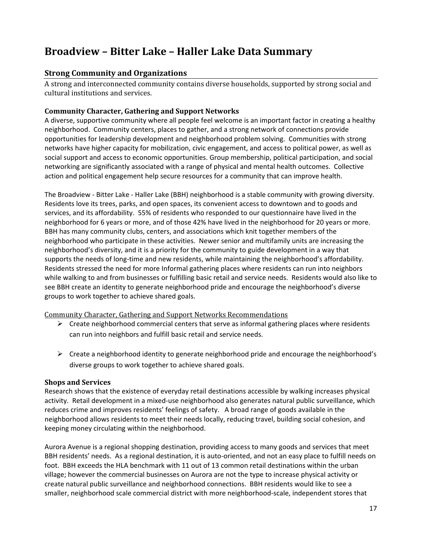# **Broadview – Bitter Lake – Haller Lake Data Summary**

### **Strong Community and Organizations**

A strong and interconnected community contains diverse households, supported by strong social and cultural institutions and services.

#### **Community Character, Gathering and Support Networks**

A diverse, supportive community where all people feel welcome is an important factor in creating a healthy neighborhood. Community centers, places to gather, and a strong network of connections provide opportunities for leadership development and neighborhood problem solving. Communities with strong networks have higher capacity for mobilization, civic engagement, and access to political power, as well as social support and access to economic opportunities. Group membership, political participation, and social networking are significantly associated with a range of physical and mental health outcomes. Collective action and political engagement help secure resources for a community that can improve health.

The Broadview ‐ Bitter Lake ‐ Haller Lake (BBH) neighborhood is a stable community with growing diversity. Residents love its trees, parks, and open spaces, its convenient access to downtown and to goods and services, and its affordability. 55% of residents who responded to our questionnaire have lived in the neighborhood for 6 years or more, and of those 42% have lived in the neighborhood for 20 years or more. BBH has many community clubs, centers, and associations which knit together members of the neighborhood who participate in these activities. Newer senior and multifamily units are increasing the neighborhood's diversity, and it is a priority for the community to guide development in a way that supports the needs of long-time and new residents, while maintaining the neighborhood's affordability. Residents stressed the need for more Informal gathering places where residents can run into neighbors while walking to and from businesses or fulfilling basic retail and service needs. Residents would also like to see BBH create an identity to generate neighborhood pride and encourage the neighborhood's diverse groups to work together to achieve shared goals.

#### Community Character, Gathering and Support Networks Recommendations

- $\triangleright$  Create neighborhood commercial centers that serve as informal gathering places where residents can run into neighbors and fulfill basic retail and service needs.
- $\triangleright$  Create a neighborhood identity to generate neighborhood pride and encourage the neighborhood's diverse groups to work together to achieve shared goals.

#### **Shops and Services**

Research shows that the existence of everyday retail destinations accessible by walking increases physical activity. Retail development in a mixed‐use neighborhood also generates natural public surveillance, which reduces crime and improves residents' feelings of safety. A broad range of goods available in the neighborhood allows residents to meet their needs locally, reducing travel, building social cohesion, and keeping money circulating within the neighborhood.

Aurora Avenue is a regional shopping destination, providing access to many goods and services that meet BBH residents' needs. As a regional destination, it is auto-oriented, and not an easy place to fulfill needs on foot. BBH exceeds the HLA benchmark with 11 out of 13 common retail destinations within the urban village; however the commercial businesses on Aurora are not the type to increase physical activity or create natural public surveillance and neighborhood connections. BBH residents would like to see a smaller, neighborhood scale commercial district with more neighborhood‐scale, independent stores that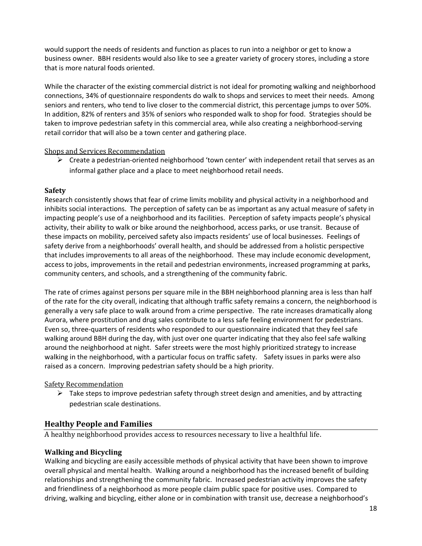would support the needs of residents and function as places to run into a neighbor or get to know a business owner. BBH residents would also like to see a greater variety of grocery stores, including a store that is more natural foods oriented.

While the character of the existing commercial district is not ideal for promoting walking and neighborhood connections, 34% of questionnaire respondents do walk to shops and services to meet their needs. Among seniors and renters, who tend to live closer to the commercial district, this percentage jumps to over 50%. In addition, 82% of renters and 35% of seniors who responded walk to shop for food. Strategies should be taken to improve pedestrian safety in this commercial area, while also creating a neighborhood‐serving retail corridor that will also be a town center and gathering place.

#### Shops and Services Recommendation

 $\triangleright$  Create a pedestrian-oriented neighborhood 'town center' with independent retail that serves as an informal gather place and a place to meet neighborhood retail needs.

#### **Safety**

Research consistently shows that fear of crime limits mobility and physical activity in a neighborhood and inhibits social interactions. The perception of safety can be as important as any actual measure of safety in impacting people's use of a neighborhood and its facilities. Perception of safety impacts people's physical activity, their ability to walk or bike around the neighborhood, access parks, or use transit. Because of these impacts on mobility, perceived safety also impacts residents' use of local businesses. Feelings of safety derive from a neighborhoods' overall health, and should be addressed from a holistic perspective that includes improvements to all areas of the neighborhood. These may include economic development, access to jobs, improvements in the retail and pedestrian environments, increased programming at parks, community centers, and schools, and a strengthening of the community fabric.

The rate of crimes against persons per square mile in the BBH neighborhood planning area is less than half of the rate for the city overall, indicating that although traffic safety remains a concern, the neighborhood is generally a very safe place to walk around from a crime perspective. The rate increases dramatically along Aurora, where prostitution and drug sales contribute to a less safe feeling environment for pedestrians. Even so, three‐quarters of residents who responded to our questionnaire indicated that they feel safe walking around BBH during the day, with just over one quarter indicating that they also feel safe walking around the neighborhood at night. Safer streets were the most highly prioritized strategy to increase walking in the neighborhood, with a particular focus on traffic safety. Safety issues in parks were also raised as a concern. Improving pedestrian safety should be a high priority.

#### **Safety Recommendation**

 $\triangleright$  Take steps to improve pedestrian safety through street design and amenities, and by attracting pedestrian scale destinations.

# **Healthy People and Families**

A healthy neighborhood provides access to resources necessary to live a healthful life.

#### **Walking and Bicycling**

Walking and bicycling are easily accessible methods of physical activity that have been shown to improve overall physical and mental health. Walking around a neighborhood has the increased benefit of building relationships and strengthening the community fabric. Increased pedestrian activity improves the safety and friendliness of a neighborhood as more people claim public space for positive uses. Compared to driving, walking and bicycling, either alone or in combination with transit use, decrease a neighborhood's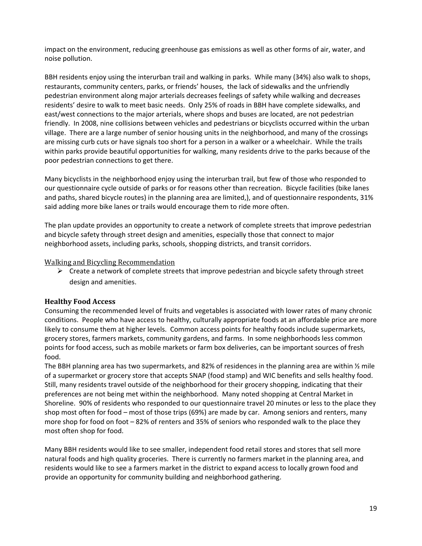impact on the environment, reducing greenhouse gas emissions as well as other forms of air, water, and noise pollution.

BBH residents enjoy using the interurban trail and walking in parks. While many (34%) also walk to shops, restaurants, community centers, parks, or friends' houses, the lack of sidewalks and the unfriendly pedestrian environment along major arterials decreases feelings of safety while walking and decreases residents' desire to walk to meet basic needs. Only 25% of roads in BBH have complete sidewalks, and east/west connections to the major arterials, where shops and buses are located, are not pedestrian friendly. In 2008, nine collisions between vehicles and pedestrians or bicyclists occurred within the urban village. There are a large number of senior housing units in the neighborhood, and many of the crossings are missing curb cuts or have signals too short for a person in a walker or a wheelchair. While the trails within parks provide beautiful opportunities for walking, many residents drive to the parks because of the poor pedestrian connections to get there.

Many bicyclists in the neighborhood enjoy using the interurban trail, but few of those who responded to our questionnaire cycle outside of parks or for reasons other than recreation. Bicycle facilities (bike lanes and paths, shared bicycle routes) in the planning area are limited,), and of questionnaire respondents, 31% said adding more bike lanes or trails would encourage them to ride more often.

The plan update provides an opportunity to create a network of complete streets that improve pedestrian and bicycle safety through street design and amenities, especially those that connect to major neighborhood assets, including parks, schools, shopping districts, and transit corridors.

#### Walking and Bicycling Recommendation

 $\triangleright$  Create a network of complete streets that improve pedestrian and bicycle safety through street design and amenities.

#### **Healthy Food Access**

Consuming the recommended level of fruits and vegetables is associated with lower rates of many chronic conditions. People who have access to healthy, culturally appropriate foods at an affordable price are more likely to consume them at higher levels. Common access points for healthy foods include supermarkets, grocery stores, farmers markets, community gardens, and farms. In some neighborhoods less common points for food access, such as mobile markets or farm box deliveries, can be important sources of fresh food.

The BBH planning area has two supermarkets, and 82% of residences in the planning area are within ½ mile of a supermarket or grocery store that accepts SNAP (food stamp) and WIC benefits and sells healthy food. Still, many residents travel outside of the neighborhood for their grocery shopping, indicating that their preferences are not being met within the neighborhood. Many noted shopping at Central Market in Shoreline. 90% of residents who responded to our questionnaire travel 20 minutes or less to the place they shop most often for food – most of those trips (69%) are made by car. Among seniors and renters, many more shop for food on foot – 82% of renters and 35% of seniors who responded walk to the place they most often shop for food.

Many BBH residents would like to see smaller, independent food retail stores and stores that sell more natural foods and high quality groceries. There is currently no farmers market in the planning area, and residents would like to see a farmers market in the district to expand access to locally grown food and provide an opportunity for community building and neighborhood gathering.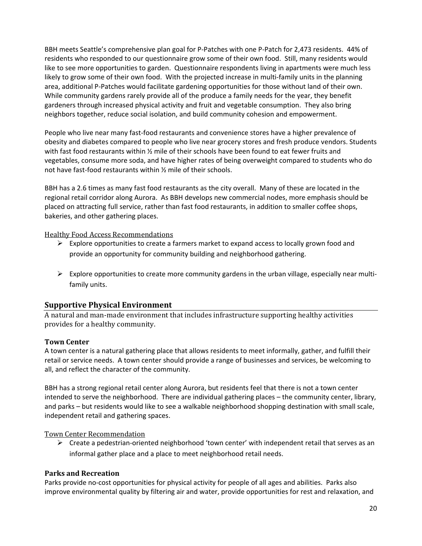BBH meets Seattle's comprehensive plan goal for P‐Patches with one P‐Patch for 2,473 residents. 44% of residents who responded to our questionnaire grow some of their own food. Still, many residents would like to see more opportunities to garden. Questionnaire respondents living in apartments were much less likely to grow some of their own food. With the projected increase in multi-family units in the planning area, additional P‐Patches would facilitate gardening opportunities for those without land of their own. While community gardens rarely provide all of the produce a family needs for the year, they benefit gardeners through increased physical activity and fruit and vegetable consumption. They also bring neighbors together, reduce social isolation, and build community cohesion and empowerment.

People who live near many fast‐food restaurants and convenience stores have a higher prevalence of obesity and diabetes compared to people who live near grocery stores and fresh produce vendors. Students with fast food restaurants within  $\frac{1}{2}$  mile of their schools have been found to eat fewer fruits and vegetables, consume more soda, and have higher rates of being overweight compared to students who do not have fast‐food restaurants within ½ mile of their schools.

BBH has a 2.6 times as many fast food restaurants as the city overall. Many of these are located in the regional retail corridor along Aurora. As BBH develops new commercial nodes, more emphasis should be placed on attracting full service, rather than fast food restaurants, in addition to smaller coffee shops, bakeries, and other gathering places.

#### Healthy Food Access Recommendations

- $\triangleright$  Explore opportunities to create a farmers market to expand access to locally grown food and provide an opportunity for community building and neighborhood gathering.
- $\triangleright$  Explore opportunities to create more community gardens in the urban village, especially near multifamily units.

#### **Supportive Physical Environment**

A natural and man-made environment that includes infrastructure supporting healthy activities provides for a healthy community.

#### **Town Center**

A town center is a natural gathering place that allows residents to meet informally, gather, and fulfill their retail or service needs. A town center should provide a range of businesses and services, be welcoming to all, and reflect the character of the community.

BBH has a strong regional retail center along Aurora, but residents feel that there is not a town center intended to serve the neighborhood. There are individual gathering places – the community center, library, and parks – but residents would like to see a walkable neighborhood shopping destination with small scale, independent retail and gathering spaces.

Town Center Recommendation 

 $\triangleright$  Create a pedestrian-oriented neighborhood 'town center' with independent retail that serves as an informal gather place and a place to meet neighborhood retail needs.

#### **Parks and Recreation**

Parks provide no‐cost opportunities for physical activity for people of all ages and abilities. Parks also improve environmental quality by filtering air and water, provide opportunities for rest and relaxation, and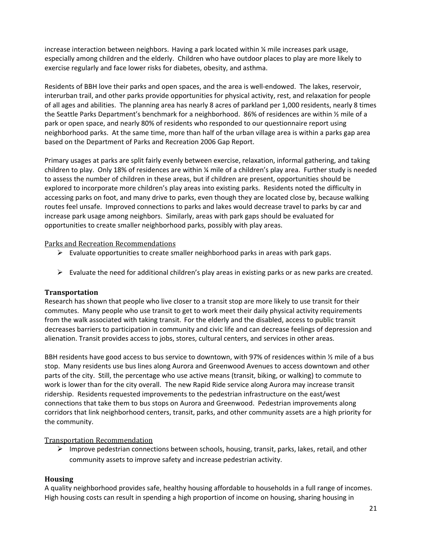increase interaction between neighbors. Having a park located within  $\chi$  mile increases park usage, especially among children and the elderly. Children who have outdoor places to play are more likely to exercise regularly and face lower risks for diabetes, obesity, and asthma.

Residents of BBH love their parks and open spaces, and the area is well-endowed. The lakes, reservoir, interurban trail, and other parks provide opportunities for physical activity, rest, and relaxation for people of all ages and abilities. The planning area has nearly 8 acres of parkland per 1,000 residents, nearly 8 times the Seattle Parks Department's benchmark for a neighborhood. 86% of residences are within ½ mile of a park or open space, and nearly 80% of residents who responded to our questionnaire report using neighborhood parks. At the same time, more than half of the urban village area is within a parks gap area based on the Department of Parks and Recreation 2006 Gap Report.

Primary usages at parks are split fairly evenly between exercise, relaxation, informal gathering, and taking children to play. Only 18% of residences are within ¼ mile of a children's play area. Further study is needed to assess the number of children in these areas, but if children are present, opportunities should be explored to incorporate more children's play areas into existing parks. Residents noted the difficulty in accessing parks on foot, and many drive to parks, even though they are located close by, because walking routes feel unsafe. Improved connections to parks and lakes would decrease travel to parks by car and increase park usage among neighbors. Similarly, areas with park gaps should be evaluated for opportunities to create smaller neighborhood parks, possibly with play areas.

#### Parks and Recreation Recommendations

- $\triangleright$  Evaluate opportunities to create smaller neighborhood parks in areas with park gaps.
- $\triangleright$  Evaluate the need for additional children's play areas in existing parks or as new parks are created.

#### **Transportation**

Research has shown that people who live closer to a transit stop are more likely to use transit for their commutes. Many people who use transit to get to work meet their daily physical activity requirements from the walk associated with taking transit. For the elderly and the disabled, access to public transit decreases barriers to participation in community and civic life and can decrease feelings of depression and alienation. Transit provides access to jobs, stores, cultural centers, and services in other areas.

BBH residents have good access to bus service to downtown, with 97% of residences within 1/2 mile of a bus stop. Many residents use bus lines along Aurora and Greenwood Avenues to access downtown and other parts of the city. Still, the percentage who use active means (transit, biking, or walking) to commute to work is lower than for the city overall. The new Rapid Ride service along Aurora may increase transit ridership. Residents requested improvements to the pedestrian infrastructure on the east/west connections that take them to bus stops on Aurora and Greenwood. Pedestrian improvements along corridors that link neighborhood centers, transit, parks, and other community assets are a high priority for the community.

#### Transportation Recommendation

 $\triangleright$  Improve pedestrian connections between schools, housing, transit, parks, lakes, retail, and other community assets to improve safety and increase pedestrian activity.

# **Housing**

A quality neighborhood provides safe, healthy housing affordable to households in a full range of incomes. High housing costs can result in spending a high proportion of income on housing, sharing housing in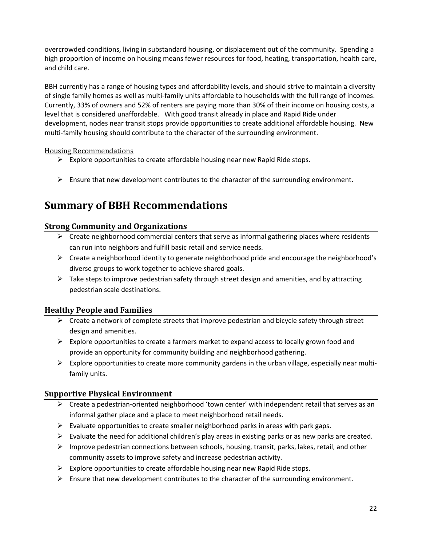overcrowded conditions, living in substandard housing, or displacement out of the community. Spending a high proportion of income on housing means fewer resources for food, heating, transportation, health care, and child care.

BBH currently has a range of housing types and affordability levels, and should strive to maintain a diversity of single family homes as well as multi‐family units affordable to households with the full range of incomes. Currently, 33% of owners and 52% of renters are paying more than 30% of their income on housing costs, a level that is considered unaffordable. With good transit already in place and Rapid Ride under development, nodes near transit stops provide opportunities to create additional affordable housing. New multi-family housing should contribute to the character of the surrounding environment.

### Housing Recommendations

- $\triangleright$  Explore opportunities to create affordable housing near new Rapid Ride stops.
- $\triangleright$  Ensure that new development contributes to the character of the surrounding environment.

# **Summary of BBH Recommendations**

# **Strong Community and Organizations**

- $\triangleright$  Create neighborhood commercial centers that serve as informal gathering places where residents can run into neighbors and fulfill basic retail and service needs.
- $\triangleright$  Create a neighborhood identity to generate neighborhood pride and encourage the neighborhood's diverse groups to work together to achieve shared goals.
- $\triangleright$  Take steps to improve pedestrian safety through street design and amenities, and by attracting pedestrian scale destinations.

# **Healthy People and Families**

- $\triangleright$  Create a network of complete streets that improve pedestrian and bicycle safety through street design and amenities.
- $\triangleright$  Explore opportunities to create a farmers market to expand access to locally grown food and provide an opportunity for community building and neighborhood gathering.
- Explore opportunities to create more community gardens in the urban village, especially near multifamily units.

# **Supportive Physical Environment**

- $\triangleright$  Create a pedestrian-oriented neighborhood 'town center' with independent retail that serves as an informal gather place and a place to meet neighborhood retail needs.
- $\triangleright$  Evaluate opportunities to create smaller neighborhood parks in areas with park gaps.
- $\triangleright$  Evaluate the need for additional children's play areas in existing parks or as new parks are created.
- $\triangleright$  Improve pedestrian connections between schools, housing, transit, parks, lakes, retail, and other community assets to improve safety and increase pedestrian activity.
- $\triangleright$  Explore opportunities to create affordable housing near new Rapid Ride stops.
- $\triangleright$  Ensure that new development contributes to the character of the surrounding environment.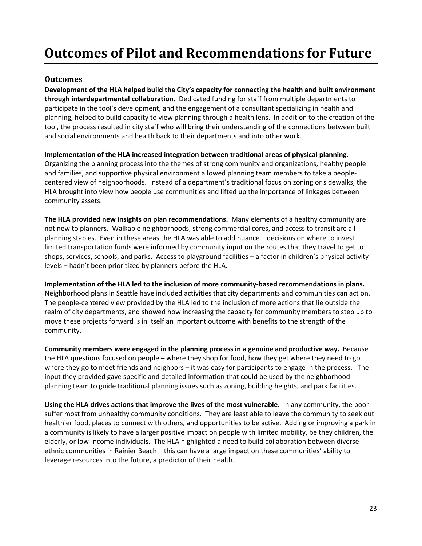# **Outcomes of Pilot and Recommendations for Future**

### **Outcomes**

**Development of the HLA helped build the City's capacity for connecting the health and built environment through interdepartmental collaboration.** Dedicated funding for staff from multiple departments to participate in the tool's development, and the engagement of a consultant specializing in health and planning, helped to build capacity to view planning through a health lens. In addition to the creation of the tool, the process resulted in city staff who will bring their understanding of the connections between built and social environments and health back to their departments and into other work.

**Implementation of the HLA increased integration between traditional areas of physical planning.**  Organizing the planning process into the themes of strong community and organizations, healthy people and families, and supportive physical environment allowed planning team members to take a people‐ centered view of neighborhoods. Instead of a department's traditional focus on zoning or sidewalks, the HLA brought into view how people use communities and lifted up the importance of linkages between community assets.

**The HLA provided new insights on plan recommendations.** Many elements of a healthy community are not new to planners. Walkable neighborhoods, strong commercial cores, and access to transit are all planning staples. Even in these areas the HLA was able to add nuance – decisions on where to invest limited transportation funds were informed by community input on the routes that they travel to get to shops, services, schools, and parks. Access to playground facilities – a factor in children's physical activity levels – hadn't been prioritized by planners before the HLA.

**Implementation of the HLA led to the inclusion of more community‐based recommendations in plans.**  Neighborhood plans in Seattle have included activities that city departments and communities can act on. The people‐centered view provided by the HLA led to the inclusion of more actions that lie outside the realm of city departments, and showed how increasing the capacity for community members to step up to move these projects forward is in itself an important outcome with benefits to the strength of the community.

**Community members were engaged in the planning process in a genuine and productive way.** Because the HLA questions focused on people – where they shop for food, how they get where they need to go, where they go to meet friends and neighbors – it was easy for participants to engage in the process. The input they provided gave specific and detailed information that could be used by the neighborhood planning team to guide traditional planning issues such as zoning, building heights, and park facilities.

**Using the HLA drives actions that improve the lives of the most vulnerable.** In any community, the poor suffer most from unhealthy community conditions. They are least able to leave the community to seek out healthier food, places to connect with others, and opportunities to be active. Adding or improving a park in a community is likely to have a larger positive impact on people with limited mobility, be they children, the elderly, or low‐income individuals. The HLA highlighted a need to build collaboration between diverse ethnic communities in Rainier Beach – this can have a large impact on these communities' ability to leverage resources into the future, a predictor of their health.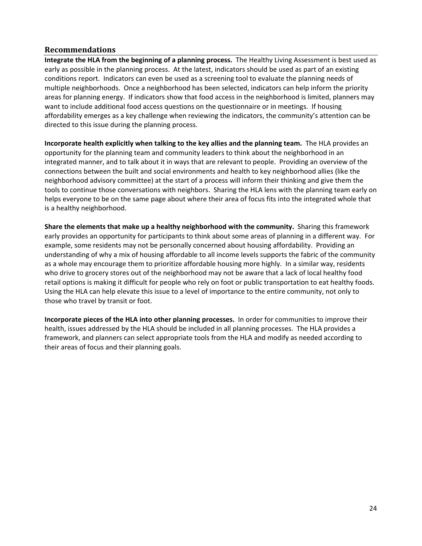#### **Recommendations**

**Integrate the HLA from the beginning of a planning process.** The Healthy Living Assessment is best used as early as possible in the planning process. At the latest, indicators should be used as part of an existing conditions report. Indicators can even be used as a screening tool to evaluate the planning needs of multiple neighborhoods. Once a neighborhood has been selected, indicators can help inform the priority areas for planning energy. If indicators show that food access in the neighborhood is limited, planners may want to include additional food access questions on the questionnaire or in meetings. If housing affordability emerges as a key challenge when reviewing the indicators, the community's attention can be directed to this issue during the planning process.

**Incorporate health explicitly when talking to the key allies and the planning team.** The HLA provides an opportunity for the planning team and community leaders to think about the neighborhood in an integrated manner, and to talk about it in ways that are relevant to people. Providing an overview of the connections between the built and social environments and health to key neighborhood allies (like the neighborhood advisory committee) at the start of a process will inform their thinking and give them the tools to continue those conversations with neighbors. Sharing the HLA lens with the planning team early on helps everyone to be on the same page about where their area of focus fits into the integrated whole that is a healthy neighborhood.

**Share the elements that make up a healthy neighborhood with the community.** Sharing this framework early provides an opportunity for participants to think about some areas of planning in a different way. For example, some residents may not be personally concerned about housing affordability. Providing an understanding of why a mix of housing affordable to all income levels supports the fabric of the community as a whole may encourage them to prioritize affordable housing more highly. In a similar way, residents who drive to grocery stores out of the neighborhood may not be aware that a lack of local healthy food retail options is making it difficult for people who rely on foot or public transportation to eat healthy foods. Using the HLA can help elevate this issue to a level of importance to the entire community, not only to those who travel by transit or foot.

**Incorporate pieces of the HLA into other planning processes.** In order for communities to improve their health, issues addressed by the HLA should be included in all planning processes. The HLA provides a framework, and planners can select appropriate tools from the HLA and modify as needed according to their areas of focus and their planning goals.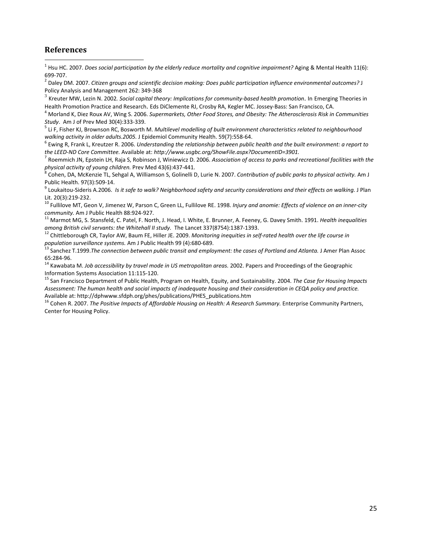#### **References**

 $\overline{a}$ 

<sup>1</sup> Hsu HC. 2007. *Does social participation by the elderly reduce mortality and cognitive impairment?* Aging & Mental Health 11(6):

<sup>699</sup>‐707. <sup>2</sup> Daley DM. 2007. *Citizen groups and scientific decision making: Does public participation influence environmental outcomes?* <sup>J</sup> Policy Analysis and Management 262: 349-368<br><sup>3</sup> Kreuter MW, Lezin N. 2002. Social capital theory: Implications for community-based health promotion. In Emerging Theories in

Health Promotion Practice and Research. Eds DiClemente RJ, Crosby RA, Kegler MC. Jossey-Bass: San Francisco, CA.<br><sup>4</sup> Morland K, Diez Roux AV, Wing S. 2006. Supermarkets, Other Food Stores, and Obesity: The Atherosclerosis

Study. Am J of Prev Med 30(4):333-339.<br><sup>5</sup> Li F, Fisher KJ, Brownson RC, Bosworth M. *Multilevel modelling of built environment characteristics related to neighbourhood* 

walking activity in older adults.2005. J Epidemiol Community Health. 59(7):558-64.<br><sup>6</sup> Ewing R, Frank L, Kreutzer R. 2006. Understanding the relationship between public health and the built environment: a report to

the LEED-ND Core Committee. Available at: http://www.usgbc.org/ShowFile.aspx?DocumentID=3901.<br><sup>7</sup> Roemmich JN, Epstein LH, Raja S, Robinson J, Winiewicz D. 2006. Association of access to parks and recreational facilities w

physical activity of young children. Prev Med 43(6):437-441.<br><sup>8</sup> Cohen, DA, McKenzie TL, Sehgal A, Williamson S, Golinelli D, Lurie N. 2007. Contribution of public parks to physical activity. Am J

Public Health. 97(3):509-14.<br><sup>9</sup> Loukaitou-Sideris A.2006. *Is it safe to walk? Neighborhood safety and security considerations and their effects on walking. J Plan* 

Lit. 20(3):219-232.<br><sup>10</sup> Fullilove MT, Geon V, Jimenez W, Parson C, Green LL, Fullilove RE. 1998. *Injury and anomie: Effects of violence on an inner-city* 

community. Am J Public Health 88:924-927.<br><sup>11</sup> Marmot MG, S. Stansfeld, C. Patel, F. North, J. Head, I. White, E. Brunner, A. Feeney, G. Davey Smith. 1991. *Health inequalities* 

among British civil servants: the Whitehall II study. The Lancet 337(8754):1387-1393.<br><sup>12</sup> Chittleborough CR, Taylor AW, Baum FE, Hiller JE. 2009. Monitoring inequities in self-rated health over the life course in

population surveillance systems. Am J Public Health 99 (4):680-689.<br><sup>13</sup> Sanchez T.1999.*The connection between public transit and employment: the cases of Portland and Atlanta. J Amer Plan Assoc<br>65:284-96.* 

65:284‐96. <sup>14</sup> Kawabata M. *Job accessibility by travel mode in US metropolitan areas.* 2002. Papers and Proceedings of the Geographic Information Systems Association 11:115‐120. <sup>15</sup> San Francisco Department of Public Health, Program on Health, Equity, and Sustainability. 2004. *The Case for Housing Impacts*

Assessment: The human health and social impacts of inadequate housing and their consideration in CEQA policy and practice. Available at: http://dphwww.sfdph.org/phes/publications/PHES\_publications.htm<br><sup>16</sup> Cohen R. 2007. The Positive Impacts of Affordable Housing on Health: A Research Summary. Enterprise Community Partners,

Center for Housing Policy.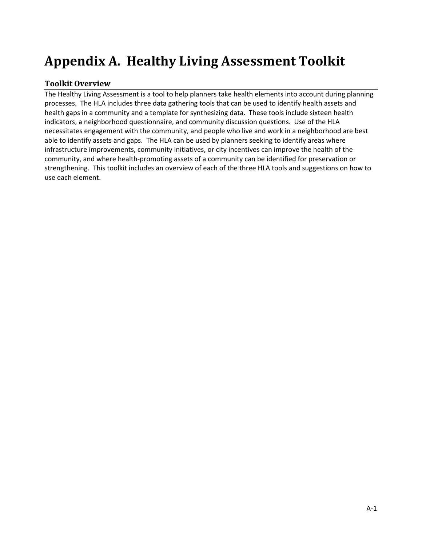# **Appendix A. Healthy Living Assessment Toolkit**

# **Toolkit Overview**

The Healthy Living Assessment is a tool to help planners take health elements into account during planning processes. The HLA includes three data gathering tools that can be used to identify health assets and health gaps in a community and a template for synthesizing data. These tools include sixteen health indicators, a neighborhood questionnaire, and community discussion questions. Use of the HLA necessitates engagement with the community, and people who live and work in a neighborhood are best able to identify assets and gaps. The HLA can be used by planners seeking to identify areas where infrastructure improvements, community initiatives, or city incentives can improve the health of the community, and where health‐promoting assets of a community can be identified for preservation or strengthening. This toolkit includes an overview of each of the three HLA tools and suggestions on how to use each element.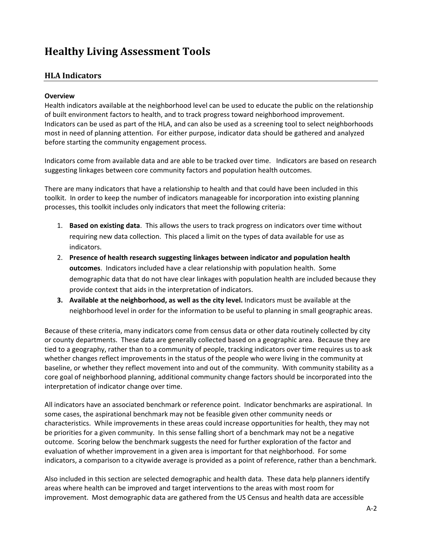# **Healthy Living Assessment Tools**

# **HLA Indicators**

#### **Overview**

Health indicators available at the neighborhood level can be used to educate the public on the relationship of built environment factors to health, and to track progress toward neighborhood improvement. Indicators can be used as part of the HLA, and can also be used as a screening tool to select neighborhoods most in need of planning attention. For either purpose, indicator data should be gathered and analyzed before starting the community engagement process.

Indicators come from available data and are able to be tracked over time. Indicators are based on research suggesting linkages between core community factors and population health outcomes.

There are many indicators that have a relationship to health and that could have been included in this toolkit. In order to keep the number of indicators manageable for incorporation into existing planning processes, this toolkit includes only indicators that meet the following criteria:

- 1. **Based on existing data**. This allows the users to track progress on indicators over time without requiring new data collection. This placed a limit on the types of data available for use as indicators.
- 2. **Presence of health research suggesting linkages between indicator and population health outcomes**. Indicators included have a clear relationship with population health. Some demographic data that do not have clear linkages with population health are included because they provide context that aids in the interpretation of indicators.
- **3. Available at the neighborhood, as well as the city level.** Indicators must be available at the neighborhood level in order for the information to be useful to planning in small geographic areas.

Because of these criteria, many indicators come from census data or other data routinely collected by city or county departments. These data are generally collected based on a geographic area. Because they are tied to a geography, rather than to a community of people, tracking indicators over time requires us to ask whether changes reflect improvements in the status of the people who were living in the community at baseline, or whether they reflect movement into and out of the community. With community stability as a core goal of neighborhood planning, additional community change factors should be incorporated into the interpretation of indicator change over time.

All indicators have an associated benchmark or reference point. Indicator benchmarks are aspirational. In some cases, the aspirational benchmark may not be feasible given other community needs or characteristics. While improvements in these areas could increase opportunities for health, they may not be priorities for a given community. In this sense falling short of a benchmark may not be a negative outcome. Scoring below the benchmark suggests the need for further exploration of the factor and evaluation of whether improvement in a given area is important for that neighborhood. For some indicators, a comparison to a citywide average is provided as a point of reference, rather than a benchmark.

Also included in this section are selected demographic and health data. These data help planners identify areas where health can be improved and target interventions to the areas with most room for improvement. Most demographic data are gathered from the US Census and health data are accessible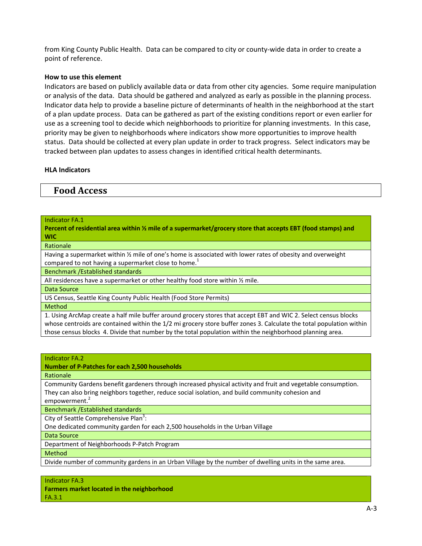from King County Public Health. Data can be compared to city or county-wide data in order to create a point of reference.

#### **How to use this element**

Indicators are based on publicly available data or data from other city agencies. Some require manipulation or analysis of the data. Data should be gathered and analyzed as early as possible in the planning process. Indicator data help to provide a baseline picture of determinants of health in the neighborhood at the start of a plan update process. Data can be gathered as part of the existing conditions report or even earlier for use as a screening tool to decide which neighborhoods to prioritize for planning investments. In this case, priority may be given to neighborhoods where indicators show more opportunities to improve health status. Data should be collected at every plan update in order to track progress. Select indicators may be tracked between plan updates to assess changes in identified critical health determinants.

#### **HLA Indicators**

# **Food Access**

#### Indicator FA.1

Percent of residential area within  $\frac{1}{2}$  mile of a supermarket/grocery store that accepts EBT (food stamps) and **WIC**

Rationale

Having a supermarket within 1/2 mile of one's home is associated with lower rates of obesity and overweight compared to not having a supermarket close to home.<sup>1</sup>

Benchmark /Established standards

All residences have a supermarket or other healthy food store within 1/2 mile.

Data Source

US Census, Seattle King County Public Health (Food Store Permits)

Method

1. Using ArcMap create a half mile buffer around grocery stores that accept EBT and WIC 2. Select census blocks whose centroids are contained within the 1/2 mi grocery store buffer zones 3. Calculate the total population within those census blocks 4. Divide that number by the total population within the neighborhood planning area.

#### Indicator FA.2

#### **Number of P‐Patches for each 2,500 households**

Rationale

Community Gardens benefit gardeners through increased physical activity and fruit and vegetable consumption. They can also bring neighbors together, reduce social isolation, and build community cohesion and empowerment.<sup>2</sup>

Benchmark /Established standards

City of Seattle Comprehensive Plan<sup>3</sup>:

One dedicated community garden for each 2,500 households in the Urban Village

Data Source

Department of Neighborhoods P‐Patch Program

Method

Divide number of community gardens in an Urban Village by the number of dwelling units in the same area.

Indicator FA.3 **Farmers market located in the neighborhood** FA.3.1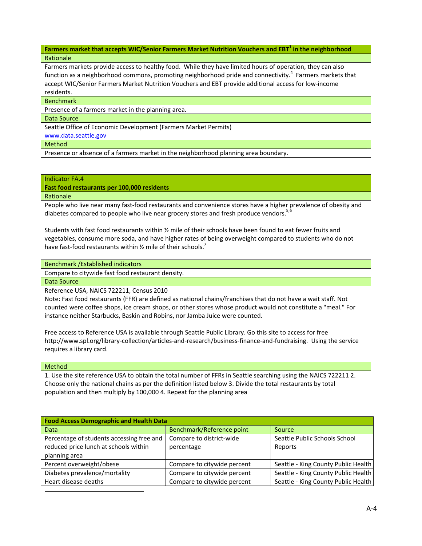**Farmers market that accepts WIC/Senior Farmers Market Nutrition Vouchers and EBT<sup>1</sup> in the neighborhood Rationale** 

Farmers markets provide access to healthy food. While they have limited hours of operation, they can also function as a neighborhood commons, promoting neighborhood pride and connectivity.<sup>4</sup> Farmers markets that accept WIC/Senior Farmers Market Nutrition Vouchers and EBT provide additional access for low‐income residents.

**Benchmark** 

Presence of a farmers market in the planning area.

Data Source

Seattle Office of Economic Development (Farmers Market Permits)

www.data.seattle.gov

Method

Presence or absence of a farmers market in the neighborhood planning area boundary.

#### Indicator FA.4

**Fast food restaurants per 100,000 residents**

Rationale

People who live near many fast‐food restaurants and convenience stores have a higher prevalence of obesity and diabetes compared to people who live near grocery stores and fresh produce vendors.<sup>5,</sup>

Students with fast food restaurants within ½ mile of their schools have been found to eat fewer fruits and vegetables, consume more soda, and have higher rates of being overweight compared to students who do not have fast-food restaurants within  $\frac{1}{2}$  mile of their schools.<sup>7</sup>

#### Benchmark /Established indicators

Compare to citywide fast food restaurant density.

Data Source

Reference USA, NAICS 722211, Census 2010

Note: Fast food restaurants (FFR) are defined as national chains/franchises that do not have a wait staff. Not counted were coffee shops, ice cream shops, or other stores whose product would not constitute a "meal." For instance neither Starbucks, Baskin and Robins, nor Jamba Juice were counted.

Free access to Reference USA is available through Seattle Public Library. Go this site to access for free http://www.spl.org/library-collection/articles-and-research/business-finance-and-fundraising. Using the service requires a library card.

Method

 $\overline{a}$ 

1. Use the site reference USA to obtain the total number of FFRs in Seattle searching using the NAICS 722211 2. Choose only the national chains as per the definition listed below 3. Divide the total restaurants by total population and then multiply by 100,000 4. Repeat for the planning area

| <b>Food Access Demographic and Health Data</b>                                     |                                        |                                          |  |  |
|------------------------------------------------------------------------------------|----------------------------------------|------------------------------------------|--|--|
| <b>Data</b>                                                                        | Benchmark/Reference point              | Source                                   |  |  |
| Percentage of students accessing free and<br>reduced price lunch at schools within | Compare to district-wide<br>percentage | Seattle Public Schools School<br>Reports |  |  |
| planning area                                                                      |                                        |                                          |  |  |
| Percent overweight/obese                                                           | Compare to citywide percent            | Seattle - King County Public Health      |  |  |
| Diabetes prevalence/mortality                                                      | Compare to citywide percent            | Seattle - King County Public Health      |  |  |
| Heart disease deaths                                                               | Compare to citywide percent            | Seattle - King County Public Health      |  |  |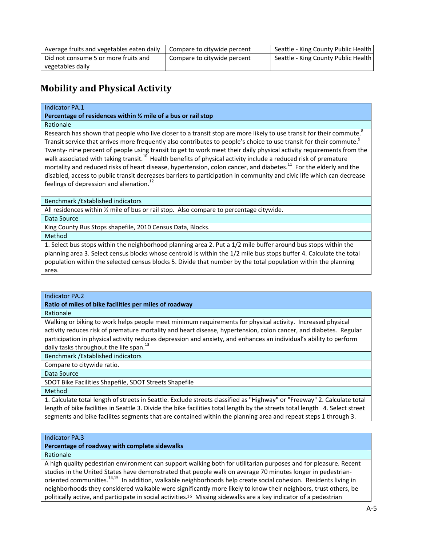| Average fruits and vegetables eaten daily | Compare to citywide percent | Seattle - King County Public Health |
|-------------------------------------------|-----------------------------|-------------------------------------|
| Did not consume 5 or more fruits and      | Compare to citywide percent | Seattle - King County Public Health |
| vegetables daily                          |                             |                                     |

# **Mobility and Physical Activity**

#### Indicator PA.1

**Percentage of residences within ½ mile of a bus or rail stop**

#### Rationale

Research has shown that people who live closer to a transit stop are more likely to use transit for their commute.<sup>8</sup> Transit service that arrives more frequently also contributes to people's choice to use transit for their commute.<sup>9</sup> Twenty- nine percent of people using transit to get to work meet their daily physical activity requirements from the walk associated with taking transit.<sup>10</sup> Health benefits of physical activity include a reduced risk of premature mortality and reduced risks of heart disease, hypertension, colon cancer, and diabetes.<sup>11</sup> For the elderly and the disabled, access to public transit decreases barriers to participation in community and civic life which can decrease feelings of depression and alienation.<sup>12</sup>

Benchmark /Established indicators

All residences within ½ mile of bus or rail stop. Also compare to percentage citywide.

#### Data Source

King County Bus Stops shapefile, 2010 Census Data, Blocks.

Method

1. Select bus stops within the neighborhood planning area 2. Put a 1/2 mile buffer around bus stops within the planning area 3. Select census blocks whose centroid is within the 1/2 mile bus stops buffer 4. Calculate the total population within the selected census blocks 5. Divide that number by the total population within the planning area.

#### Indicator PA.2

**Ratio of miles of bike facilities per miles of roadway**

Rationale

Walking or biking to work helps people meet minimum requirements for physical activity. Increased physical activity reduces risk of premature mortality and heart disease, hypertension, colon cancer, and diabetes. Regular participation in physical activity reduces depression and anxiety, and enhances an individual's ability to perform daily tasks throughout the life span.<sup>13</sup>

Benchmark /Established indicators

Compare to citywide ratio.

Data Source

SDOT Bike Facilities Shapefile, SDOT Streets Shapefile

Method

1. Calculate total length of streets in Seattle. Exclude streets classified as "Highway" or "Freeway" 2. Calculate total length of bike facilities in Seattle 3. Divide the bike facilities total length by the streets total length 4. Select street segments and bike facilites segments that are contained within the planning area and repeat steps 1 through 3.

#### Indicator PA.3

**Percentage of roadway with complete sidewalks**

Rationale

A high quality pedestrian environment can support walking both for utilitarian purposes and for pleasure. Recent studies in the United States have demonstrated that people walk on average 70 minutes longer in pedestrianoriented communities.<sup>14,15</sup> In addition, walkable neighborhoods help create social cohesion. Residents living in neighborhoods they considered walkable were significantly more likely to know their neighbors, trust others, be politically active, and participate in social activities.<sup>16</sup> Missing sidewalks are a key indicator of a pedestrian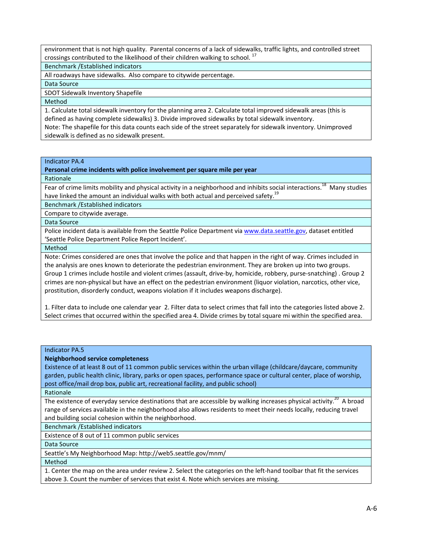environment that is not high quality. Parental concerns of a lack of sidewalks, traffic lights, and controlled street crossings contributed to the likelihood of their children walking to school.  $^{17}$ 

Benchmark /Established indicators

All roadways have sidewalks. Also compare to citywide percentage.

Data Source

SDOT Sidewalk Inventory Shapefile

Method

1. Calculate total sidewalk inventory for the planning area 2. Calculate total improved sidewalk areas (this is defined as having complete sidewalks) 3. Divide improved sidewalks by total sidewalk inventory. Note: The shapefile for this data counts each side of the street separately for sidewalk inventory. Unimproved sidewalk is defined as no sidewalk present.

#### Indicator PA.4

**Personal crime incidents with police involvement per square mile per year**

Rationale

Fear of crime limits mobility and physical activity in a neighborhood and inhibits social interactions.<sup>18</sup> Many studies have linked the amount an individual walks with both actual and perceived safety.<sup>19</sup>

Benchmark /Established indicators

Compare to citywide average.

Data Source

Police incident data is available from the Seattle Police Department via www.data.seattle.gov, dataset entitled 'Seattle Police Department Police Report Incident'.

Method

Note: Crimes considered are ones that involve the police and that happen in the right of way. Crimes included in the analysis are ones known to deteriorate the pedestrian environment. They are broken up into two groups. Group 1 crimes include hostile and violent crimes (assault, drive‐by, homicide, robbery, purse‐snatching) . Group 2 crimes are non‐physical but have an effect on the pedestrian environment (liquor violation, narcotics, other vice, prostitution, disorderly conduct, weapons violation if it includes weapons discharge).

1. Filter data to include one calendar year 2. Filter data to select crimes that fall into the categories listed above 2. Select crimes that occurred within the specified area 4. Divide crimes by total square mi within the specified area.

#### Indicator PA.5

#### **Neighborhood service completeness**

Existence of at least 8 out of 11 common public services within the urban village (childcare/daycare, community garden, public health clinic, library, parks or open spaces, performance space or cultural center, place of worship, post office/mail drop box, public art, recreational facility, and public school)

Rationale

The existence of everyday service destinations that are accessible by walking increases physical activity.<sup>20</sup> A broad range of services available in the neighborhood also allows residents to meet their needs locally, reducing travel and building social cohesion within the neighborhood.

Benchmark /Established indicators

Existence of 8 out of 11 common public services

Data Source

Seattle's My Neighborhood Map: http://web5.seattle.gov/mnm/

Method

1. Center the map on the area under review 2. Select the categories on the left‐hand toolbar that fit the services above 3. Count the number of services that exist 4. Note which services are missing.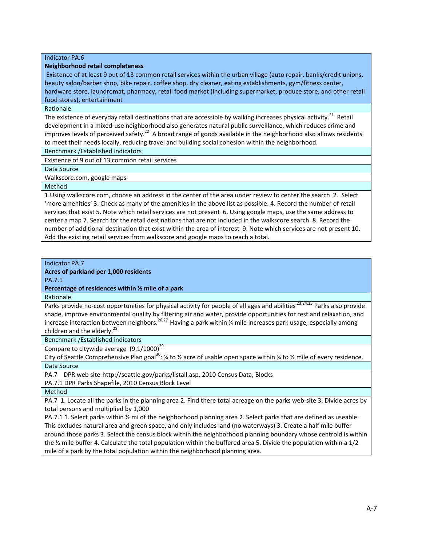#### Indicator PA.6

#### **Neighborhood retail completeness**

Existence of at least 9 out of 13 common retail services within the urban village (auto repair, banks/credit unions, beauty salon/barber shop, bike repair, coffee shop, dry cleaner, eating establishments, gym/fitness center, hardware store, laundromat, pharmacy, retail food market (including supermarket, produce store, and other retail food stores), entertainment

#### Rationale

The existence of everyday retail destinations that are accessible by walking increases physical activity.<sup>21</sup> Retail development in a mixed‐use neighborhood also generates natural public surveillance, which reduces crime and improves levels of perceived safety.<sup>22</sup> A broad range of goods available in the neighborhood also allows residents to meet their needs locally, reducing travel and building social cohesion within the neighborhood.

Benchmark /Established indicators

Existence of 9 out of 13 common retail services

Data Source

Walkscore.com, google maps

Method

1.Using walkscore.com, choose an address in the center of the area under review to center the search 2. Select 'more amenities' 3. Check as many of the amenities in the above list as possible. 4. Record the number of retail services that exist 5. Note which retail services are not present 6. Using google maps, use the same address to center a map 7. Search for the retail destinations that are not included in the walkscore search. 8. Record the number of additional destination that exist within the area of interest 9. Note which services are not present 10. Add the existing retail services from walkscore and google maps to reach a total.

#### Indicator PA.7

**Acres of parkland per 1,000 residents**

PA.7.1

**Percentage of residences within ½ mile of a park**

Rationale

Parks provide no-cost opportunities for physical activity for people of all ages and abilities<sup>23,24,25</sup> Parks also provide shade, improve environmental quality by filtering air and water, provide opportunities for rest and relaxation, and increase interaction between neighbors.<sup>26,27</sup> Having a park within ¼ mile increases park usage, especially among children and the elderly.<sup>28</sup>

Benchmark /Established indicators

Compare to citywide average  $(9.1/1000)^{29}$ 

City of Seattle Comprehensive Plan goal<sup>30</sup>: ¼ to ½ acre of usable open space within ¼ to ½ mile of every residence. Data Source

PA.7 DPR web site‐http://seattle.gov/parks/listall.asp, 2010 Census Data, Blocks

PA.7.1 DPR Parks Shapefile, 2010 Census Block Level

Method

PA.7 1. Locate all the parks in the planning area 2. Find there total acreage on the parks web‐site 3. Divide acres by total persons and multiplied by 1,000

PA.7.1 1. Select parks within 1/2 mi of the neighborhood planning area 2. Select parks that are defined as useable. This excludes natural area and green space, and only includes land (no waterways) 3. Create a half mile buffer around those parks 3. Select the census block within the neighborhood planning boundary whose centroid is within the ½ mile buffer 4. Calculate the total population within the buffered area 5. Divide the population within a 1/2 mile of a park by the total population within the neighborhood planning area.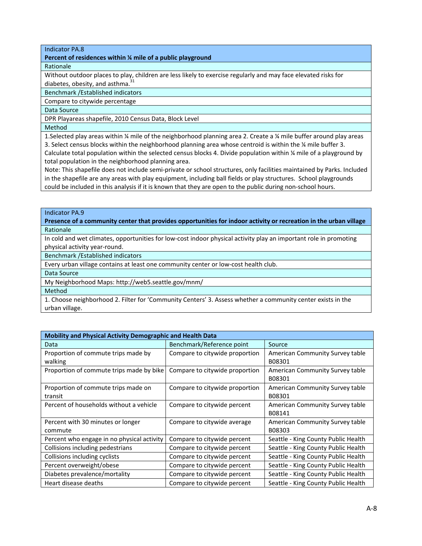#### Indicator PA.8

#### **Percent of residences within ¼ mile of a public playground**

#### Rationale

Without outdoor places to play, children are less likely to exercise regularly and may face elevated risks for diabetes, obesity, and asthma. $31$ 

Benchmark /Established indicators

Compare to citywide percentage

Data Source

DPR Playareas shapefile, 2010 Census Data, Block Level

Method

1.Selected play areas within ¼ mile of the neighborhood planning area 2. Create a ¼ mile buffer around play areas 3. Select census blocks within the neighborhood planning area whose centroid is within the ¼ mile buffer 3. Calculate total population within the selected census blocks 4. Divide population within ¼ mile of a playground by total population in the neighborhood planning area.

Note: This shapefile does not include semi‐private or school structures, only facilities maintained by Parks. Included in the shapefile are any areas with play equipment, including ball fields or play structures. School playgrounds could be included in this analysis if it is known that they are open to the public during non‐school hours.

#### Indicator PA.9

Presence of a community center that provides opportunities for indoor activity or recreation in the urban village Rationale

In cold and wet climates, opportunities for low-cost indoor physical activity play an important role in promoting physical activity year‐round.

Benchmark /Established indicators

Every urban village contains at least one community center or low‐cost health club.

Data Source

My Neighborhood Maps: http://web5.seattle.gov/mnm/

Method

1. Choose neighborhood 2. Filter for 'Community Centers' 3. Assess whether a community center exists in the urban village.

| Mobility and Physical Activity Demographic and Health Data |                                |                                           |  |  |
|------------------------------------------------------------|--------------------------------|-------------------------------------------|--|--|
| Data                                                       | Benchmark/Reference point      | Source                                    |  |  |
| Proportion of commute trips made by<br>walking             | Compare to citywide proportion | American Community Survey table<br>B08301 |  |  |
| Proportion of commute trips made by bike                   | Compare to citywide proportion | American Community Survey table<br>B08301 |  |  |
| Proportion of commute trips made on<br>transit             | Compare to citywide proportion | American Community Survey table<br>B08301 |  |  |
| Percent of households without a vehicle                    | Compare to citywide percent    | American Community Survey table<br>B08141 |  |  |
| Percent with 30 minutes or longer<br>commute               | Compare to citywide average    | American Community Survey table<br>B08303 |  |  |
| Percent who engage in no physical activity                 | Compare to citywide percent    | Seattle - King County Public Health       |  |  |
| Collisions including pedestrians                           | Compare to citywide percent    | Seattle - King County Public Health       |  |  |
| Collisions including cyclists                              | Compare to citywide percent    | Seattle - King County Public Health       |  |  |
| Percent overweight/obese                                   | Compare to citywide percent    | Seattle - King County Public Health       |  |  |
| Diabetes prevalence/mortality                              | Compare to citywide percent    | Seattle - King County Public Health       |  |  |
| Heart disease deaths                                       | Compare to citywide percent    | Seattle - King County Public Health       |  |  |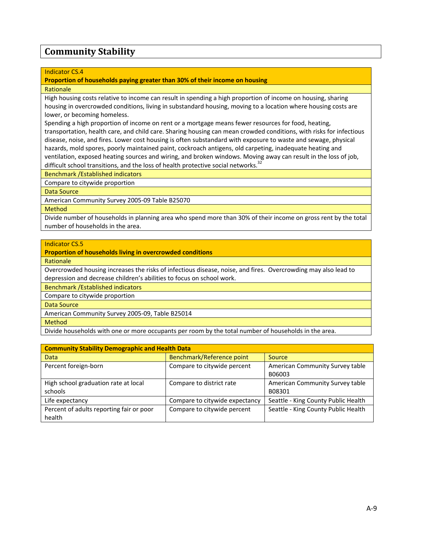## **Community Stability**

## Indicator CS.4

## **Proportion of households paying greater than 30% of their income on housing**

### **Rationale**

High housing costs relative to income can result in spending a high proportion of income on housing, sharing housing in overcrowded conditions, living in substandard housing, moving to a location where housing costs are lower, or becoming homeless.

Spending a high proportion of income on rent or a mortgage means fewer resources for food, heating, transportation, health care, and child care. Sharing housing can mean crowded conditions, with risks for infectious disease, noise, and fires. Lower cost housing is often substandard with exposure to waste and sewage, physical hazards, mold spores, poorly maintained paint, cockroach antigens, old carpeting, inadequate heating and ventilation, exposed heating sources and wiring, and broken windows. Moving away can result in the loss of job, difficult school transitions, and the loss of health protective social networks.<sup>32</sup>

Benchmark /Established indicators

Compare to citywide proportion

Data Source

American Community Survey 2005‐09 Table B25070

Method

Divide number of households in planning area who spend more than 30% of their income on gross rent by the total number of households in the area.

## Indicator CS.5

**Proportion of households living in overcrowded conditions**

Rationale

Overcrowded housing increases the risks of infectious disease, noise, and fires. Overcrowding may also lead to depression and decrease children's abilities to focus on school work.

Benchmark /Established indicators

Compare to citywide proportion

Data Source

American Community Survey 2005‐09, Table B25014

Method

Divide households with one or more occupants per room by the total number of households in the area.

| <b>Community Stability Demographic and Health Data</b> |                                |                                     |  |  |  |
|--------------------------------------------------------|--------------------------------|-------------------------------------|--|--|--|
| Data                                                   | Benchmark/Reference point      | <b>Source</b>                       |  |  |  |
| Percent foreign-born                                   | Compare to citywide percent    | American Community Survey table     |  |  |  |
|                                                        |                                | B06003                              |  |  |  |
| High school graduation rate at local                   | Compare to district rate       | American Community Survey table     |  |  |  |
| schools                                                |                                | B08301                              |  |  |  |
| Life expectancy                                        | Compare to citywide expectancy | Seattle - King County Public Health |  |  |  |
| Percent of adults reporting fair or poor               | Compare to citywide percent    | Seattle - King County Public Health |  |  |  |
| health                                                 |                                |                                     |  |  |  |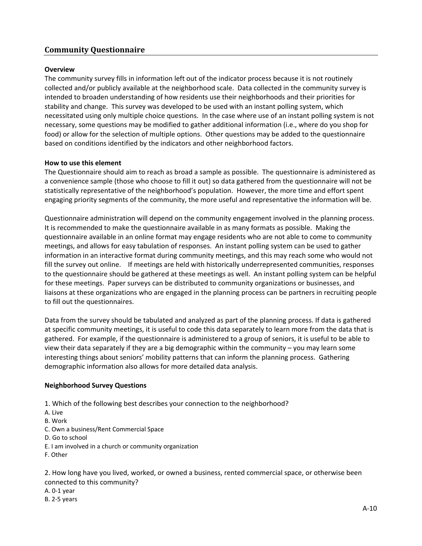## **Community Questionnaire**

## **Overview**

The community survey fills in information left out of the indicator process because it is not routinely collected and/or publicly available at the neighborhood scale. Data collected in the community survey is intended to broaden understanding of how residents use their neighborhoods and their priorities for stability and change. This survey was developed to be used with an instant polling system, which necessitated using only multiple choice questions. In the case where use of an instant polling system is not necessary, some questions may be modified to gather additional information (i.e., where do you shop for food) or allow for the selection of multiple options. Other questions may be added to the questionnaire based on conditions identified by the indicators and other neighborhood factors.

## **How to use this element**

The Questionnaire should aim to reach as broad a sample as possible. The questionnaire is administered as a convenience sample (those who choose to fill it out) so data gathered from the questionnaire will not be statistically representative of the neighborhood's population. However, the more time and effort spent engaging priority segments of the community, the more useful and representative the information will be.

Questionnaire administration will depend on the community engagement involved in the planning process. It is recommended to make the questionnaire available in as many formats as possible. Making the questionnaire available in an online format may engage residents who are not able to come to community meetings, and allows for easy tabulation of responses. An instant polling system can be used to gather information in an interactive format during community meetings, and this may reach some who would not fill the survey out online. If meetings are held with historically underrepresented communities, responses to the questionnaire should be gathered at these meetings as well. An instant polling system can be helpful for these meetings. Paper surveys can be distributed to community organizations or businesses, and liaisons at these organizations who are engaged in the planning process can be partners in recruiting people to fill out the questionnaires.

Data from the survey should be tabulated and analyzed as part of the planning process. If data is gathered at specific community meetings, it is useful to code this data separately to learn more from the data that is gathered. For example, if the questionnaire is administered to a group of seniors, it is useful to be able to view their data separately if they are a big demographic within the community – you may learn some interesting things about seniors' mobility patterns that can inform the planning process. Gathering demographic information also allows for more detailed data analysis.

## **Neighborhood Survey Questions**

1. Which of the following best describes your connection to the neighborhood?

- A. Live
- B. Work
- C. Own a business/Rent Commercial Space
- D. Go to school
- E. I am involved in a church or community organization
- F. Other

2. How long have you lived, worked, or owned a business, rented commercial space, or otherwise been connected to this community?

A. 0‐1 year B. 2‐5 years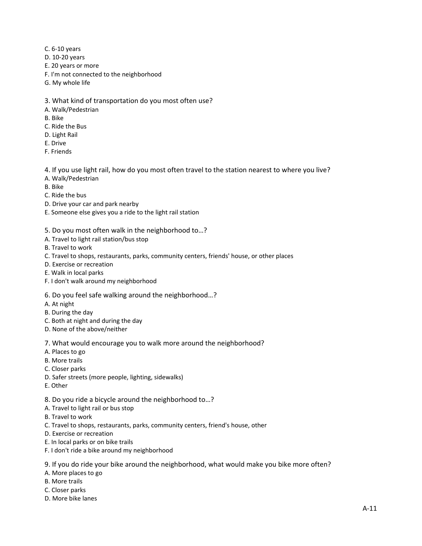- C. 6‐10 years
- D. 10‐20 years
- E. 20 years or more
- F. I'm not connected to the neighborhood
- G. My whole life
- 3. What kind of transportation do you most often use?
- A. Walk/Pedestrian
- B. Bike
- C. Ride the Bus
- D. Light Rail
- E. Drive
- F. Friends
- 4. If you use light rail, how do you most often travel to the station nearest to where you live?
- A. Walk/Pedestrian
- B. Bike
- C. Ride the bus
- D. Drive your car and park nearby
- E. Someone else gives you a ride to the light rail station
- 5. Do you most often walk in the neighborhood to…?
- A. Travel to light rail station/bus stop
- B. Travel to work
- C. Travel to shops, restaurants, parks, community centers, friends' house, or other places
- D. Exercise or recreation
- E. Walk in local parks
- F. I don't walk around my neighborhood
- 6. Do you feel safe walking around the neighborhood…?
- A. At night
- B. During the day
- C. Both at night and during the day
- D. None of the above/neither
- 7. What would encourage you to walk more around the neighborhood?
- A. Places to go
- B. More trails
- C. Closer parks
- D. Safer streets (more people, lighting, sidewalks)
- E. Other
- 8. Do you ride a bicycle around the neighborhood to…?
- A. Travel to light rail or bus stop
- B. Travel to work
- C. Travel to shops, restaurants, parks, community centers, friend's house, other
- D. Exercise or recreation
- E. In local parks or on bike trails
- F. I don't ride a bike around my neighborhood
- 9. If you do ride your bike around the neighborhood, what would make you bike more often?
- A. More places to go
- B. More trails
- C. Closer parks
- D. More bike lanes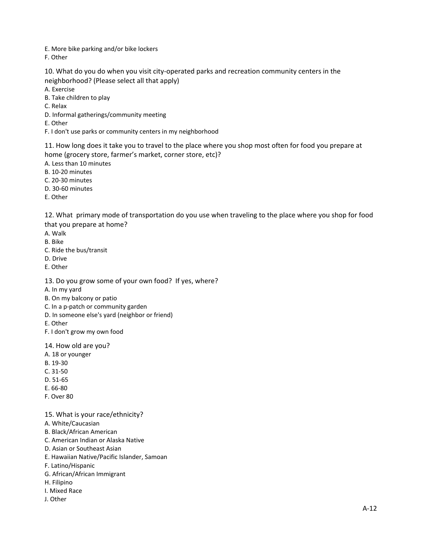E. More bike parking and/or bike lockers

F. Other

10. What do you do when you visit city-operated parks and recreation community centers in the neighborhood? (Please select all that apply)

A. Exercise

B. Take children to play

C. Relax

D. Informal gatherings/community meeting

E. Other

F. I don't use parks or community centers in my neighborhood

11. How long does it take you to travel to the place where you shop most often for food you prepare at home (grocery store, farmer's market, corner store, etc)?

A. Less than 10 minutes

B. 10‐20 minutes

C. 20‐30 minutes

D. 30‐60 minutes

E. Other

12. What primary mode of transportation do you use when traveling to the place where you shop for food that you prepare at home?

A. Walk

B. Bike

C. Ride the bus/transit

D. Drive

E. Other

13. Do you grow some of your own food? If yes, where?

A. In my yard

B. On my balcony or patio

C. In a p‐patch or community garden

D. In someone else's yard (neighbor or friend)

E. Other

F. I don't grow my own food

14. How old are you?

A. 18 or younger

B. 19‐30

C. 31‐50

D. 51‐65

E. 66‐80

F. Over 80

15. What is your race/ethnicity?

A. White/Caucasian

B. Black/African American

C. American Indian or Alaska Native

D. Asian or Southeast Asian

E. Hawaiian Native/Pacific Islander, Samoan

F. Latino/Hispanic

G. African/African Immigrant

H. Filipino

I. Mixed Race

J. Other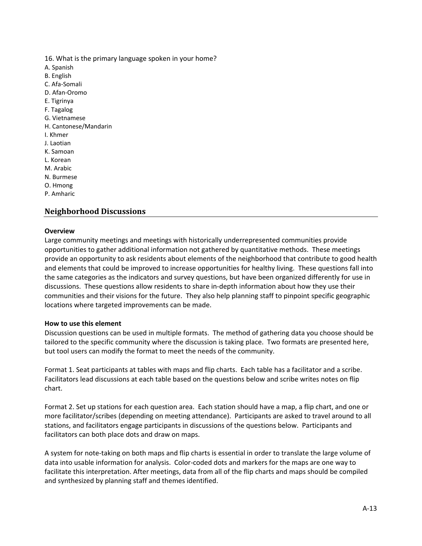16. What is the primary language spoken in your home?

- A. Spanish
- B. English
- C. Afa‐Somali
- D. Afan‐Oromo
- E. Tigrinya
- F. Tagalog
- G. Vietnamese
- H. Cantonese/Mandarin
- I. Khmer
- J. Laotian
- K. Samoan
- L. Korean
- M. Arabic
- N. Burmese
- O. Hmong
- P. Amharic

## **Neighborhood Discussions**

## **Overview**

Large community meetings and meetings with historically underrepresented communities provide opportunities to gather additional information not gathered by quantitative methods. These meetings provide an opportunity to ask residents about elements of the neighborhood that contribute to good health and elements that could be improved to increase opportunities for healthy living. These questions fall into the same categories as the indicators and survey questions, but have been organized differently for use in discussions. These questions allow residents to share in‐depth information about how they use their communities and their visions for the future. They also help planning staff to pinpoint specific geographic locations where targeted improvements can be made.

## **How to use this element**

Discussion questions can be used in multiple formats. The method of gathering data you choose should be tailored to the specific community where the discussion is taking place. Two formats are presented here, but tool users can modify the format to meet the needs of the community.

Format 1. Seat participants at tables with maps and flip charts. Each table has a facilitator and a scribe. Facilitators lead discussions at each table based on the questions below and scribe writes notes on flip chart.

Format 2. Set up stations for each question area. Each station should have a map, a flip chart, and one or more facilitator/scribes (depending on meeting attendance). Participants are asked to travel around to all stations, and facilitators engage participants in discussions of the questions below. Participants and facilitators can both place dots and draw on maps.

A system for note‐taking on both maps and flip charts is essential in order to translate the large volume of data into usable information for analysis. Color‐coded dots and markers for the maps are one way to facilitate this interpretation. After meetings, data from all of the flip charts and maps should be compiled and synthesized by planning staff and themes identified.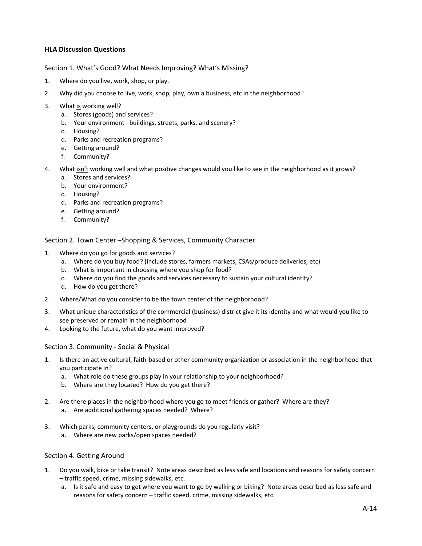## **HLA Discussion Questions**

## Section 1. What's Good? What Needs Improving? What's Missing?

- 1. Where do you live, work, shop, or play.
- 2. Why did you choose to live, work, shop, play, own a business, etc in the neighborhood?
- 3. What is working well?
	- a. Stores (goods) and services?
	- b. Your environment– buildings, streets, parks, and scenery?
	- c. Housing?
	- d. Parks and recreation programs?
	- e. Getting around?
	- f. Community?
- 4. What isn't working well and what positive changes would you like to see in the neighborhood as it grows?
	- a. Stores and services?
	- b. Your environment?
	- c. Housing?
	- d. Parks and recreation programs?
	- e. Getting around?
	- f. Community?

Section 2. Town Center –Shopping & Services, Community Character

- 1. Where do you go for goods and services?
	- a. Where do you buy food? (include stores, farmers markets, CSAs/produce deliveries, etc)
	- b. What is important in choosing where you shop for food?
	- c. Where do you find the goods and services necessary to sustain your cultural identity?
	- d. How do you get there?
- 2. Where/What do you consider to be the town center of the neighborhood?
- 3. What unique characteristics of the commercial (business) district give it its identity and what would you like to see preserved or remain in the neighborhood
- 4. Looking to the future, what do you want improved?

## Section 3. Community ‐ Social & Physical

- 1. Is there an active cultural, faith‐based or other community organization or association in the neighborhood that you participate in?
	- a. What role do these groups play in your relationship to your neighborhood?
	- b. Where are they located? How do you get there?
- 2. Are there places in the neighborhood where you go to meet friends or gather? Where are they?
	- a. Are additional gathering spaces needed? Where?
- 3. Which parks, community centers, or playgrounds do you regularly visit?
	- a. Where are new parks/open spaces needed?

## Section 4. Getting Around

- 1. Do you walk, bike or take transit? Note areas described as less safe and locations and reasons for safety concern – traffic speed, crime, missing sidewalks, etc.
	- a. Is it safe and easy to get where you want to go by walking or biking? Note areas described as less safe and reasons for safety concern – traffic speed, crime, missing sidewalks, etc.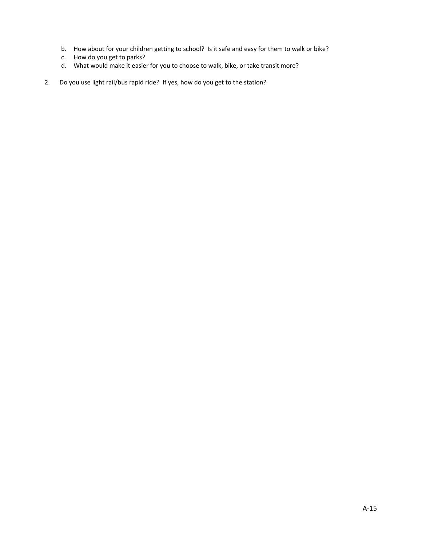- b. How about for your children getting to school? Is it safe and easy for them to walk or bike?
- c. How do you get to parks?
- d. What would make it easier for you to choose to walk, bike, or take transit more?
- 2. Do you use light rail/bus rapid ride? If yes, how do you get to the station?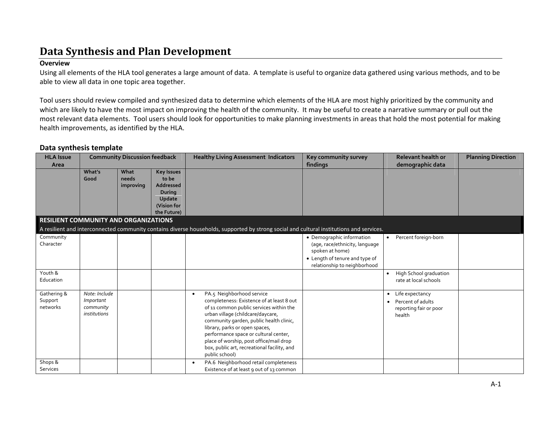## **Data Synthesis and Plan Development**

## **Overview**

Using all elements of the HLA tool generates <sup>a</sup> large amount of data. A template is useful to organize data gathered using various methods, and to be able to view all data in one topic area together.

Tool users should review compiled and synthesized data to determine which elements of the HLA are most highly prioritized by the community and which are likely to have the most impact on improving the health of the community. It may be useful to create <sup>a</sup> narrative summary or pull out the most relevant data elements. Tool users should look for opportunities to make planning investments in areas that hold the most potential for making health improvements, as identified by the HLA.

## **Data synthesis template**

| <b>HLA Issue</b><br>Area              | <b>Community Discussion feedback</b>                           |                            |                                                                                                         | <b>Healthy Living Assessment Indicators</b>                                                                                                                                                                                                                                                                                                                                                           | Key community survey<br>findings                                                                                                                 | <b>Relevant health or</b><br>demographic data                                | <b>Planning Direction</b> |
|---------------------------------------|----------------------------------------------------------------|----------------------------|---------------------------------------------------------------------------------------------------------|-------------------------------------------------------------------------------------------------------------------------------------------------------------------------------------------------------------------------------------------------------------------------------------------------------------------------------------------------------------------------------------------------------|--------------------------------------------------------------------------------------------------------------------------------------------------|------------------------------------------------------------------------------|---------------------------|
| RESILIENT COMMUNITY AND ORGANIZATIONS | What's<br>Good                                                 | What<br>needs<br>improving | <b>Key Issues</b><br>to be<br><b>Addressed</b><br><b>During</b><br>Update<br>(Vision for<br>the Future) |                                                                                                                                                                                                                                                                                                                                                                                                       |                                                                                                                                                  |                                                                              |                           |
|                                       |                                                                |                            |                                                                                                         | A resilient and interconnected community contains diverse households, supported by strong social and cultural institutions and services.                                                                                                                                                                                                                                                              |                                                                                                                                                  |                                                                              |                           |
| Community<br>Character                |                                                                |                            |                                                                                                         |                                                                                                                                                                                                                                                                                                                                                                                                       | • Demographic information<br>(age, race/ethnicity, language<br>spoken at home)<br>• Length of tenure and type of<br>relationship to neighborhood | Percent foreign-born                                                         |                           |
| Youth &<br>Education                  |                                                                |                            |                                                                                                         |                                                                                                                                                                                                                                                                                                                                                                                                       |                                                                                                                                                  | High School graduation<br>rate at local schools                              |                           |
| Gathering &<br>Support<br>networks    | Note: Include<br>Important<br>community<br><i>institutions</i> |                            |                                                                                                         | PA.5 Neighborhood service<br>$\bullet$<br>completeness: Existence of at least 8 out<br>of 11 common public services within the<br>urban village (childcare/daycare,<br>community garden, public health clinic,<br>library, parks or open spaces,<br>performance space or cultural center,<br>place of worship, post office/mail drop<br>box, public art, recreational facility, and<br>public school) |                                                                                                                                                  | • Life expectancy<br>• Percent of adults<br>reporting fair or poor<br>health |                           |
| Shops &<br><b>Services</b>            |                                                                |                            |                                                                                                         | PA.6 Neighborhood retail completeness<br>Existence of at least 9 out of 13 common                                                                                                                                                                                                                                                                                                                     |                                                                                                                                                  |                                                                              |                           |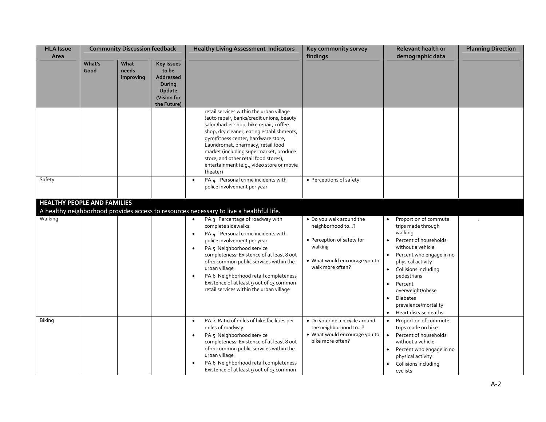| <b>HLA Issue</b><br>Area           | <b>Community Discussion feedback</b> |                            | <b>Healthy Living Assessment Indicators</b>                                                      |                                                                                                                                                                                                                                                                                                                                                                                                                                                       | Key community survey<br>findings                                                                                                           | <b>Relevant health or</b><br>demographic data                                                                                                                                                                                                                                                                                         | <b>Planning Direction</b> |
|------------------------------------|--------------------------------------|----------------------------|--------------------------------------------------------------------------------------------------|-------------------------------------------------------------------------------------------------------------------------------------------------------------------------------------------------------------------------------------------------------------------------------------------------------------------------------------------------------------------------------------------------------------------------------------------------------|--------------------------------------------------------------------------------------------------------------------------------------------|---------------------------------------------------------------------------------------------------------------------------------------------------------------------------------------------------------------------------------------------------------------------------------------------------------------------------------------|---------------------------|
|                                    | What's<br>Good                       | What<br>needs<br>improving | <b>Key Issues</b><br>to be<br>Addressed<br><b>During</b><br>Update<br>(Vision for<br>the Future) |                                                                                                                                                                                                                                                                                                                                                                                                                                                       |                                                                                                                                            |                                                                                                                                                                                                                                                                                                                                       |                           |
|                                    |                                      |                            |                                                                                                  | retail services within the urban village<br>(auto repair, banks/credit unions, beauty<br>salon/barber shop, bike repair, coffee<br>shop, dry cleaner, eating establishments,<br>gym/fitness center, hardware store,<br>Laundromat, pharmacy, retail food<br>market (including supermarket, produce<br>store, and other retail food stores),<br>entertainment (e.g., video store or movie<br>theater)                                                  |                                                                                                                                            |                                                                                                                                                                                                                                                                                                                                       |                           |
| Safety                             |                                      |                            |                                                                                                  | PA.4 Personal crime incidents with<br>$\bullet$<br>police involvement per year                                                                                                                                                                                                                                                                                                                                                                        | • Perceptions of safety                                                                                                                    |                                                                                                                                                                                                                                                                                                                                       |                           |
| <b>HEALTHY PEOPLE AND FAMILIES</b> |                                      |                            |                                                                                                  | A healthy neighborhood provides access to resources necessary to live a healthful life.                                                                                                                                                                                                                                                                                                                                                               |                                                                                                                                            |                                                                                                                                                                                                                                                                                                                                       |                           |
| Walking                            |                                      |                            |                                                                                                  | PA.3 Percentage of roadway with<br>$\bullet$<br>complete sidewalks<br>PA.4 Personal crime incidents with<br>$\bullet$<br>police involvement per year<br>PA.5 Neighborhood service<br>$\bullet$<br>completeness: Existence of at least 8 out<br>of 11 common public services within the<br>urban village<br>PA.6 Neighborhood retail completeness<br>$\bullet$<br>Existence of at least 9 out of 13 common<br>retail services within the urban village | • Do you walk around the<br>neighborhood to?<br>• Perception of safety for<br>walking<br>• What would encourage you to<br>walk more often? | Proportion of commute<br>trips made through<br>walking<br>Percent of households<br>without a vehicle<br>Percent who engage in no<br>physical activity<br>Collisions including<br>$\bullet$<br>pedestrians<br>Percent<br>$\bullet$<br>overweight/obese<br><b>Diabetes</b><br>$\bullet$<br>prevalence/mortality<br>Heart disease deaths |                           |
| Biking                             |                                      |                            |                                                                                                  | PA.2 Ratio of miles of bike facilities per<br>$\bullet$<br>miles of roadway<br>PA.5 Neighborhood service<br>completeness: Existence of at least 8 out<br>of 11 common public services within the<br>urban village<br>PA.6 Neighborhood retail completeness<br>Existence of at least 9 out of 13 common                                                                                                                                                | · Do you ride a bicycle around<br>the neighborhood to?<br>• What would encourage you to<br>bike more often?                                | Proportion of commute<br>$\bullet$<br>trips made on bike<br>Percent of households<br>$\bullet$<br>without a vehicle<br>Percent who engage in no<br>physical activity<br>Collisions including<br>cyclists                                                                                                                              |                           |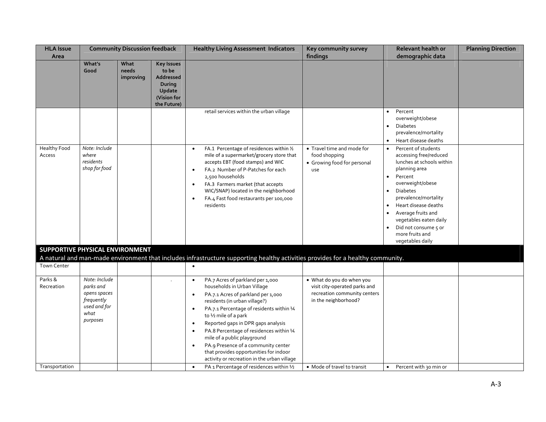| <b>HLA Issue</b><br>Area        | <b>Community Discussion feedback</b>                                                         |                            | <b>Healthy Living Assessment Indicators</b>                                                             |                                                                                                                                                                                                                                                                                                                                                                                                                                                                                                                                            | Key community survey<br>Relevant health or<br>findings<br>demographic data                                         |                                                                                                                                                                                                                                                                                                                                                                  | <b>Planning Direction</b> |
|---------------------------------|----------------------------------------------------------------------------------------------|----------------------------|---------------------------------------------------------------------------------------------------------|--------------------------------------------------------------------------------------------------------------------------------------------------------------------------------------------------------------------------------------------------------------------------------------------------------------------------------------------------------------------------------------------------------------------------------------------------------------------------------------------------------------------------------------------|--------------------------------------------------------------------------------------------------------------------|------------------------------------------------------------------------------------------------------------------------------------------------------------------------------------------------------------------------------------------------------------------------------------------------------------------------------------------------------------------|---------------------------|
|                                 | What's<br>Good                                                                               | What<br>needs<br>improving | <b>Key Issues</b><br>to be<br><b>Addressed</b><br><b>During</b><br>Update<br>(Vision for<br>the Future) |                                                                                                                                                                                                                                                                                                                                                                                                                                                                                                                                            |                                                                                                                    |                                                                                                                                                                                                                                                                                                                                                                  |                           |
|                                 |                                                                                              |                            |                                                                                                         | retail services within the urban village                                                                                                                                                                                                                                                                                                                                                                                                                                                                                                   |                                                                                                                    | Percent<br>$\bullet$<br>overweight/obese<br><b>Diabetes</b><br>$\bullet$<br>prevalence/mortality<br>• Heart disease deaths                                                                                                                                                                                                                                       |                           |
| <b>Healthy Food</b><br>Access   | Note: Include<br>where<br>residents<br>shop for food                                         |                            |                                                                                                         | FA.1 Percentage of residences within 1/2<br>$\bullet$<br>mile of a supermarket/grocery store that<br>accepts EBT (food stamps) and WIC<br>FA.2 Number of P-Patches for each<br>$\bullet$<br>2,500 households<br>FA.3 Farmers market (that accepts<br>$\bullet$<br>WIC/SNAP) located in the neighborhood<br>FA.4 Fast food restaurants per 100,000<br>$\bullet$<br>residents                                                                                                                                                                | • Travel time and mode for<br>food shopping<br>• Growing food for personal<br>use                                  | Percent of students<br>$\bullet$<br>accessing free/reduced<br>lunches at schools within<br>planning area<br>Percent<br>$\bullet$<br>overweight/obese<br><b>Diabetes</b><br>$\bullet$<br>prevalence/mortality<br>Heart disease deaths<br>Average fruits and<br>vegetables eaten daily<br>Did not consume 5 or<br>$\bullet$<br>more fruits and<br>vegetables daily |                           |
| SUPPORTIVE PHYSICAL ENVIRONMENT |                                                                                              |                            |                                                                                                         | A natural and man-made environment that includes infrastructure supporting healthy activities provides for a healthy community.                                                                                                                                                                                                                                                                                                                                                                                                            |                                                                                                                    |                                                                                                                                                                                                                                                                                                                                                                  |                           |
| Town Center                     |                                                                                              |                            |                                                                                                         |                                                                                                                                                                                                                                                                                                                                                                                                                                                                                                                                            |                                                                                                                    |                                                                                                                                                                                                                                                                                                                                                                  |                           |
| Parks &<br>Recreation           | Note: Include<br>parks and<br>opens spaces<br>frequently<br>used and for<br>what<br>purposes |                            |                                                                                                         | PA.7 Acres of parkland per 1,000<br>$\bullet$<br>households in Urban Village<br>PA.7.1 Acres of parkland per 1,000<br>$\bullet$<br>residents (in urban village?)<br>PA.7.1 Percentage of residents within 1/4<br>$\bullet$<br>to 1/2 mile of a park<br>Reported gaps in DPR gaps analysis<br>$\bullet$<br>PA.8 Percentage of residences within 14<br>$\bullet$<br>mile of a public playground<br>PA.9 Presence of a community center<br>$\bullet$<br>that provides opportunities for indoor<br>activity or recreation in the urban village | • What do you do when you<br>visit city-operated parks and<br>recreation community centers<br>in the neighborhood? |                                                                                                                                                                                                                                                                                                                                                                  |                           |
| Transportation                  |                                                                                              |                            |                                                                                                         | PA 1 Percentage of residences within 1/2<br>$\bullet$                                                                                                                                                                                                                                                                                                                                                                                                                                                                                      | • Mode of travel to transit                                                                                        | Percent with 30 min or<br>$\bullet$                                                                                                                                                                                                                                                                                                                              |                           |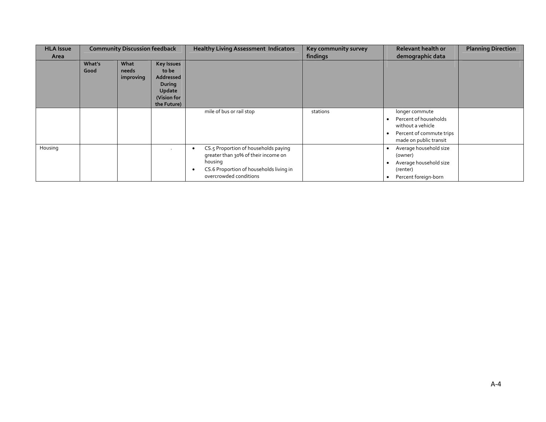| <b>HLA Issue</b><br>Area | <b>Community Discussion feedback</b> |                            |                                                                                                  | <b>Healthy Living Assessment Indicators</b>                                                                                                                      | Key community survey<br>findings | Relevant health or<br>demographic data                                                                             | <b>Planning Direction</b> |
|--------------------------|--------------------------------------|----------------------------|--------------------------------------------------------------------------------------------------|------------------------------------------------------------------------------------------------------------------------------------------------------------------|----------------------------------|--------------------------------------------------------------------------------------------------------------------|---------------------------|
|                          | What's<br>Good                       | What<br>needs<br>improving | <b>Key Issues</b><br>to be<br>Addressed<br><b>During</b><br>Update<br>(Vision for<br>the Future) |                                                                                                                                                                  |                                  |                                                                                                                    |                           |
|                          |                                      |                            |                                                                                                  | mile of bus or rail stop                                                                                                                                         | stations                         | longer commute<br>Percent of households<br>without a vehicle<br>Percent of commute trips<br>made on public transit |                           |
| Housing                  |                                      |                            |                                                                                                  | CS.5 Proportion of households paying<br>٠<br>greater than 30% of their income on<br>housing<br>CS.6 Proportion of households living in<br>overcrowded conditions |                                  | Average household size<br>(owner)<br>Average household size<br>(renter)<br>Percent foreign-born<br>٠               |                           |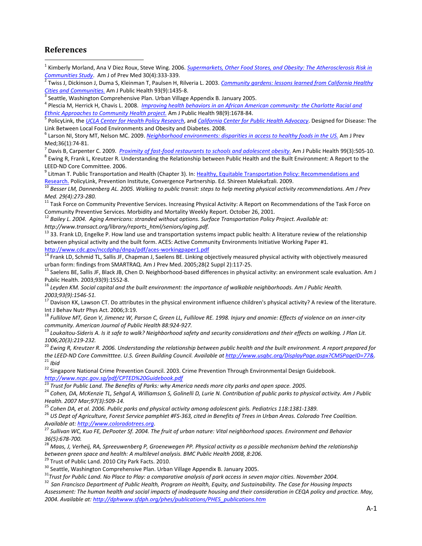## **References**

 $\overline{a}$ 

<sup>1</sup> Kimberly Morland, Ana V Diez Roux, Steve Wing. 2006. *Supermarkets, Other Food Stores, and Obesity: The Atherosclerosis Risk in*

<sup>2</sup> Twiss J, Dickinson J, Duma S, Kleinman T, Paulsen H, Rilveria L. 2003. <u>Community gardens: lessons learned from California Healthy</u>

Cities and Communities. Am J Public Health 93(9):1435-8.<br><sup>3</sup> Seattle, Washington Comprehensive Plan. Urban Village Appendix B. January 2005.<br><sup>4</sup> Plescia M, Herrick H, Chavis L. 2008. *Improving health behaviors in an Afric* 

PolicyLink, the UCLA Center for Health Policy Research, and California Center for Public Health Advocacy. Designed for Disease: The Link Between Local Food Environments and Obesity and Diabetes. 2008.<br><sup>6</sup> Larson NI, Story MT, Nelson MC. 2009. Neighborhood environments: disparities in access to healthy foods in the US. Am J Prev

Med;36(1):74-81.<br><sup>7</sup> Davis B, Carpenter C. 2009. *Proximity of fast-food restaurants to schools and adolescent obesity.* Am J Public Health 99(3):505-10.<br><sup>8</sup> Ewing R, Frank L, Kreutzer R. Understanding the Relationship bet

LEED-ND Core Committee. 2006.<br><sup>9</sup> Litman T. Public Transportation and Health (Chapter 3). In: Healthy, Equitable Transportation Policy: Recommendations and

Research. PolicyLink, Prevention Institute, Convergence Partnership. Ed. Shireen Malekafzali. 2009.<br><sup>10</sup> Besser LM, Dannenberg AL. 2005. Walking to public transit: steps to help meeting physical activity recommendations. A

*Med. 29(4):273-280.*<br><sup>11</sup> Task Force on Community Preventive Services. Increasing Physical Activity: A Report on Recommendations of the Task Force on

Community Preventive Services. Morbidity and Mortality Weekly Report. October 26, 2001.<br><sup>12</sup> Bailey L. 2004. Aging Americans: stranded without options. Surface Transportation Policy Project. Available at:

*http://www.transact.org/library/reports\_html/seniors/aging.pdf.*

 $^{13}$  33. Frank LD, Engelke P. How land use and transportation systems impact public health: A literature review of the relationship between physical activity and the built form. ACES: Active Community Environments Initiative Working Paper #1.

http://www.cdc.gov/nccdphp/dnpa/pdf/aces-workingpaper1.pdf<br><sup>14</sup> Frank LD, Schmid TL, Sallis JF, Chapman J, Saelens BE. Linking objectively measured physical activity with objectively measured<br>urban form: findings from SMAR

<sup>15</sup> Saelens BE, Sallis JF, Black JB, Chen D. Neighborhood-based differences in physical activity: an environment scale evaluation. Am J

Public Health. 2003;93(9):1552-8.<br><sup>16</sup> Levden KM. Social capital and the built environment: the importance of walkable neighborhoods. Am J Public Health.

*2003;93(9):1546-51.*<br><sup>17</sup> Davison KK, Lawson CT. Do attributes in the physical environment influence children's physical activity? A review of the literature.<br>Int J Behav Nutr Phys Act. 2006;3:19.

 $^{18}$  Fullilove MT, Geon V, Jimenez W, Parson C, Green LL, Fullilove RE. 1998. Injury and anomie: Effects of violence on an inner-city community. American Journal of Public Health 88:924-927.<br><sup>19</sup> Loukaitou-Sideris A. Is it safe to walk? Neighborhood safety and security considerations and their effects on walking. J Plan Lit.

1006;20(3):219-232.<br><sup>20</sup> Ewing R, Kreutzer R. 2006. Understanding the relationship between public health and the built environment. A report prepared for<br>the LEED-ND Core Committtee. U.S. Green Building Council. Available <sup>21</sup> Ibid<br><sup>22</sup> Singapore National Crime Prevention Council. 2003. Crime Prevention Through Environmental Design Guidebook.

*http://www.ncpc.gov.sg/pdf/CPTED%20Guidebook.pdf*

<sup>24</sup> Cohen. DA, McKenzie TL, Sehaal A, Williamson S, Golinelli D, Lurie N, Contribution of public parks to physical activity. Am J Public Health. 2007 Mar;97(3):509-14.<br><sup>25</sup> Cohen DA, et al. 2006. Public parks and physical activity among adolescent girls. Pediatrics 118:1381-1389.<br><sup>26</sup> US Dept of Agriculture, Forest Service pamphlet #FS-363, cited in Benefit

Available at: <u>http://www.coloradotrees.org</u>.<br><sup>27</sup> Sullivan WC, Kuo FE, DePooter Sf. 2004. The fruit of urban nature: Vital neighborhood spaces. Environment and Behavior

36(5):678-700.<br><sup>28</sup> Maas, J, Verheij, RA, Spreeuwenberg P, Groenewegen PP. Physical activity as a possible mechanism behind the relationship

between green space and health: A multilevel analysis. BMC Public Health 2008, 8:206.<br><sup>29</sup> Trust of Public Land. 2010 City Park Facts. 2010.<br><sup>30</sup> Seattle, Washington Comprehensive Plan. Urban Village Appendix B. January 20

Assessment: The human health and social impacts of inadequate housing and their consideration in CEQA policy and practice. May, *2004. Available at: http://dphwww.sfdph.org/phes/publications/PHES\_publications.htm*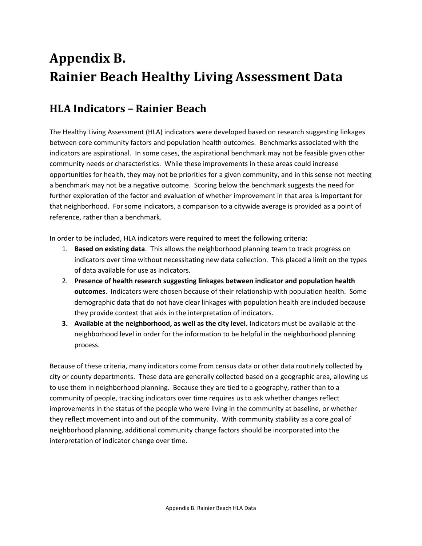# **Appendix B. Rainier Beach Healthy Living Assessment Data**

## **HLA Indicators – Rainier Beach**

The Healthy Living Assessment (HLA) indicators were developed based on research suggesting linkages between core community factors and population health outcomes. Benchmarks associated with the indicators are aspirational. In some cases, the aspirational benchmark may not be feasible given other community needs or characteristics. While these improvements in these areas could increase opportunities for health, they may not be priorities for a given community, and in this sense not meeting a benchmark may not be a negative outcome. Scoring below the benchmark suggests the need for further exploration of the factor and evaluation of whether improvement in that area is important for that neighborhood. For some indicators, a comparison to a citywide average is provided as a point of reference, rather than a benchmark.

In order to be included, HLA indicators were required to meet the following criteria:

- 1. **Based on existing data**. This allows the neighborhood planning team to track progress on indicators over time without necessitating new data collection. This placed a limit on the types of data available for use as indicators.
- 2. **Presence of health research suggesting linkages between indicator and population health outcomes**. Indicators were chosen because of their relationship with population health. Some demographic data that do not have clear linkages with population health are included because they provide context that aids in the interpretation of indicators.
- **3. Available at the neighborhood, as well as the city level.** Indicators must be available at the neighborhood level in order for the information to be helpful in the neighborhood planning process.

Because of these criteria, many indicators come from census data or other data routinely collected by city or county departments. These data are generally collected based on a geographic area, allowing us to use them in neighborhood planning. Because they are tied to a geography, rather than to a community of people, tracking indicators over time requires us to ask whether changes reflect improvements in the status of the people who were living in the community at baseline, or whether they reflect movement into and out of the community. With community stability as a core goal of neighborhood planning, additional community change factors should be incorporated into the interpretation of indicator change over time.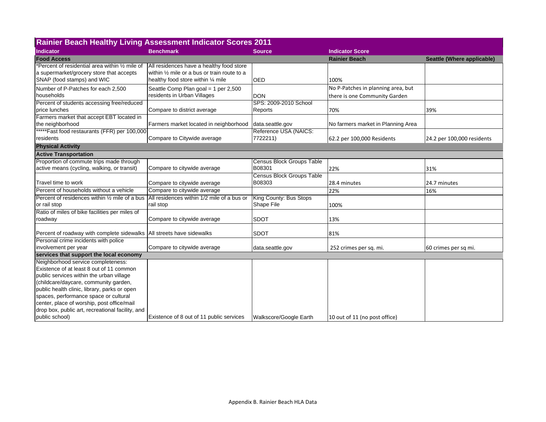| <b>Rainier Beach Healthy Living Assessment Indicator Scores 2011</b>                  |                                              |                                  |                                    |                            |
|---------------------------------------------------------------------------------------|----------------------------------------------|----------------------------------|------------------------------------|----------------------------|
| <b>Indicator</b>                                                                      | <b>Benchmark</b>                             | <b>Source</b>                    | <b>Indicator Score</b>             |                            |
| <b>Food Access</b>                                                                    |                                              |                                  | <b>Rainier Beach</b>               | Seattle (Where applicable) |
| *Percent of residential area within 1/2 mile of                                       | All residences have a healthy food store     |                                  |                                    |                            |
| a supermarket/grocery store that accepts                                              | within 1/2 mile or a bus or train route to a |                                  |                                    |                            |
| SNAP (food stamps) and WIC                                                            | healthy food store within 1/4 mile           | <b>OED</b>                       | 100%                               |                            |
| Number of P-Patches for each 2,500                                                    | Seattle Comp Plan goal = 1 per 2,500         |                                  | No P-Patches in planning area, but |                            |
| households                                                                            | residents in Urban Villages                  | <b>DON</b>                       | there is one Community Garden      |                            |
| Percent of students accessing free/reduced                                            |                                              | SPS: 2009-2010 School            |                                    |                            |
| price lunches                                                                         | Compare to district average                  | Reports                          | 70%                                | 39%                        |
| Farmers market that accept EBT located in                                             |                                              |                                  |                                    |                            |
| the neighborhood                                                                      | Farmers market located in neighborhood       | data.seattle.gov                 | No farmers market in Planning Area |                            |
| *****Fast food restaurants (FFR) per 100,000                                          |                                              | Reference USA (NAICS:            |                                    |                            |
| residents                                                                             | Compare to Citywide average                  | 7722211)                         | 62.2 per 100,000 Residents         | 24.2 per 100,000 residents |
| <b>Physical Activity</b>                                                              |                                              |                                  |                                    |                            |
| <b>Active Transportation</b>                                                          |                                              |                                  |                                    |                            |
| Proportion of commute trips made through                                              |                                              | <b>Census Block Groups Table</b> |                                    |                            |
| active means (cycling, walking, or transit)                                           | Compare to citywide average                  | B08301                           | 22%                                | 31%                        |
|                                                                                       |                                              | <b>Census Block Groups Table</b> |                                    |                            |
| Travel time to work                                                                   | Compare to citywide average                  | B08303                           | 28.4 minutes                       | 24.7 minutes               |
| Percent of households without a vehicle                                               | Compare to citywide average                  |                                  | 22%                                | 16%                        |
| Percent of residences within 1/2 mile of a bus                                        | IAII residences within 1/2 mile of a bus or  | King County: Bus Stops           |                                    |                            |
| or rail stop                                                                          | rail stop                                    | Shape File                       | 100%                               |                            |
| Ratio of miles of bike facilities per miles of                                        |                                              |                                  |                                    |                            |
| roadway                                                                               | Compare to citywide average                  | <b>SDOT</b>                      | 13%                                |                            |
|                                                                                       |                                              |                                  |                                    |                            |
| Percent of roadway with complete sidewalks   All streets have sidewalks               |                                              | <b>SDOT</b>                      | 81%                                |                            |
| Personal crime incidents with police                                                  |                                              |                                  |                                    |                            |
| involvement per year                                                                  | Compare to citywide average                  | data.seattle.gov                 | 252 crimes per sq. mi.             | 60 crimes per sq mi.       |
| services that support the local economy                                               |                                              |                                  |                                    |                            |
| Neighborhood service completeness:                                                    |                                              |                                  |                                    |                            |
| Existence of at least 8 out of 11 common                                              |                                              |                                  |                                    |                            |
| public services within the urban village                                              |                                              |                                  |                                    |                            |
| (childcare/daycare, community garden,<br>public health clinic, library, parks or open |                                              |                                  |                                    |                            |
| spaces, performance space or cultural                                                 |                                              |                                  |                                    |                            |
| center, place of worship, post office/mail                                            |                                              |                                  |                                    |                            |
| drop box, public art, recreational facility, and                                      |                                              |                                  |                                    |                            |
| public school)                                                                        | Existence of 8 out of 11 public services     | Walkscore/Google Earth           | 10 out of 11 (no post office)      |                            |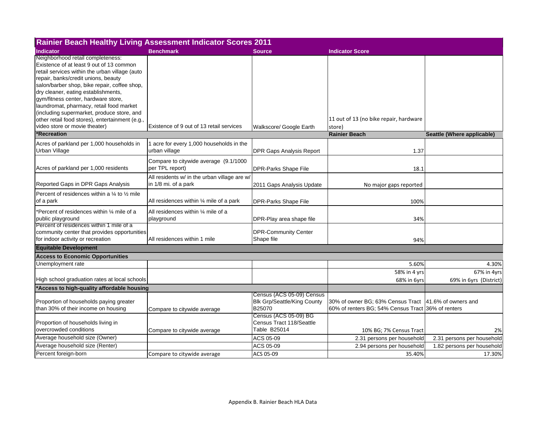| <b>Rainier Beach Healthy Living Assessment Indicator Scores 2011</b>                                                                                                                                                                                                                                                                                                                                                                                                               |                                                                      |                                                                           |                                                                                         |                                       |
|------------------------------------------------------------------------------------------------------------------------------------------------------------------------------------------------------------------------------------------------------------------------------------------------------------------------------------------------------------------------------------------------------------------------------------------------------------------------------------|----------------------------------------------------------------------|---------------------------------------------------------------------------|-----------------------------------------------------------------------------------------|---------------------------------------|
| <b>Indicator</b>                                                                                                                                                                                                                                                                                                                                                                                                                                                                   | <b>Benchmark</b>                                                     | <b>Source</b>                                                             | <b>Indicator Score</b>                                                                  |                                       |
| Neighborhood retail completeness:<br>Existence of at least 9 out of 13 common<br>retail services within the urban village (auto<br>repair, banks/credit unions, beauty<br>salon/barber shop, bike repair, coffee shop,<br>dry cleaner, eating establishments,<br>gym/fitness center, hardware store,<br>laundromat, pharmacy, retail food market<br>(including supermarket, produce store, and<br>other retail food stores), entertainment (e.g.,<br>video store or movie theater) | Existence of 9 out of 13 retail services                             |                                                                           | 11 out of 13 (no bike repair, hardware                                                  |                                       |
| <b>Recreation</b>                                                                                                                                                                                                                                                                                                                                                                                                                                                                  |                                                                      | Walkscore/ Google Earth                                                   | store)<br><b>Rainier Beach</b>                                                          | Seattle (Where applicable)            |
|                                                                                                                                                                                                                                                                                                                                                                                                                                                                                    |                                                                      |                                                                           |                                                                                         |                                       |
| Acres of parkland per 1,000 households in<br>Urban Village                                                                                                                                                                                                                                                                                                                                                                                                                         | 1 acre for every 1,000 households in the<br>urban village            | <b>DPR Gaps Analysis Report</b>                                           | 1.37                                                                                    |                                       |
| Acres of parkland per 1,000 residents                                                                                                                                                                                                                                                                                                                                                                                                                                              | Compare to citywide average (9.1/1000<br>per TPL report)             | <b>DPR-Parks Shape File</b>                                               | 18.1                                                                                    |                                       |
| Reported Gaps in DPR Gaps Analysis                                                                                                                                                                                                                                                                                                                                                                                                                                                 | All residents w/ in the urban village are w/<br>in 1/8 mi. of a park | 2011 Gaps Analysis Update                                                 | No major gaps reported                                                                  |                                       |
| Percent of residences within a $\frac{1}{4}$ to $\frac{1}{2}$ mile<br>of a park                                                                                                                                                                                                                                                                                                                                                                                                    | All residences within 1/4 mile of a park                             | <b>DPR-Parks Shape File</b>                                               | 100%                                                                                    |                                       |
| Percent of residences within 1/4 mile of a<br>public playground                                                                                                                                                                                                                                                                                                                                                                                                                    | All residences within 1/4 mile of a<br>playground                    | DPR-Play area shape file                                                  | 34%                                                                                     |                                       |
| Percent of residences within 1 mile of a<br>community center that provides opportunities<br>for indoor activity or recreation                                                                                                                                                                                                                                                                                                                                                      | All residences within 1 mile                                         | <b>DPR-Community Center</b><br>Shape file                                 | 94%                                                                                     |                                       |
| <b>Equitable Development</b>                                                                                                                                                                                                                                                                                                                                                                                                                                                       |                                                                      |                                                                           |                                                                                         |                                       |
| <b>Access to Economic Opportunities</b>                                                                                                                                                                                                                                                                                                                                                                                                                                            |                                                                      |                                                                           |                                                                                         |                                       |
| Unemployment rate                                                                                                                                                                                                                                                                                                                                                                                                                                                                  |                                                                      |                                                                           | 5.60%                                                                                   | 4.30%                                 |
| High school graduation rates at local schools                                                                                                                                                                                                                                                                                                                                                                                                                                      |                                                                      |                                                                           | 58% in 4 yrs<br>68% in 6yrs                                                             | 67% in 4yrs<br>69% in 6yrs (District) |
| *Access to high-quality affordable housing                                                                                                                                                                                                                                                                                                                                                                                                                                         |                                                                      |                                                                           |                                                                                         |                                       |
| Proportion of households paying greater<br>than 30% of their income on housing                                                                                                                                                                                                                                                                                                                                                                                                     | Compare to citywide average                                          | Census (ACS 05-09) Census<br><b>Blk Grp/Seattle/King County</b><br>B25070 | 30% of owner BG; 63% Census Tract<br>60% of renters BG: 54% Census Tract 36% of renters | 41.6% of owners and                   |
| Proportion of households living in<br>overcrowded conditions                                                                                                                                                                                                                                                                                                                                                                                                                       | Compare to citywide average                                          | Census (ACS 05-09) BG<br>Census Tract 118/Seattle<br>Table B25014         | 10% BG; 7% Census Tract                                                                 | 2%                                    |
| Average household size (Owner)                                                                                                                                                                                                                                                                                                                                                                                                                                                     |                                                                      | ACS 05-09                                                                 | 2.31 persons per household                                                              | 2.31 persons per household            |
| Average household size (Renter)                                                                                                                                                                                                                                                                                                                                                                                                                                                    |                                                                      | ACS 05-09                                                                 | 2.94 persons per household                                                              | 1.82 persons per household            |
| Percent foreign-born                                                                                                                                                                                                                                                                                                                                                                                                                                                               | Compare to citywide average                                          | ACS 05-09                                                                 | 35.40%                                                                                  | 17.30%                                |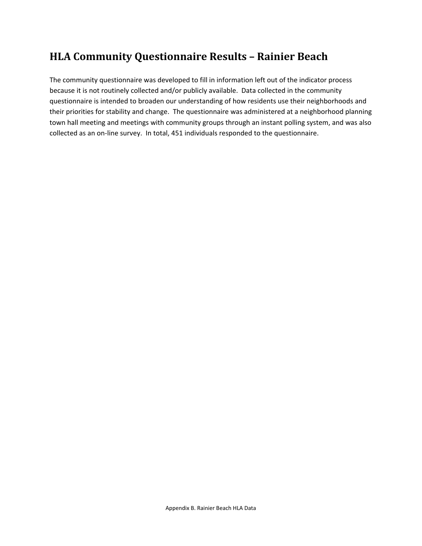## **HLA Community Questionnaire Results – Rainier Beach**

The community questionnaire was developed to fill in information left out of the indicator process because it is not routinely collected and/or publicly available. Data collected in the community questionnaire is intended to broaden our understanding of how residents use their neighborhoods and their priorities for stability and change. The questionnaire was administered at a neighborhood planning town hall meeting and meetings with community groups through an instant polling system, and was also collected as an on‐line survey. In total, 451 individuals responded to the questionnaire.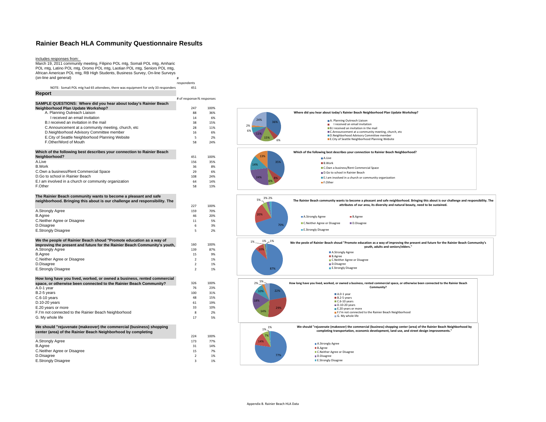### **Rainier Beach HLA Community Questionnaire Results**

#### includes responses from:

March 19, 2011 community meeting, Filipino POL mtg, Somali POL mtg, Amharic POL mtg, Latino POL mtg, Oromo POL mtg, Laotian POL mtg, Seniors POL mtg, African American POL mtg, RB High Students, Business Survey, On-line Surveys (on-line and general) respondents NOTE: Somali POL mtg had 65 attendees, there was equipment for only 33 responders 451 **Report** # of responses% responses 247 100%36% A. Planning Outreach Liaison 88 I received an email invitationn and  $14$  6% 15% B.I received an invitation in the mail 38 15%C.Announcement at a community meeting, church, etc<br>
D.Neighborhood Advisory Committee member 16 16 6% D.Neighborhood Advisory Committee member E.City of Seattle Neighborhood Planning Website<br>
F.Other/Word of Mouth<br>
58 24% F.Other/Word of Mouth 58 24%**Which of the following best describes your connection to Rainier Beach Neighborhood?** 451 100%<br>A.Live 156 35% A.Livee 156 35%  $8%$ B.Workk 36 8% and 36 8% and 36 8% and 36 8% and 36 8% and 36 8% and 36 8% and 36 8% and 36 8% and 36 8% and 36 8% and  $6\%$ C.Own a business/Rent Commercial Space 29 6% 29 6% 29 6% 29 6% 29 6% 29 6% 29 6% 29 6% 2010 D.Go to school in Rainier Beach $108$  24% 14% E.I am involved in a church or community organization 64 F.Other $\sim$  58 13% 227 100%70% A.Strongly Agree <sup>159</sup> 70% B.Agree <sup>46</sup> 20% C.Neither Agree or Disagree <sup>11</sup> 5% D.Disagree <sup>6</sup> 3% E.Strongly Disagree 5 2% 160 100%A.Strongly Agree 139 87% B.Agree 15 9% and the set of the set of the set of the set of the set of the set of the set of the set of the set of the set of the set of the set of the set of the set of the set of the set of the set of the set of the se C.Neither Agree or Disagree 2 1% D.Disagree 2 1% E.Strongly Disagree 2 1% 326 100%23% A.0-1 year <sup>76</sup> 23% B.2-5 years  $100$   $31\%$ C.6-10 years 48 15% and 15% and 15% and 15% and 15% and 15% and 15% and 15% and 15% and 15% and 15% and 15% and 15% and 15% and 15% and 15% and 15% and 15% and 15% and 15% and 15% and 15% and 15% and 15% and 15% and 15% an D.10-20 years <sup>61</sup> 19% E.20 years or more 33 10%<br>
E.I'm not connected to the Rainier Beach Neighborhood 33 2% 2% F.I'm not connected to the Rainier Beach Neighborhood 8 2 G. My whole life 17 5% 224 100%77% A.Strongly Agree 173 77% and 173 77% and 173 77% and 173 77% and 173 77% and 173 77% and 173 77% and 173 77% and 174% B.Agree <sup>31</sup> 14% C.Neither Agree or Disagree 15 7% and the U.S. control of the U.S. control of the U.S. control of the U.S. control of the U.S. control of the U.S. control of the U.S. control of the U.S. control of the U.S. control of the **SAMPLE QUESTIONS: Where did you hear about today's Rainier Beach Neighborhood Plan Update Workshop? The Rainier Beach community wants to become a pleasant and safe neighborhood. Bringing this about is our challenge and responsibility. The We the people of Rainier Beach shoud "Promote education as a way of improving the present and future for the Rainier Beach Community's youth, How long have you lived, worked, or owned a business, rented commercial space, or otherwise been connected to the Rainier Beach Community? We should "rejuvenate (makeover) the commercial (business) shopping center (area) of the Rainier Beach Neighborhood by completing** 6%2%

D.Disagree <sup>2</sup> 1%

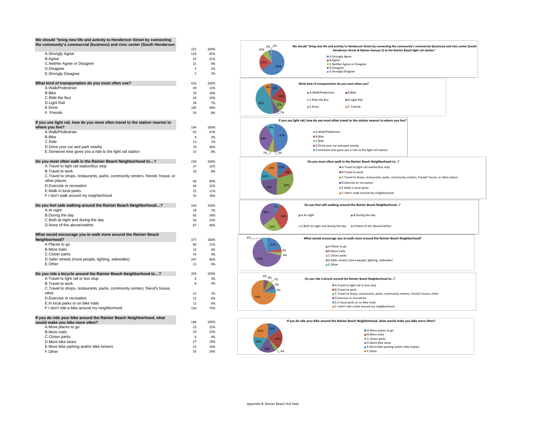| We should "bring new life and activity to Henderson Street by connecting<br>the community's commercial (business) and civic center (South Henderson |                |            |
|-----------------------------------------------------------------------------------------------------------------------------------------------------|----------------|------------|
|                                                                                                                                                     | 221            | 100%       |
| A.Strongly Agree<br><b>B.Agree</b>                                                                                                                  | 143<br>47      | 65%<br>21% |
| C.Neither Agree or Disagree                                                                                                                         | 21             | 9%         |
| D.Disagree                                                                                                                                          | 5              | 2%         |
| E.Strongly Disagree                                                                                                                                 | 5              | 2%         |
| What kind of transportation do you most often use?                                                                                                  | 416            | 100%       |
| A.Walk/Pedestrian                                                                                                                                   | 49             | 12%        |
| <b>B.Bike</b>                                                                                                                                       | 76<br>43       | 18%<br>10% |
| C.Ride the Bus<br>D.Light Rail                                                                                                                      | 28             | 7%         |
| E.Drive                                                                                                                                             | 185            | 44%        |
| F. Friends                                                                                                                                          | 35             | 8%         |
| If you use light rail, how do you most often travel to the station nearest to<br>where you live?                                                    | 194            | 100%       |
| A.Walk/Pedestrian                                                                                                                                   | 92             | 47%        |
| <b>B.Bike</b>                                                                                                                                       | $\overline{4}$ | 2%         |
| C.Ride                                                                                                                                              | 13             | 7%         |
| D. Drive your car and park nearby                                                                                                                   | 70             | 36%        |
| E.Someone else gives you a ride to the light rail station                                                                                           | 15             | 8%         |
| Do you most often walk in the Rainier Beach Neighborhood to?                                                                                        | 220            | 100%       |
| A. Travel to light rail station/bus stop                                                                                                            | 27             | 12%        |
| <b>B.Travel to work</b>                                                                                                                             | 18             | 8%         |
| C. Travel to shops, restaurants, parks, community centers, friends' house, or                                                                       |                |            |
| other places                                                                                                                                        | 66             | 30%        |
| D. Exercise or recreation<br>E.Walk in local parks                                                                                                  | 49<br>25       | 22%<br>11% |
| F.I don't walk around my neighborhood                                                                                                               | 35             | 16%        |
| Do you feel safe walking around the Rainier Beach Neighborhood?                                                                                     | 244            | 100%       |
| A.At night                                                                                                                                          | 18             | 7%         |
| B.During the day                                                                                                                                    | 83             | 34%        |
| C.Both at night and during the day                                                                                                                  | 56             | 23%        |
| D.None of the above/neither                                                                                                                         | 87             | 36%        |
| What would encourage you to walk more around the Rainier Beach<br>Neighborhood?                                                                     | 377            | 100%       |
| A.Places to go                                                                                                                                      | 80             | 21%        |
| <b>B.More trails</b>                                                                                                                                | 15             | 4%         |
| C.Closer parks                                                                                                                                      | 14             | 4%         |
| D.Safer streets (more people, lighting, sidewalks)                                                                                                  | 247            | 66%        |
| E.Other                                                                                                                                             | 21             | 6%         |
| Do you ride a bicycle around the Rainier Beach Neighborhood to?                                                                                     | 203            | 100%       |
| A. Travel to light rail or bus stop                                                                                                                 | 6              | 3%         |
| <b>B.Travel to work</b>                                                                                                                             | 8              | 4%         |
| C. Travel to shops, restaurants, parks, community centers, friend's house,                                                                          |                |            |
| other                                                                                                                                               | 15<br>12       | 7%<br>6%   |
| D. Exercise or recreation<br>E.In local parks or on bike trails                                                                                     | 12             | 6%         |
| F.I don't ride a bike around my neighborhood                                                                                                        | 150            | 74%        |
| If you do ride your bike around the Rainier Beach Neighborhood, what                                                                                |                |            |
| would make you bike more often?                                                                                                                     | 146            | 100%       |
| A.More places to go                                                                                                                                 | 22             | 15%        |
| <b>B.More trails</b>                                                                                                                                | 33             | 23%        |
| C.Closer parks<br>D.More bike lanes                                                                                                                 | 6<br>27        | 4%<br>18%  |
| E.More bike parking and/or bike lockers                                                                                                             | 23             | 16%        |
| F.Other                                                                                                                                             | 35             | 24%        |

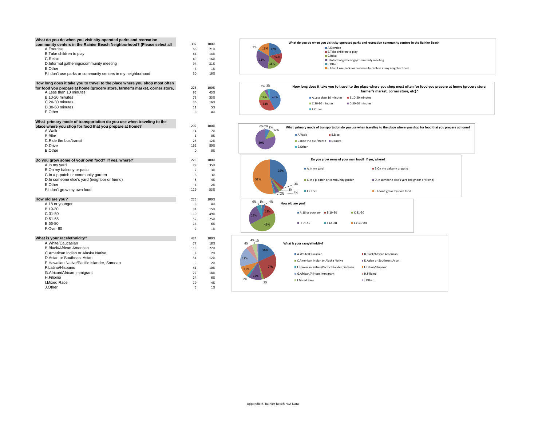| What do you do when you visit city-operated parks and recreation<br>community centers in the Rainier Beach Neighborhood? (Please select all | 307                      | 100%        |
|---------------------------------------------------------------------------------------------------------------------------------------------|--------------------------|-------------|
| A.Exercise                                                                                                                                  | 66                       | 21%         |
| B. Take children to play                                                                                                                    | 44                       | 14%         |
| C.Relax                                                                                                                                     | 49                       | 16%         |
| D.Informal gatherings/community meeting                                                                                                     | 94                       | 31%         |
| E.Other                                                                                                                                     | $\overline{\mathbf{4}}$  | 1%          |
| F.I don't use parks or community centers in my neighborhood                                                                                 | 50                       | 16%         |
| How long does it take you to travel to the place where you shop most often                                                                  |                          |             |
| for food you prepare at home (grocery store, farmer's market, corner store,<br>A.Less than 10 minutes                                       | 223<br>95                | 100%<br>43% |
| B.10-20 minutes                                                                                                                             | 73                       | 33%         |
| C.20-30 minutes                                                                                                                             | 36                       | 16%         |
| D.30-60 minutes                                                                                                                             | 11                       | 5%          |
| E.Other                                                                                                                                     | 8                        | 4%          |
| What primary mode of transportation do you use when traveling to the                                                                        |                          |             |
| place where you shop for food that you prepare at home?                                                                                     | 202                      | 100%        |
| A.Walk                                                                                                                                      | 14                       | 7%          |
| <b>B.Bike</b>                                                                                                                               | 1                        | 0%          |
| C.Ride the bus/transit                                                                                                                      | 25                       | 12%         |
| D.Drive                                                                                                                                     | 162                      | 80%         |
| E.Other                                                                                                                                     | 0                        | 0%          |
| Do you grow some of your own food? If yes, where?                                                                                           | 223                      | 100%        |
| A.In my yard                                                                                                                                | 79                       | 35%         |
| B.On my balcony or patio                                                                                                                    | $\overline{7}$           | 3%          |
| C.In a p-patch or community garden                                                                                                          | 6                        | 3%          |
| D.In someone else's yard (neighbor or friend)                                                                                               | 8                        | 4%          |
| E.Other                                                                                                                                     | 4                        | 2%          |
| F.I don't grow my own food                                                                                                                  | 119                      | 53%         |
| How old are you?                                                                                                                            | 225                      | 100%        |
| A.18 or younger                                                                                                                             | 8                        | 4%          |
| B.19-30                                                                                                                                     | 34                       | 15%         |
| $C.31-50$                                                                                                                                   | 110                      | 49%         |
| D.51-65                                                                                                                                     | 57                       | 25%         |
| E.66-80                                                                                                                                     | 14                       | 6%          |
| F.Over 80                                                                                                                                   | $\overline{\phantom{a}}$ | 1%          |
| What is your race/ethnicity?                                                                                                                | 424                      | 100%        |
| A.White/Caucasian                                                                                                                           | 77                       | 18%         |
| <b>B.Black/African American</b>                                                                                                             | 113                      | 27%         |
| C.American Indian or Alaska Native                                                                                                          | 8                        | 2%          |
| D.Asian or Southeast Asian                                                                                                                  | 51                       | 12%         |
| E.Hawaiian Native/Pacific Islander, Samoan                                                                                                  | 9                        | 2%          |
| F.Latino/Hispanic                                                                                                                           | 41<br>77                 | 10%         |
| G.African/African Immigrant<br>H.Filipino                                                                                                   |                          | 18%         |
| <b>I.Mixed Race</b>                                                                                                                         | 24<br>19                 | 6%          |
| J.Other                                                                                                                                     | 5                        | 4%<br>1%    |
|                                                                                                                                             |                          |             |

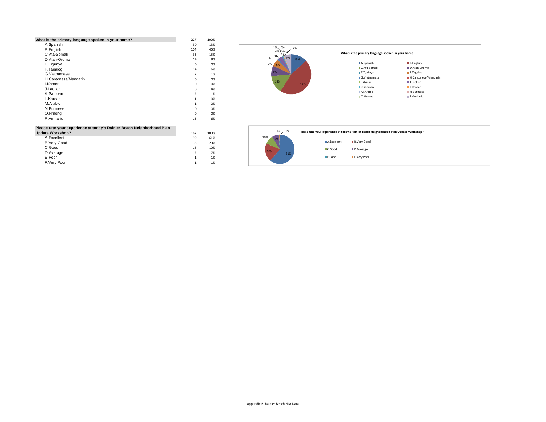| What is the primary language spoken in your home?                      | 227            | 100% |
|------------------------------------------------------------------------|----------------|------|
| A.Spanish                                                              | 30             | 13%  |
| <b>B.English</b>                                                       | 104            | 46%  |
| C.Afa-Somali                                                           | 33             | 15%  |
| D.Afan-Oromo                                                           | 19             | 8%   |
| E.Tigrinya                                                             | $\Omega$       | 0%   |
| F.Tagalog                                                              | 14             | 6%   |
| G.Vietnamese                                                           | $\overline{2}$ | 1%   |
| H.Cantonese/Mandarin                                                   | $\Omega$       | 0%   |
| <b>I.Khmer</b>                                                         | 0              | 0%   |
| J.Laotian                                                              | 8              | 4%   |
| K.Samoan                                                               | $\overline{2}$ | 1%   |
| L.Korean                                                               | 1              | 0%   |
| M.Arabic                                                               | 1              | 0%   |
| N.Burmese                                                              | $\Omega$       | 0%   |
| O.Hmong                                                                | $\Omega$       | 0%   |
| P.Amharic                                                              | 13             | 6%   |
| Please rate your experience at today's Rainier Beach Neighborhood Plan |                |      |
| <b>Update Workshop?</b>                                                | 162            | 100% |

61%<br>20%

10%<br>7%

 $1\%$  1%

| <b>UNUBLE TIUL NOTION:</b> | 10Z | 10070 |
|----------------------------|-----|-------|
| A.Excellent                | 99  | 61%   |
| <b>B.Very Good</b>         | 33  | 20%   |
| C.Good                     | 16  | 10%   |
| D.Average                  | 12  | 7%    |
| E.Poor                     |     | 1%    |
| F.Very Poor                |     | 1%    |
|                            |     |       |



| 1%<br>$-1%$<br>10% |             | Please rate your experience at today's Rainier Beach Neighborhood Plan Update Workshop? |
|--------------------|-------------|-----------------------------------------------------------------------------------------|
|                    | A.Excellent | <b>B.Very Good</b>                                                                      |
| 20%                | C.Good      | D.Average                                                                               |
| 61%                | E.Poor      | F.Very Poor                                                                             |
|                    |             |                                                                                         |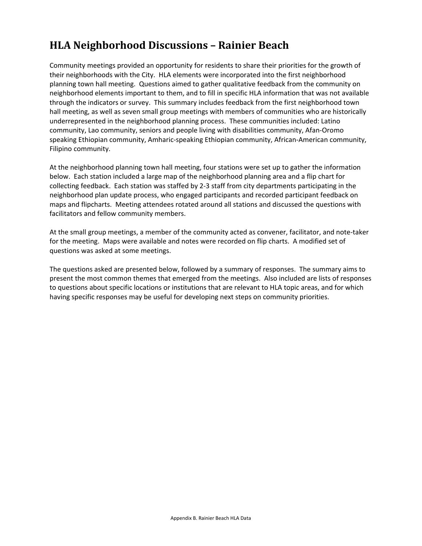## **HLA Neighborhood Discussions – Rainier Beach**

Community meetings provided an opportunity for residents to share their priorities for the growth of their neighborhoods with the City. HLA elements were incorporated into the first neighborhood planning town hall meeting. Questions aimed to gather qualitative feedback from the community on neighborhood elements important to them, and to fill in specific HLA information that was not available through the indicators or survey. This summary includes feedback from the first neighborhood town hall meeting, as well as seven small group meetings with members of communities who are historically underrepresented in the neighborhood planning process. These communities included: Latino community, Lao community, seniors and people living with disabilities community, Afan‐Oromo speaking Ethiopian community, Amharic‐speaking Ethiopian community, African‐American community, Filipino community.

At the neighborhood planning town hall meeting, four stations were set up to gather the information below. Each station included a large map of the neighborhood planning area and a flip chart for collecting feedback. Each station was staffed by 2‐3 staff from city departments participating in the neighborhood plan update process, who engaged participants and recorded participant feedback on maps and flipcharts. Meeting attendees rotated around all stations and discussed the questions with facilitators and fellow community members.

At the small group meetings, a member of the community acted as convener, facilitator, and note‐taker for the meeting. Maps were available and notes were recorded on flip charts. A modified set of questions was asked at some meetings.

The questions asked are presented below, followed by a summary of responses. The summary aims to present the most common themes that emerged from the meetings. Also included are lists of responses to questions about specific locations or institutions that are relevant to HLA topic areas, and for which having specific responses may be useful for developing next steps on community priorities.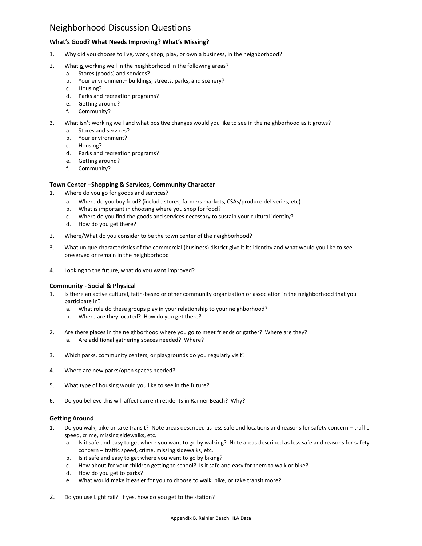## Neighborhood Discussion Questions

## **What's Good? What Needs Improving? What's Missing?**

- 1. Why did you choose to live, work, shop, play, or own a business, in the neighborhood?
- 2. What is working well in the neighborhood in the following areas?
	- a. Stores (goods) and services?
	- b. Your environment– buildings, streets, parks, and scenery?
	- c. Housing?
	- d. Parks and recreation programs?
	- e. Getting around?
	- f. Community?
- 3. What isn't working well and what positive changes would you like to see in the neighborhood as it grows?
	- a. Stores and services?
	- b. Your environment?
	- c. Housing?
	- d. Parks and recreation programs?
	- e. Getting around?
	- f. Community?

## **Town Center –Shopping & Services, Community Character**

- Where do you go for goods and services?
	- a. Where do you buy food? (include stores, farmers markets, CSAs/produce deliveries, etc)
	- b. What is important in choosing where you shop for food?
	- c. Where do you find the goods and services necessary to sustain your cultural identity?
	- d. How do you get there?
- 2. Where/What do you consider to be the town center of the neighborhood?
- 3. What unique characteristics of the commercial (business) district give it its identity and what would you like to see preserved or remain in the neighborhood
- 4. Looking to the future, what do you want improved?

## **Community ‐ Social & Physical**

- 1. Is there an active cultural, faith-based or other community organization or association in the neighborhood that you participate in?
	- a. What role do these groups play in your relationship to your neighborhood?
	- b. Where are they located? How do you get there?
- 2. Are there places in the neighborhood where you go to meet friends or gather? Where are they? a. Are additional gathering spaces needed? Where?
- 3. Which parks, community centers, or playgrounds do you regularly visit?
- 4. Where are new parks/open spaces needed?
- 5. What type of housing would you like to see in the future?
- 6. Do you believe this will affect current residents in Rainier Beach? Why?

## **Getting Around**

- 1. Do you walk, bike or take transit? Note areas described as less safe and locations and reasons for safety concern traffic speed, crime, missing sidewalks, etc.
	- a. Is it safe and easy to get where you want to go by walking? Note areas described as less safe and reasons for safety concern – traffic speed, crime, missing sidewalks, etc.
	- b. Is it safe and easy to get where you want to go by biking?
	- c. How about for your children getting to school? Is it safe and easy for them to walk or bike?
	- d. How do you get to parks?
	- e. What would make it easier for you to choose to walk, bike, or take transit more?
- 2. Do you use Light rail? If yes, how do you get to the station?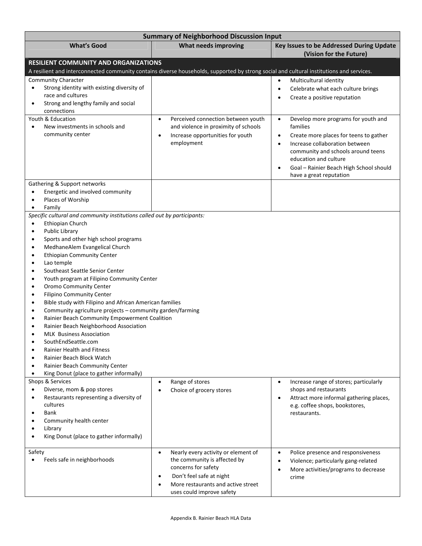| <b>Summary of Neighborhood Discussion Input</b>                                                                                                                                                                                                                                                                                                                                                                                                                                                                                                                                                                                                                                                                                                                                                                                                                                                                                                            |                                                                                                                                                                                                                     |                                                                                                                                                                                                                                                                                                                      |  |  |  |  |  |  |  |
|------------------------------------------------------------------------------------------------------------------------------------------------------------------------------------------------------------------------------------------------------------------------------------------------------------------------------------------------------------------------------------------------------------------------------------------------------------------------------------------------------------------------------------------------------------------------------------------------------------------------------------------------------------------------------------------------------------------------------------------------------------------------------------------------------------------------------------------------------------------------------------------------------------------------------------------------------------|---------------------------------------------------------------------------------------------------------------------------------------------------------------------------------------------------------------------|----------------------------------------------------------------------------------------------------------------------------------------------------------------------------------------------------------------------------------------------------------------------------------------------------------------------|--|--|--|--|--|--|--|
| <b>What's Good</b>                                                                                                                                                                                                                                                                                                                                                                                                                                                                                                                                                                                                                                                                                                                                                                                                                                                                                                                                         | What needs improving                                                                                                                                                                                                | Key Issues to be Addressed During Update<br>(Vision for the Future)                                                                                                                                                                                                                                                  |  |  |  |  |  |  |  |
| <b>RESILIENT COMMUNITY AND ORGANIZATIONS</b><br>A resilient and interconnected community contains diverse households, supported by strong social and cultural institutions and services.                                                                                                                                                                                                                                                                                                                                                                                                                                                                                                                                                                                                                                                                                                                                                                   |                                                                                                                                                                                                                     |                                                                                                                                                                                                                                                                                                                      |  |  |  |  |  |  |  |
| Community Character<br>Strong identity with existing diversity of<br>$\bullet$<br>race and cultures<br>Strong and lengthy family and social<br>$\bullet$<br>connections                                                                                                                                                                                                                                                                                                                                                                                                                                                                                                                                                                                                                                                                                                                                                                                    |                                                                                                                                                                                                                     | Multicultural identity<br>$\bullet$<br>Celebrate what each culture brings<br>$\bullet$<br>Create a positive reputation<br>$\bullet$                                                                                                                                                                                  |  |  |  |  |  |  |  |
| Youth & Education<br>New investments in schools and<br>$\bullet$<br>community center                                                                                                                                                                                                                                                                                                                                                                                                                                                                                                                                                                                                                                                                                                                                                                                                                                                                       | Perceived connection between youth<br>$\bullet$<br>and violence in proximity of schools<br>Increase opportunities for youth<br>$\bullet$<br>employment                                                              | Develop more programs for youth and<br>$\bullet$<br>families<br>Create more places for teens to gather<br>$\bullet$<br>Increase collaboration between<br>$\bullet$<br>community and schools around teens<br>education and culture<br>Goal - Rainier Beach High School should<br>$\bullet$<br>have a great reputation |  |  |  |  |  |  |  |
| Gathering & Support networks<br>Energetic and involved community<br>Places of Worship<br>Family<br>$\bullet$                                                                                                                                                                                                                                                                                                                                                                                                                                                                                                                                                                                                                                                                                                                                                                                                                                               |                                                                                                                                                                                                                     |                                                                                                                                                                                                                                                                                                                      |  |  |  |  |  |  |  |
| Specific cultural and community institutions called out by participants:<br>Ethiopian Church<br>٠<br>Public Library<br>$\bullet$<br>Sports and other high school programs<br>$\bullet$<br>MedhaneAlem Evangelical Church<br>$\bullet$<br><b>Ethiopian Community Center</b><br>$\bullet$<br>Lao temple<br>$\bullet$<br>Southeast Seattle Senior Center<br>$\bullet$<br>Youth program at Filipino Community Center<br>٠<br>Oromo Community Center<br>$\bullet$<br>Filipino Community Center<br>$\bullet$<br>Bible study with Filipino and African American families<br>$\bullet$<br>Community agriculture projects - community garden/farming<br>٠<br>Rainier Beach Community Empowerment Coalition<br>$\bullet$<br>Rainier Beach Neighborhood Association<br><b>MLK</b> Business Association<br>SouthEndSeattle.com<br>Rainier Health and Fitness<br>Rainier Beach Block Watch<br>Rainier Beach Community Center<br>King Donut (place to gather informally) |                                                                                                                                                                                                                     |                                                                                                                                                                                                                                                                                                                      |  |  |  |  |  |  |  |
| Shops & Services<br>Diverse, mom & pop stores<br>Restaurants representing a diversity of<br>$\bullet$<br>cultures<br><b>Bank</b><br>Community health center<br>Library<br>King Donut (place to gather informally)                                                                                                                                                                                                                                                                                                                                                                                                                                                                                                                                                                                                                                                                                                                                          | Range of stores<br>Choice of grocery stores                                                                                                                                                                         | Increase range of stores; particularly<br>$\bullet$<br>shops and restaurants<br>Attract more informal gathering places,<br>$\bullet$<br>e.g. coffee shops, bookstores,<br>restaurants.                                                                                                                               |  |  |  |  |  |  |  |
| Safety<br>Feels safe in neighborhoods                                                                                                                                                                                                                                                                                                                                                                                                                                                                                                                                                                                                                                                                                                                                                                                                                                                                                                                      | Nearly every activity or element of<br>$\bullet$<br>the community is affected by<br>concerns for safety<br>Don't feel safe at night<br>$\bullet$<br>More restaurants and active street<br>uses could improve safety | Police presence and responsiveness<br>$\bullet$<br>Violence; particularly gang-related<br>$\bullet$<br>More activities/programs to decrease<br>$\bullet$<br>crime                                                                                                                                                    |  |  |  |  |  |  |  |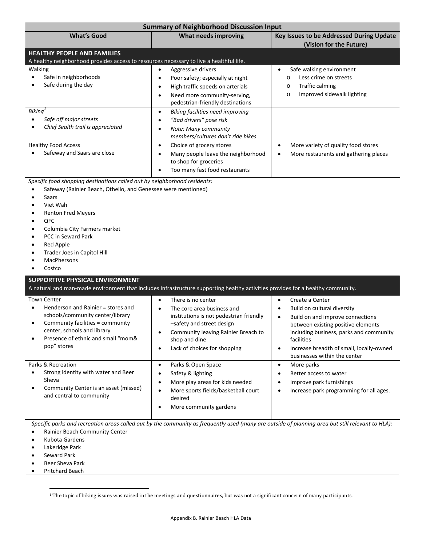| <b>Summary of Neighborhood Discussion Input</b>                                                                                                                                                                                                                                                                                                                                                                                                               |                                                                                                                                                                                                                                                                                                                                                                          |                                                                                                                                                                                                                                                                                                                                                                                     |  |  |  |  |  |  |  |
|---------------------------------------------------------------------------------------------------------------------------------------------------------------------------------------------------------------------------------------------------------------------------------------------------------------------------------------------------------------------------------------------------------------------------------------------------------------|--------------------------------------------------------------------------------------------------------------------------------------------------------------------------------------------------------------------------------------------------------------------------------------------------------------------------------------------------------------------------|-------------------------------------------------------------------------------------------------------------------------------------------------------------------------------------------------------------------------------------------------------------------------------------------------------------------------------------------------------------------------------------|--|--|--|--|--|--|--|
| <b>What's Good</b>                                                                                                                                                                                                                                                                                                                                                                                                                                            | What needs improving                                                                                                                                                                                                                                                                                                                                                     | Key Issues to be Addressed During Update<br>(Vision for the Future)                                                                                                                                                                                                                                                                                                                 |  |  |  |  |  |  |  |
| <b>HEALTHY PEOPLE AND FAMILIES</b><br>A healthy neighborhood provides access to resources necessary to live a healthful life.                                                                                                                                                                                                                                                                                                                                 |                                                                                                                                                                                                                                                                                                                                                                          |                                                                                                                                                                                                                                                                                                                                                                                     |  |  |  |  |  |  |  |
| Walking<br>Safe in neighborhoods<br>$\bullet$<br>Safe during the day<br>Biking <sup><math>\pm</math></sup><br>Safe off major streets<br>$\bullet$<br>Chief Sealth trail is appreciated<br>$\bullet$                                                                                                                                                                                                                                                           | Aggressive drivers<br>$\bullet$<br>Poor safety; especially at night<br>$\bullet$<br>High traffic speeds on arterials<br>$\bullet$<br>Need more community-serving,<br>$\bullet$<br>pedestrian-friendly destinations<br>Biking facilities need improving<br>$\bullet$<br>"Bad drivers" pose risk<br>Note: Many community<br>$\bullet$<br>members/cultures don't ride bikes | Safe walking environment<br>٠<br>Less crime on streets<br>$\circ$<br><b>Traffic calming</b><br>$\circ$<br>Improved sidewalk lighting<br>$\circ$                                                                                                                                                                                                                                     |  |  |  |  |  |  |  |
| <b>Healthy Food Access</b><br>Safeway and Saars are close                                                                                                                                                                                                                                                                                                                                                                                                     | Choice of grocery stores<br>$\bullet$<br>Many people leave the neighborhood<br>٠<br>to shop for groceries<br>Too many fast food restaurants<br>$\bullet$                                                                                                                                                                                                                 | More variety of quality food stores<br>$\bullet$<br>More restaurants and gathering places<br>$\bullet$                                                                                                                                                                                                                                                                              |  |  |  |  |  |  |  |
| Specific food shopping destinations called out by neighborhood residents:<br>Safeway (Rainier Beach, Othello, and Genessee were mentioned)<br>$\bullet$<br>Saars<br>$\bullet$<br>Viet Wah<br>٠<br><b>Renton Fred Meyers</b><br>٠<br>QFC<br>$\bullet$<br>Columbia City Farmers market<br>$\bullet$<br>PCC in Seward Park<br>$\bullet$<br>Red Apple<br>$\bullet$<br>Trader Joes in Capitol Hill<br>$\bullet$<br>MacPhersons<br>$\bullet$<br>Costco<br>$\bullet$ |                                                                                                                                                                                                                                                                                                                                                                          |                                                                                                                                                                                                                                                                                                                                                                                     |  |  |  |  |  |  |  |
| SUPPORTIVE PHYSICAL ENVIRONMENT<br>A natural and man-made environment that includes infrastructure supporting healthy activities provides for a healthy community.                                                                                                                                                                                                                                                                                            |                                                                                                                                                                                                                                                                                                                                                                          |                                                                                                                                                                                                                                                                                                                                                                                     |  |  |  |  |  |  |  |
| <b>Town Center</b><br>Henderson and Rainier = stores and<br>$\bullet$<br>schools/community center/library<br>Community facilities = community<br>$\bullet$<br>center, schools and library<br>Presence of ethnic and small "mom&<br>$\bullet$<br>pop" stores<br>Parks & Recreation<br>Strong identity with water and Beer<br>$\bullet$<br>Sheva                                                                                                                | There is no center<br>٠<br>The core area business and<br>institutions is not pedestrian friendly<br>-safety and street design<br>Community leaving Rainier Breach to<br>shop and dine<br>Lack of choices for shopping<br>$\bullet$<br>Parks & Open Space<br>$\bullet$<br>Safety & lighting<br>$\bullet$                                                                  | Create a Center<br>$\bullet$<br>Build on cultural diversity<br>$\bullet$<br>Build on and improve connections<br>$\bullet$<br>between existing positive elements<br>including business, parks and community<br>facilities<br>Increase breadth of small, locally-owned<br>$\bullet$<br>businesses within the center<br>More parks<br>$\bullet$<br>Better access to water<br>$\bullet$ |  |  |  |  |  |  |  |
| Community Center is an asset (missed)<br>$\bullet$<br>and central to community                                                                                                                                                                                                                                                                                                                                                                                | More play areas for kids needed<br>$\bullet$<br>More sports fields/basketball court<br>$\bullet$<br>desired<br>More community gardens<br>$\bullet$                                                                                                                                                                                                                       | Improve park furnishings<br>$\bullet$<br>Increase park programming for all ages.<br>$\bullet$                                                                                                                                                                                                                                                                                       |  |  |  |  |  |  |  |
| Rainier Beach Community Center<br>$\bullet$<br>Kubota Gardens<br>٠<br>Lakeridge Park<br>$\bullet$                                                                                                                                                                                                                                                                                                                                                             |                                                                                                                                                                                                                                                                                                                                                                          | Specific parks and recreation areas called out by the community as frequently used (many are outside of planning area but still relevant to HLA):                                                                                                                                                                                                                                   |  |  |  |  |  |  |  |

Seward Park

 $\overline{a}$ 

- Beer Sheva Park
- Pritchard Beach

 $^{\rm 1}$  The topic of biking issues was raised in the meetings and questionnaires, but was not a significant concern of many participants.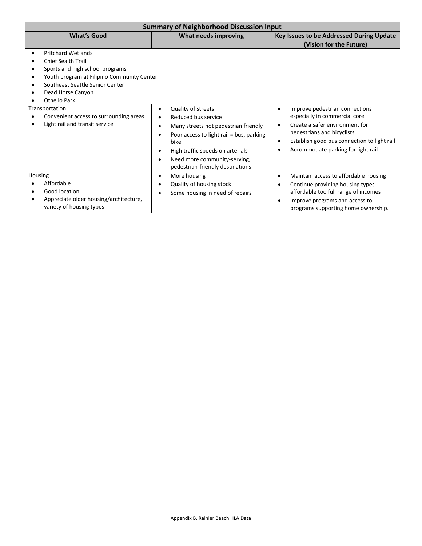| <b>Summary of Neighborhood Discussion Input</b>                                                                                                                                                                                                                                                               |                                                                                                                                                                                                                                                    |                                                                                                                                                                                                                                                                          |  |  |  |  |  |  |
|---------------------------------------------------------------------------------------------------------------------------------------------------------------------------------------------------------------------------------------------------------------------------------------------------------------|----------------------------------------------------------------------------------------------------------------------------------------------------------------------------------------------------------------------------------------------------|--------------------------------------------------------------------------------------------------------------------------------------------------------------------------------------------------------------------------------------------------------------------------|--|--|--|--|--|--|
| <b>What's Good</b>                                                                                                                                                                                                                                                                                            | What needs improving                                                                                                                                                                                                                               | Key Issues to be Addressed During Update<br>(Vision for the Future)                                                                                                                                                                                                      |  |  |  |  |  |  |
| <b>Pritchard Wetlands</b><br><b>Chief Sealth Trail</b><br>Sports and high school programs<br>Youth program at Filipino Community Center<br>Southeast Seattle Senior Center<br>Dead Horse Canyon<br>Othello Park<br>Transportation<br>Convenient access to surrounding areas<br>Light rail and transit service | Quality of streets<br>٠<br>Reduced bus service<br>Many streets not pedestrian friendly<br>Poor access to light rail = bus, parking<br>bike<br>High traffic speeds on arterials<br>Need more community-serving,<br>pedestrian-friendly destinations | Improve pedestrian connections<br>$\bullet$<br>especially in commercial core<br>Create a safer environment for<br>$\bullet$<br>pedestrians and bicyclists<br>Establish good bus connection to light rail<br>$\bullet$<br>Accommodate parking for light rail<br>$\bullet$ |  |  |  |  |  |  |
| Housing<br>Affordable<br>Good location<br>Appreciate older housing/architecture,<br>variety of housing types                                                                                                                                                                                                  | More housing<br>$\bullet$<br>Quality of housing stock<br>Some housing in need of repairs                                                                                                                                                           | Maintain access to affordable housing<br>$\bullet$<br>Continue providing housing types<br>$\bullet$<br>affordable too full range of incomes<br>Improve programs and access to<br>$\bullet$<br>programs supporting home ownership.                                        |  |  |  |  |  |  |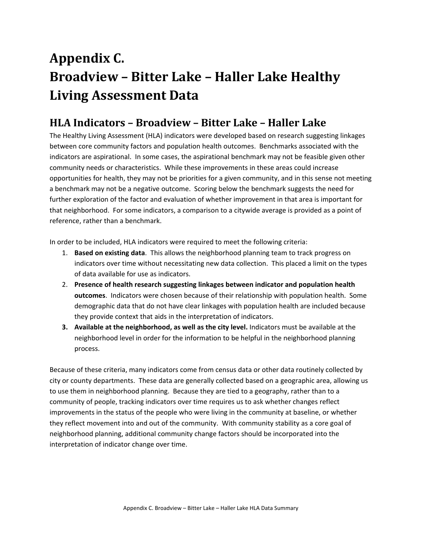# Appendix C. **Broadview – Bitter Lake – Haller Lake Healthy Living Assessment Data**

## **HLA Indicators – Broadview – Bitter Lake – Haller Lake**

The Healthy Living Assessment (HLA) indicators were developed based on research suggesting linkages between core community factors and population health outcomes. Benchmarks associated with the indicators are aspirational. In some cases, the aspirational benchmark may not be feasible given other community needs or characteristics. While these improvements in these areas could increase opportunities for health, they may not be priorities for a given community, and in this sense not meeting a benchmark may not be a negative outcome. Scoring below the benchmark suggests the need for further exploration of the factor and evaluation of whether improvement in that area is important for that neighborhood. For some indicators, a comparison to a citywide average is provided as a point of reference, rather than a benchmark.

In order to be included, HLA indicators were required to meet the following criteria:

- 1. **Based on existing data**. This allows the neighborhood planning team to track progress on indicators over time without necessitating new data collection. This placed a limit on the types of data available for use as indicators.
- 2. **Presence of health research suggesting linkages between indicator and population health outcomes**. Indicators were chosen because of their relationship with population health. Some demographic data that do not have clear linkages with population health are included because they provide context that aids in the interpretation of indicators.
- **3. Available at the neighborhood, as well as the city level.** Indicators must be available at the neighborhood level in order for the information to be helpful in the neighborhood planning process.

Because of these criteria, many indicators come from census data or other data routinely collected by city or county departments. These data are generally collected based on a geographic area, allowing us to use them in neighborhood planning. Because they are tied to a geography, rather than to a community of people, tracking indicators over time requires us to ask whether changes reflect improvements in the status of the people who were living in the community at baseline, or whether they reflect movement into and out of the community. With community stability as a core goal of neighborhood planning, additional community change factors should be incorporated into the interpretation of indicator change over time.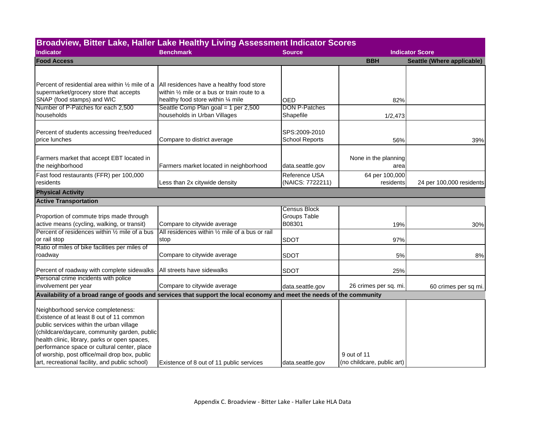| <b>Source</b>                                 | <b>BBH</b>                                                                                                                          | <b>Indicator Score</b><br>Seattle (Where applicable)                                                                                                                                               |
|-----------------------------------------------|-------------------------------------------------------------------------------------------------------------------------------------|----------------------------------------------------------------------------------------------------------------------------------------------------------------------------------------------------|
|                                               |                                                                                                                                     |                                                                                                                                                                                                    |
|                                               |                                                                                                                                     |                                                                                                                                                                                                    |
|                                               |                                                                                                                                     |                                                                                                                                                                                                    |
|                                               |                                                                                                                                     |                                                                                                                                                                                                    |
|                                               |                                                                                                                                     |                                                                                                                                                                                                    |
| Shapefile                                     | 1/2,473                                                                                                                             |                                                                                                                                                                                                    |
| SPS:2009-2010<br><b>School Reports</b>        | 56%                                                                                                                                 | 39%                                                                                                                                                                                                |
|                                               | None in the planning                                                                                                                |                                                                                                                                                                                                    |
|                                               |                                                                                                                                     |                                                                                                                                                                                                    |
|                                               |                                                                                                                                     | 24 per 100,000 residents                                                                                                                                                                           |
|                                               |                                                                                                                                     |                                                                                                                                                                                                    |
|                                               |                                                                                                                                     |                                                                                                                                                                                                    |
| <b>Census Block</b><br>Groups Table<br>B08301 | 19%                                                                                                                                 | 30%                                                                                                                                                                                                |
| <b>SDOT</b>                                   | 97%                                                                                                                                 |                                                                                                                                                                                                    |
|                                               |                                                                                                                                     |                                                                                                                                                                                                    |
| <b>SDOT</b>                                   | 5%                                                                                                                                  | $8%$                                                                                                                                                                                               |
| <b>SDOT</b>                                   | 25%                                                                                                                                 |                                                                                                                                                                                                    |
|                                               | 26 crimes per sq. mi.                                                                                                               | 60 crimes per sq mi.                                                                                                                                                                               |
|                                               |                                                                                                                                     |                                                                                                                                                                                                    |
|                                               | 9 out of 11                                                                                                                         |                                                                                                                                                                                                    |
|                                               | <b>OED</b><br><b>DON P-Patches</b><br>data.seattle.gov<br>Reference USA<br>(NAICS: 7722211)<br>data.seattle.gov<br>data.seattle.gov | 82%<br>area<br>64 per 100,000<br>residents<br>Availability of a broad range of goods and services that support the local economy and meet the needs of the community<br>(no childcare, public art) |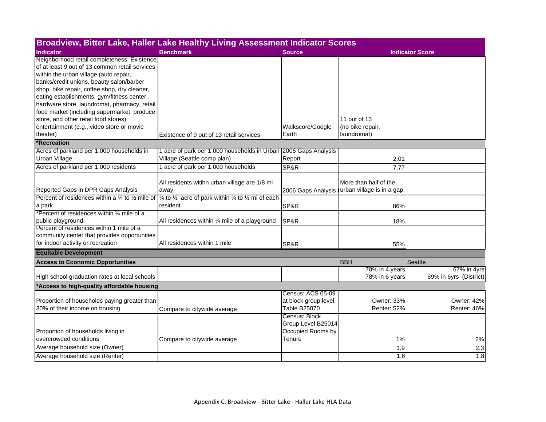| Broadview, Bitter Lake, Haller Lake Healthy Living Assessment Indicator Scores |                                                                                              |                       |                            |                        |  |  |  |  |  |
|--------------------------------------------------------------------------------|----------------------------------------------------------------------------------------------|-----------------------|----------------------------|------------------------|--|--|--|--|--|
| <b>Indicator</b>                                                               | <b>Benchmark</b>                                                                             | <b>Source</b>         | <b>Indicator Score</b>     |                        |  |  |  |  |  |
| Neighborhood retail completeness: Existence                                    |                                                                                              |                       |                            |                        |  |  |  |  |  |
| of at least 9 out of 13 common retail services                                 |                                                                                              |                       |                            |                        |  |  |  |  |  |
| within the urban village (auto repair,                                         |                                                                                              |                       |                            |                        |  |  |  |  |  |
| banks/credit unions, beauty salon/barber                                       |                                                                                              |                       |                            |                        |  |  |  |  |  |
| shop, bike repair, coffee shop, dry cleaner,                                   |                                                                                              |                       |                            |                        |  |  |  |  |  |
| eating establishments, gym/fitness center,                                     |                                                                                              |                       |                            |                        |  |  |  |  |  |
| hardware store, laundromat, pharmacy, retail                                   |                                                                                              |                       |                            |                        |  |  |  |  |  |
| food market (including supermarket, produce                                    |                                                                                              |                       |                            |                        |  |  |  |  |  |
| store, and other retail food stores),                                          |                                                                                              |                       | 11 out of 13               |                        |  |  |  |  |  |
| entertainment (e.g., video store or movie                                      |                                                                                              | Walkscore/Google      | (no bike repair,           |                        |  |  |  |  |  |
| theater)                                                                       | Existence of 9 out of 13 retail services                                                     | Earth                 | laundromat)                |                        |  |  |  |  |  |
| *Recreation                                                                    |                                                                                              |                       |                            |                        |  |  |  |  |  |
| Acres of parkland per 1,000 households in                                      | 1 acre of park per 1,000 households in Urban 2006 Gaps Analysis                              |                       |                            |                        |  |  |  |  |  |
| Urban Village                                                                  | Village (Seattle comp plan)                                                                  | Report                | 2.01                       |                        |  |  |  |  |  |
| Acres of parkland per 1,000 residents                                          | 1 acre of park per 1,000 households                                                          | SP&R                  | 7.77                       |                        |  |  |  |  |  |
|                                                                                | All residents witihn urban village are 1/8 mi                                                |                       | More than half of the      |                        |  |  |  |  |  |
| Reported Gaps in DPR Gaps Analysis                                             | away                                                                                         | 2006 Gaps Analysis    | urban village is in a gap. |                        |  |  |  |  |  |
| Percent of residences within a $\frac{1}{4}$ to $\frac{1}{2}$ mile of          | $\frac{1}{4}$ to $\frac{1}{2}$ acre of park within $\frac{1}{4}$ to $\frac{1}{2}$ mi of each |                       |                            |                        |  |  |  |  |  |
| a park                                                                         | resident                                                                                     | SP&R                  | 86%                        |                        |  |  |  |  |  |
| *Percent of residences within 1/4 mile of a                                    |                                                                                              |                       |                            |                        |  |  |  |  |  |
| public playground                                                              | All residences within 1/4 mile of a playground                                               | SP&R                  | 18%                        |                        |  |  |  |  |  |
| Percent of residences within 1 mile of a                                       |                                                                                              |                       |                            |                        |  |  |  |  |  |
| community center that provides opportunities                                   |                                                                                              |                       |                            |                        |  |  |  |  |  |
| for indoor activity or recreation                                              | All residences within 1 mile                                                                 | SP&R                  | 55%                        |                        |  |  |  |  |  |
| <b>Equitable Development</b>                                                   |                                                                                              |                       |                            |                        |  |  |  |  |  |
| <b>Access to Economic Opportunities</b>                                        |                                                                                              |                       | <b>BBH</b>                 | Seattle                |  |  |  |  |  |
|                                                                                |                                                                                              |                       | 70% in 4 years             | 67% in 4yrs            |  |  |  |  |  |
| High school graduation rates at local schools                                  |                                                                                              |                       | 78% in 6 years             | 69% in 6yrs (District) |  |  |  |  |  |
| *Access to high-quality affordable housing                                     |                                                                                              |                       |                            |                        |  |  |  |  |  |
|                                                                                |                                                                                              | Census: ACS 05-09     |                            |                        |  |  |  |  |  |
| Proportion of households paying greater than                                   |                                                                                              | at block group level, | <b>Owner: 33%</b>          | <b>Owner: 42%</b>      |  |  |  |  |  |
| 30% of their income on housing                                                 | Compare to citywide average                                                                  | <b>Table B25070</b>   | Renter: 52%                | Renter: 46%            |  |  |  |  |  |
|                                                                                |                                                                                              | Census: Block         |                            |                        |  |  |  |  |  |
|                                                                                |                                                                                              | Group Level B25014    |                            |                        |  |  |  |  |  |
| Proportion of households living in                                             |                                                                                              | Occupied Rooms by     |                            |                        |  |  |  |  |  |
| overcrowded conditions                                                         | Compare to citywide average                                                                  | Tenure                | 1%                         | 2%                     |  |  |  |  |  |
| Average household size (Owner)                                                 |                                                                                              |                       | 1.9                        | 2.3                    |  |  |  |  |  |
| Average household size (Renter)                                                |                                                                                              |                       | 1.6                        | 1.8                    |  |  |  |  |  |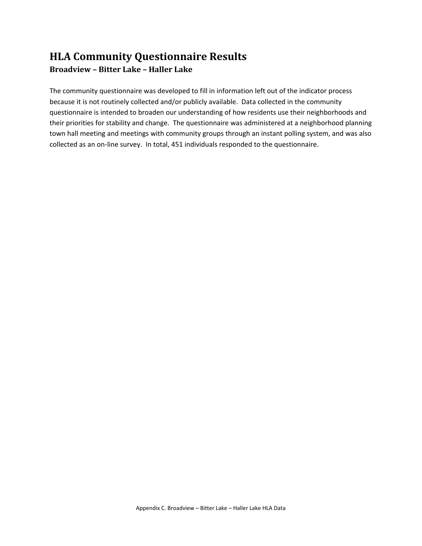## **HLA Community Questionnaire Results Broadview – Bitter Lake – Haller Lake**

The community questionnaire was developed to fill in information left out of the indicator process because it is not routinely collected and/or publicly available. Data collected in the community questionnaire is intended to broaden our understanding of how residents use their neighborhoods and their priorities for stability and change. The questionnaire was administered at a neighborhood planning town hall meeting and meetings with community groups through an instant polling system, and was also collected as an on‐line survey. In total, 451 individuals responded to the questionnaire.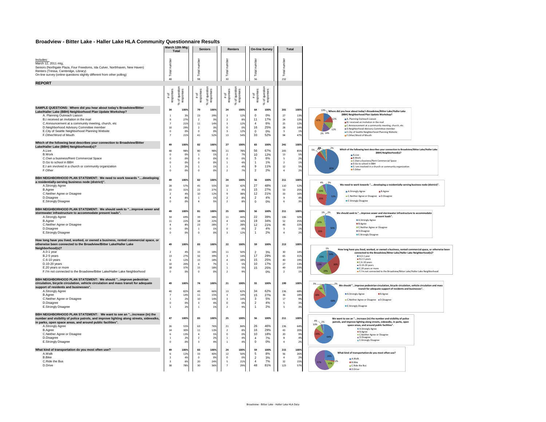### **Broadview - Bitter Lake - Haller Lake HLA Community Questionnaire Results**

|                                                                                                                                                                                                                                                                                                                                                                                          |                                                                                              | March 12th Mtg<br><b>Total</b>                                                |                                                                                          | <b>Seniors</b>                               |                                                                                                                       | <b>Renters</b>                               |                                                                                | <b>On-line Survey</b>                        |                                                                                                | Total                                         |                                                                                                                                                                                                                                                                                                                                                                                                                                                            |
|------------------------------------------------------------------------------------------------------------------------------------------------------------------------------------------------------------------------------------------------------------------------------------------------------------------------------------------------------------------------------------------|----------------------------------------------------------------------------------------------|-------------------------------------------------------------------------------|------------------------------------------------------------------------------------------|----------------------------------------------|-----------------------------------------------------------------------------------------------------------------------|----------------------------------------------|--------------------------------------------------------------------------------|----------------------------------------------|------------------------------------------------------------------------------------------------|-----------------------------------------------|------------------------------------------------------------------------------------------------------------------------------------------------------------------------------------------------------------------------------------------------------------------------------------------------------------------------------------------------------------------------------------------------------------------------------------------------------------|
| Includes:<br>March 12, 2011 mtg<br>Seniors (Northgate Plaza, Four Freedoms, Ida Culver, Northhaven, New Haven)<br>Renters (Tressa, Cambridge, Library)<br>On-line survey (online questions slightly different from other polling)                                                                                                                                                        | number<br>Total<br>48                                                                        |                                                                               | Total numbe<br>98                                                                        |                                              | Total number<br>30                                                                                                    |                                              | Total number<br>56                                                             |                                              | <b>Total</b> number<br>232                                                                     |                                               |                                                                                                                                                                                                                                                                                                                                                                                                                                                            |
| <b>REPORT</b>                                                                                                                                                                                                                                                                                                                                                                            |                                                                                              |                                                                               |                                                                                          |                                              |                                                                                                                       |                                              |                                                                                |                                              |                                                                                                |                                               |                                                                                                                                                                                                                                                                                                                                                                                                                                                            |
|                                                                                                                                                                                                                                                                                                                                                                                          | # of<br>responses                                                                            | of question<br>responses                                                      | # of<br>responses                                                                        | of questio<br>responses                      | # of<br>responses                                                                                                     | of question<br>responses                     | # of<br>responses                                                              | question<br>of questionses                   |                                                                                                |                                               |                                                                                                                                                                                                                                                                                                                                                                                                                                                            |
| SAMPLE QUESTIONS: Where did you hear about today's Broadview/Bitter<br>Lake/Haller Lake (BBH) Neighborhood Plan Update Workshop?<br>A. Planning Outreach Liaison<br>B.I received an invitation in the mail<br>C.Announcement at a community meeting, church, etc<br>D.Neighborhood Advisory Committee member<br>E.City of Seattle Neighborhood Planning Website<br>F.Other/Word of Mouth | 34<br>-q<br>$\overline{7}$<br>$10\,$<br>$\overline{0}$<br>$\overline{7}$                     | 100%<br>39<br>27%<br>21%<br>29%<br>0 <sup>9</sup><br>21%                      | 79<br>23<br>$\overline{2}$<br>11<br>$\overline{2}$<br>$\mathbf{0}$<br>41                 | 100%<br>29%<br>3%<br>14%<br>3%<br>0%<br>52%  | 24<br>$\overline{\mathbf{3}}$<br>$\overline{2}$<br>$\overline{\mathbf{3}}$<br>$\,$ 0<br>$\overline{\mathbf{3}}$<br>13 | 100%<br>12%<br>8%<br>12%<br>0%<br>12%<br>54% | 64<br>$\Omega$<br>11<br>$\overline{4}$<br>16<br>$\mathbf 0$<br>33              | 100%<br>0%<br>17%<br>6%<br>25%<br>0%<br>52%  | 201<br>$27\,$<br>24<br>25<br>28<br>$\overline{\mathbf{3}}$<br>94                               | 100%<br>13%<br>12%<br>12%<br>14%<br>1%<br>47% | $^{13\%} \neg$ Where did you hear about today's Broadview/Bitter Lake/Haller Lake<br>(BBH) Neighborhood Plan Update Workshop?<br><b>MA.</b> Planning Outreach Liaison<br><b>A794</b><br><b>B.I</b> received an invitation in the mail<br>C.Announcement at a community meeting, church, etc<br><b>III D.Neighborhood Advisory Committee member</b><br>12%<br><b>III</b> E.City of Seattle Neighborhood Planning Website<br>2% 14%<br>F.Other/Word of Mouth |
| Which of the following best describes your connection to Broadview/Bitter<br>Lake/Haller Lake (BBH) Neighborhood(s)?<br>A.Live<br><b>B.Work</b><br>C.Own a business/Rent Commercial Space<br>D.Go to school in BBH<br>E.I am involved in a church or community organization<br>F.Other                                                                                                   | 49<br>48<br>$\mathbf 0$<br>$\overline{0}$<br>$\mathbf 0$<br>$\overline{1}$<br>$\overline{0}$ | 100%<br>989<br>0 <sup>9</sup><br>0%<br>0 <sup>9</sup><br>2%<br>0 <sup>9</sup> | 82<br>80<br>$\mathbf{1}$<br>$\mathbf{0}$<br>$\mathbf 0$<br>$\overline{1}$<br>$\mathbf 0$ | 100%<br>98%<br>1%<br>0%<br>0%<br>1%<br>0%    | 27<br>$\bf{21}$<br>$\overline{2}$<br>$\overline{0}$<br>$\,1\,$<br>$\overline{1}$<br>$\overline{2}$                    | 100%<br>78%<br>7%<br>0%<br>4%<br>4%<br>7%    | 83<br>56<br>10<br>$\mathbf 5$<br>$\mathbf{1}$<br>$\mathsf g$<br>$\overline{2}$ | 100%<br>67%<br>12%<br>6%<br>1%<br>11%<br>2%  | 241<br>205<br>$13\,$<br>$\overline{\phantom{a}}$<br>$\overline{2}$<br>$12\,$<br>$\overline{a}$ | 100%<br>85%<br>5%<br>2%<br>1%<br>5%<br>29     | 2586<br>2%<br>Which of the following best describes your connection to Broadview/Bitter Lake/Haller Lake<br>5%<br>(BBH) Neighborhood(s)?<br><b>III A.Live</b><br><b>B.Work</b><br>C.Own a business/Rent Commercial Space<br><b>II</b> D.Go to school in BBH<br>E.I am involved in a church or community organization<br><b>III</b> F.Other                                                                                                                 |
| BBH NEIGHBORHOOD PLAN STATEMENT: We need to work towards "developing<br>a residentially-serving business node (district)".<br>A.Strongly Agree<br><b>B.Agree</b><br>C.Neither Agree or Disagree<br>D.Disagree<br><b>E.Strongly Disagree</b>                                                                                                                                              | 49<br>28<br>15<br>$\overline{\phantom{a}}$<br>$\overline{4}$<br>$\overline{0}$               | 100%<br>579<br>31%<br>4%<br>8%<br>0 <sup>9</sup>                              | 82<br>45<br>22<br>10<br>$\,$ 1 $\,$<br>$\mathfrak{a}$                                    | 100%<br>55%<br>27%<br>12%<br>1%<br>5%        | 24<br>10<br>$\overline{1}$<br>$\mathbf{q}$<br>$\overline{2}$<br>$\overline{2}$                                        | 100%<br>42%<br>4%<br>3.8%<br>8%<br>8%        | 56<br>27<br>15<br>12<br>$\overline{2}$<br>$\Omega$                             | 100%<br>48%<br>27%<br>21%<br>4%<br>0%        | 211<br>110<br>53<br>33<br>$\overline{9}$<br>6                                                  | 100%<br>529<br>25%<br>16%<br>4%<br>39         | 4%<br>.3%<br>We need to work towards "developing a residentially-serving business node (district)".<br>16%<br>A.Strongly Agree<br><b>III</b> B.Agree<br><b>■ C.Neither Agree or Disagree ■ D.Disagree</b><br><b>E.Strongly Disagree</b>                                                                                                                                                                                                                    |
| BBH NEIGHBORHOOD PLAN STATEMENT: We should seek to "improve sewer and<br>stormwater infrastructure to accommodate present loads".<br>A.Strongly Agree<br><b>B.Agree</b><br>C.Neither Agree or Disagree<br>D.Disagree<br>E.Strongly Disagree                                                                                                                                              | 49<br>34<br>$11\,$<br>$\overline{a}$<br>$\,$ 0<br>$\overline{0}$                             | 100%<br>69%<br>22%<br>8%<br>0%<br>$\mathbf{0}$                                | 81<br>39<br>18<br>23<br>$\overline{1}$<br>$\mathbf 0$                                    | 100%<br>48%<br>22%<br>28%<br>1%<br>0%        | 25<br>$11\,$<br>$\overline{4}$<br>$\overline{7}$<br>$\,$ 0<br>$\overline{\mathbf{3}}$                                 | 100%<br>AA%<br>16%<br>28%<br>0%<br>12%       | 56<br>22<br>19<br>12<br>$\overline{2}$<br>$\mathbf{1}$                         | 100%<br>39%<br>34%<br>21%<br>4%<br>2%        | 211<br>106<br>52<br>46<br>$\overline{\mathbf{3}}$<br>$\overline{a}$                            | 100%<br>50%<br>25%<br>22%<br>1%<br>29         | 1% 2%<br>We should seek to " improve sewer and stormwater infrastructure to accommodate<br>present loads".<br>A.Strongly Agree<br><b>B</b> B.Agree<br>C.Neither Agree or Disagree<br><b>D.Disagree</b><br><b>E.Strongly Disagree</b>                                                                                                                                                                                                                       |
| How long have you lived, worked, or owned a business, rented commercial space, or<br>otherwise been connected to the Broadview/Bitter Lake/Haller Lake<br>Neighborhood(s)?<br>A.0-1 year<br>B.2-5 years<br>C.6-10 years<br>D.10-20 years<br>E.20 years or more<br>F.I'm not connected to the Broadview/Bitter Lake/Haller Lake Neighborhood                                              | 49<br>$\overline{\phantom{a}}$<br>13<br>6<br>$10\,$<br>18<br>$\,$ 0                          | 100%<br>49<br>27%<br>12%<br>20%<br>379<br>ns                                  | 83<br>15<br>32<br>15<br>6<br>$15\,$<br>$\mathbf 0$                                       | 100%<br>18%<br>39%<br>18%<br>7%<br>18%<br>0% | 22<br>$11\,$<br>$\overline{\mathbf{3}}$<br>$\overline{4}$<br>$\overline{1}$<br>$\,$ 1<br>$\overline{2}$               | 100%<br>50%<br>14%<br>18%<br>5%<br>5%<br>9%  | 59<br>$\mathcal{P}$<br>17<br>15<br>10<br>15                                    | 100%<br>3%<br>29%<br>25%<br>17%<br>25%<br>0% | 213<br>30<br>65<br>40<br>27<br>49<br>$\overline{2}$                                            | 100%<br>149<br>31%<br>19%<br>13%<br>23%<br>19 | 1%<br>How long have you lived, worked, or owned a business, rented commercial space, or otherwise beer<br>connected to the Broadview/Bitter Lake/Haller Lake Neighborhood(s)?<br>A.O-1 year<br>B.2-5 years<br>C.6-10 years<br><b>III</b> D.10-20 years<br><b>E.20</b> years or more<br>F.I'm not connected to the Broadview/Bitter Lake/Haller Lake Neighborhood                                                                                           |
| BBH NEIGHBORHOOD PLAN STATEMENT: We should "improve pedestrian<br>circulation, bicycle circulation, vehicle circulation and mass transit for adequate<br>support of residents and businesses".<br>A.Strongly Agree<br><b>B.Agree</b><br>C.Neither Agree or Disagree<br>D.Disagree<br>E.Strongly Disagree                                                                                 | 49<br>40<br>$\overline{7}$<br>$\overline{1}$<br>$\,$ 0<br>$\,$ 1                             | 100%<br>82%<br>14%<br>2%<br>0%<br>29                                          | 74<br>49<br>$11\,$<br>10<br>$_{\rm 3}$<br>$\,$ 1 $\,$                                    | 100%<br>66%<br>15%<br>14%<br>4%<br>1%        | 21<br>13<br>$\overline{\mathbf{3}}$<br>$\mathbf{R}$<br>$\circ$<br>$\overline{2}$                                      | 100%<br>62%<br>14%<br>14%<br>0%<br>9%        | 55<br>34<br>15<br>$\mathbf{3}$<br>$\mathbf 2$<br>$\mathbf{1}$                  | 100%<br>62%<br>27%<br>5%<br>4%<br>2%         | 199<br>136<br>36<br>$17\,$<br>$\overline{\phantom{a}}$<br>$\overline{\phantom{a}}$             | 100%<br>68%<br>18%<br>9%<br>3%<br>39          | We should "improve pedestrian circulation, bicycle circulation, vehicle circulation and mass<br>transit for adequate support of residents and businesses".<br>A.Strongly Agree<br><b>III</b> B Agree<br>C.Neither Agree or Disagree III D.Disagree<br><b>E.Strongly Disagree</b>                                                                                                                                                                           |
| BBH NEIGHBORHOOD PLAN STATEMENT: We want to see an "increase (in) the<br>number and visibility of police patrols, and improve lighting along streets, sidewalks,<br>in parks, open space areas, and around public facilities".<br>A.Strongly Agree<br><b>B.Agree</b><br>C.Neither Agree or Disagree<br>D.Disagree<br>E.Strongly Disagree                                                 | 47<br>26<br>14<br>6<br>$\overline{1}$<br>$\overline{\mathbf{0}}$                             | 100%<br>55%<br>30%<br>13%<br>29<br>0 <sup>9</sup>                             | 83<br>63<br>11<br>$\mathfrak{a}$<br>$\overline{2}$<br>$\overline{\mathbf{3}}$            | 100%<br>76%<br>13%<br>5%<br>2%<br>4%         | 25<br>21<br>$\overline{2}$<br>$\Omega$<br>$\,$ 1<br>$\overline{1}$                                                    | 100%<br>84%<br>8%<br>0%<br>4%<br>4%          | 56<br>26<br>16<br>10<br>$\overline{4}$<br>$\,0\,$                              | 100%<br>46%<br>29%<br>18%<br>7%<br>0%        | 211<br>136<br>43<br>20 <sup>2</sup><br>8<br>$\overline{a}$                                     | 100%<br>64%<br>20%<br>9%<br>4%<br>2%          | We want to see an "increase (in) the number and visibility of police<br>$4\%$ $\sim$ 2%<br>patrols, and improve lighting along streets, sidewalks, in parks, open<br>10%<br>space areas, and around public facilities".<br>A.Strongly Agree<br><b>B</b> .Agree<br><b>III</b> C.Neither Agree or Disagree<br><b>D.Disagree</b><br><b>E.Strongly Disagree</b>                                                                                                |
| What kind of transportation do you most often use?<br>A.Walk<br><b>B.Bike</b><br>C.Ride the Bus<br>D.Drive                                                                                                                                                                                                                                                                               | 49<br>6<br>$\overline{2}$<br>$\overline{\mathbf{3}}$<br>38                                   | 100%<br>12%<br>4%<br>6%<br>78%                                                | 83<br>33<br>$\mathbf{0}$<br>20<br>30                                                     | 100%<br>40%<br>0%<br>24%<br>36%              | 24<br>$12\,$<br>$\overline{0}$<br>- 5<br>$\overline{7}$                                                               | 100%<br>50%<br>0%<br>21%<br>29%              | 59<br>$\overline{5}$<br>$\overline{2}$<br>$\overline{4}$<br>48                 | 100%<br>8%<br>3%<br>7%<br>81%                | 215<br>56<br>$\overline{a}$<br>32<br>123                                                       | 100%<br>26%<br>2%<br>15%<br>57%               | What kind of transportation do you most often use?<br>A.Walk<br><b>B.Bike</b><br>C.Ride the Bus<br><b>III</b> D.Drive                                                                                                                                                                                                                                                                                                                                      |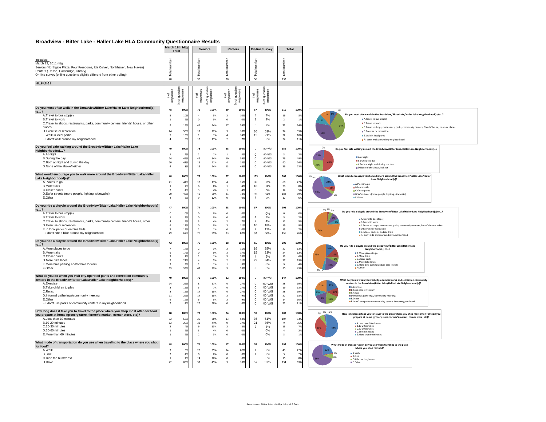### **Broadview - Bitter Lake - Haller Lake HLA Community Questionnaire Results**

|                                                                                                                                                                                                                                                                                                                                               | March 12th Mtg<br>Total                                                            |                                               | <b>Seniors</b>                                                                                     |                                              | <b>Renters</b>                                                                                                       |                                               |                                                                                                | <b>On-line Survey</b>                                                  |                                                                         | Total |                                                |                                                                                                                                                                                                                                                                                                                                                                              |
|-----------------------------------------------------------------------------------------------------------------------------------------------------------------------------------------------------------------------------------------------------------------------------------------------------------------------------------------------|------------------------------------------------------------------------------------|-----------------------------------------------|----------------------------------------------------------------------------------------------------|----------------------------------------------|----------------------------------------------------------------------------------------------------------------------|-----------------------------------------------|------------------------------------------------------------------------------------------------|------------------------------------------------------------------------|-------------------------------------------------------------------------|-------|------------------------------------------------|------------------------------------------------------------------------------------------------------------------------------------------------------------------------------------------------------------------------------------------------------------------------------------------------------------------------------------------------------------------------------|
| Includes:<br>March 12, 2011 mtg,<br>Seniors (Northgate Plaza, Four Freedoms, Ida Culver, Northhaven, New Haven)<br>Renters (Tressa, Cambridge, Library)<br>On-line survey (online questions slightly different from other polling)                                                                                                            | Total numbe<br>48                                                                  |                                               | Total numbe<br>98                                                                                  |                                              | Total number<br>30                                                                                                   |                                               | Total numbe<br>56                                                                              |                                                                        | Total number<br>232                                                     |       |                                                |                                                                                                                                                                                                                                                                                                                                                                              |
| <b>REPORT</b>                                                                                                                                                                                                                                                                                                                                 |                                                                                    |                                               |                                                                                                    |                                              |                                                                                                                      |                                               |                                                                                                |                                                                        |                                                                         |       |                                                |                                                                                                                                                                                                                                                                                                                                                                              |
|                                                                                                                                                                                                                                                                                                                                               | of question<br>responses<br># of<br>responses<br>×                                 |                                               | # of<br>responses<br>×.                                                                            | of questi<br>responses                       | # of<br>responses<br>×                                                                                               | of question<br>responses                      | # of<br>response                                                                               | of question<br>responses<br>వి                                         |                                                                         |       |                                                |                                                                                                                                                                                                                                                                                                                                                                              |
| Do you most often walk in the Broadview/Bitter Lake/Haller Lake Neighborhood(s)<br>to?                                                                                                                                                                                                                                                        | 48                                                                                 | 100%                                          | 76                                                                                                 | 100%                                         | 29                                                                                                                   | 100%                                          | 57                                                                                             | 100%                                                                   | 210                                                                     |       | 100%                                           | 1%                                                                                                                                                                                                                                                                                                                                                                           |
| A.Travel to bus stop(s)<br>B.Travel to work<br>C.Travel to shops, restaurants, parks, community centers, friends' house, or other<br>places<br>D.Exercise or recreation<br>E.Walk in local parks<br>F.I don't walk around my neighborhood                                                                                                     | $\overline{1}$<br>$\mathbf{q}$<br>24<br>$\overline{\phantom{a}}$<br>$\overline{4}$ | 10%<br>2%<br>19%<br>50%<br>10%<br>8%          | $\overline{4}$<br>$\Omega$<br>41<br>17<br>$\overline{1}$<br>13                                     | 5<br>0%<br>549<br>22%<br>1%<br>17%           | $\overline{\mathbf{3}}$<br>$\Omega$<br>$17\,$<br>$\overline{\mathbf{3}}$<br>$\overline{4}$<br>$\overline{2}$         | 10%<br>0%<br>59%<br>10%<br>14%<br>7%          | $\overline{A}$<br>$\mathbf{1}$<br>5<br>30<br>12<br>5                                           | 7%<br>2%<br>9%<br>53%<br>21%<br>9%                                     | $16\,$<br>$\overline{z}$<br>72<br>74<br>22<br>24                        |       | 89<br>1%<br>34%<br>35%<br>10%<br>11%           | Do you most often walk in the Broadview/Bitter Lake/Haller Lake Neighborhood(s) to?<br><b>III</b> A.Travel to bus stop(s)<br><b>R</b> Frayel to work<br>C.Travel to shops, restaurants, parks, community centers, friends' house, or other places<br><b>III</b> D.Exercise or recreation<br><b>E.Walk in local parks</b><br>F.I don't walk around my neighborhood            |
| Do you feel safe walking around the Broadview/Bitter Lake/Haller Lake<br>Neighborhood(s)?                                                                                                                                                                                                                                                     | 49                                                                                 | 100%                                          | 78                                                                                                 | 100%                                         | 28                                                                                                                   | 100%                                          | $\overline{0}$                                                                                 | #DIV/0                                                                 | 155                                                                     |       | 100%                                           | 2%<br>Do you feel safe walking around the Broadview/Bitter Lake/Haller Lake Neighborhood(s)?                                                                                                                                                                                                                                                                                 |
| A.At night<br>B.During the day<br>C.Both at night and during the day<br>D.None of the above/neither                                                                                                                                                                                                                                           | 24<br>20<br>$\overline{4}$                                                         | 29<br>49%<br>41%<br>8%                        | 42<br>$16\,$<br>19                                                                                 | $\mathbf{1}^{\prime}$<br>54%<br>219<br>24%   | $\mathbf{1}$<br>10<br>$\mathbf{A}$<br>13                                                                             | 4%<br>36%<br>14%<br>46%                       | $\Omega$<br>$\Omega$<br>$\mathbf 0$<br>$\overline{0}$                                          | #DIV/0<br>#DIV/0<br>#DIV/0<br>#DIV/0                                   | $\overline{\mathbf{3}}$<br>76<br>$40\,$<br>36                           |       | 29<br>49%<br>26%<br>23%                        | 33%<br>AAt night<br><b>B.During the day</b><br>C.Both at night and during the day<br><b>III</b> D.None of the above/neither                                                                                                                                                                                                                                                  |
| What would encourage you to walk more around the Broadview/Bitter Lake/Haller<br>Lake Neighborhood(s)?<br>A.Places to go<br><b>B.More trails</b><br>C.Closer parks<br>D.Safer streets (more people, lighting, sidewalks)<br>E.Other                                                                                                           | 48<br>21<br>$\overline{1}$<br>$\overline{z}$<br>20<br>$\mathbf{A}$                 | 100%<br>44%<br>2%<br>4%<br>42%<br>8%          | 77<br>13<br>6<br>$\mathbf{R}$<br>46<br>9                                                           | 100%<br>179<br>89<br>4%<br>60%<br>12%        | 27<br>$\overline{a}$<br>$\overline{1}$<br>$\overline{1}$<br>21<br>$\mathbf 0$                                        | 100%<br>15%<br>4%<br>4%<br>78%<br>0%          | 155<br>30<br>18<br>8<br>95<br>$\Delta$                                                         | 100%<br>19%<br>12%<br>5%<br>61%<br>3%                                  | 307<br>68<br>${\bf 26}$<br>14<br>182<br>$17\,$                          |       | 100%<br>22%<br>8%<br>5%<br>59%<br>6%           | What would encourage you to walk more around the Broadview/Bitter Lake/Haller<br>6%<br>Lake Neighborhood(s)?<br>A.Places to go<br><b>B.More trails</b><br>C.Closer parks<br><b>III</b> D.Safer streets (more people, lighting, sidewalks)<br><b>E</b> F Other                                                                                                                |
| Do you ride a bicycle around the Broadview/Bitter Lake/Haller Lake Neighborhood(s)<br>to?<br>A Travel to bus stop(s)<br>B.Travel to work<br>C.Travel to shops, restaurants, parks, community centers, friend's house, other<br>D.Exercise or recreation<br>E.In local parks or on bike trails<br>F.I don't ride a bike around my neighborhood | 47<br>$\Omega$<br>$\overline{1}$<br>$\mathbf{A}$<br>6<br>$\overline{7}$<br>29      | 100%<br>0%<br>2%<br>9%<br>13%<br>15%<br>62%   | 74<br>$\Omega$<br>$\overline{0}$<br>$\overline{\mathbf{3}}$<br>$\,$ 0 $\,$<br>$\overline{1}$<br>70 | 100%<br>0%<br>0%<br>4%<br>0%<br>1%<br>95%    | 28<br>$\Omega$<br>$\overline{0}$<br>$\overline{\phantom{a}}$<br>$\overline{\mathbf{3}}$<br>$\,$ 0<br>23              | 100%<br>0%<br>0%<br>7%<br>11%<br>0%<br>82%    | 57<br>$\overline{4}$<br>$\overline{2}$<br>10<br>$\overline{7}$<br>34                           | 100%<br>0%<br>7%<br>4%<br>18%<br>12%<br>60%                            | 206<br>$\Omega$<br>$\overline{\phantom{a}}$<br>11<br>19<br>15<br>156    |       | 100%<br>0%<br>2%<br>5%<br>9%<br>7%<br>76%      | 0% 3% 5%<br>Do you ride a bicycle around the Broadview/Bitter Lake/Haller Lake Neighborhood(s) to?<br>A Travel to bus stop(s)<br><b>B.</b> B. Travel to work<br>C.Travel to shoos, restaurants, parks, community centers, friend's house, other<br><b>III</b> D.Exercise or recreation<br>E.In local parks or on bike trails<br>F.I don't ride a bike around my neighborhood |
| Do you ride a bicycle around the Broadview/Bitter Lake/Haller Lake Neighborhood(s)<br>to?<br>A.More places to go<br><b>B.More trails</b><br>C.Closer parks<br>D.More bike lanes<br>E.More bike parking and/or bike lockers<br>F.Other                                                                                                         | 42<br>6<br>-3<br>$\overline{9}$<br>$\overline{2}$<br>15                            | 100%<br>17%<br>14%<br>7%<br>21%<br>5%<br>36%  | 75<br>$\overline{2}$<br>$\overline{0}$<br>$\overline{1}$<br>$\overline{4}$<br>$\overline{1}$<br>67 | 100%<br>39<br>0%<br>1%<br>5%<br>1%<br>89%    | 18<br>$\overline{2}$<br>$\overline{\mathbf{3}}$<br>5<br>$\overline{2}$<br>$\overline{1}$<br>$\overline{\phantom{a}}$ | 100%<br>11%<br>17%<br>28%<br>11%<br>6%<br>28% | 65<br>16<br>15<br>$\overline{4}$<br>22<br>$\overline{5}$<br>$\mathbf{3}$                       | 100%<br>25%<br>23%<br>6%<br>34%<br>8%<br>5%                            | 200<br>27<br>24<br>$13\,$<br>37<br>$\overline{9}$<br>90                 |       | 100%<br>13%<br>12%<br>6%<br>19%<br>4%<br>45%   | Do you ride a bicycle around the Broadview/Bitter Lake/Haller Lake<br>Neighborhood(s) to?<br>AMore places to go<br><b>B.More trails</b><br>C.Closer parks<br><b>D.</b> D. More bike lanes<br><b>E.</b> More bike parking and/or bike lockers<br><b>III</b> F Other                                                                                                           |
| What do you do when you visit city-operated parks and recreation community<br>centers in the Broadview/Bitter Lake/Haller Lake Neighborhood(s)?<br>A.Exercise<br>B. Take children to play<br>C.Relax<br>D.Informal gatherings/community meeting<br>E.Other<br>F.I don't use parks or community centers in my neighborhood                     | 49<br>14<br>8<br>$\mathbf{R}$<br>$11\,$<br>6<br>$\overline{z}$                     | 100%<br>29%<br>16%<br>16%<br>22%<br>12%<br>4% | 76<br>8<br>5<br>14<br>14<br>6<br>29                                                                | 100%<br>11%<br>79<br>18%<br>18%<br>8%<br>38% | 22<br>6<br>6<br>6<br>$\overline{2}$<br>$\overline{2}$<br>$\Omega$                                                    | 100%<br>27%<br>27%<br>27%<br>9%<br>9%<br>0%   | $\overline{0}$<br>$\Omega$<br>$\overline{0}$<br>$\Omega$<br>$\circ$<br>$\,0\,$<br>$\mathbf{0}$ | #DIV/0<br>#DIV/0!<br>#DIV/0<br>#DIV/0<br>#DIV/0!<br>#DIV/0!<br>#DIV/0! | 147<br>28<br>$19\,$<br>28<br>27<br>$14\,$<br>31                         |       | 100%<br>19%<br>13%<br>19%<br>18%<br>10%<br>21% | What do you do when you visit city-operated parks and recreation community<br>centers in the Broadview/Bitter Lake/Haller Lake Neighborhood(s)?<br>21%<br>A.Exercise<br><b>B.Take children to play</b><br>C.Relax<br><b>III</b> D.Informal gatherings/community meeting<br>E.Other<br>F.I don't use parks or community centers in my neighborhood                            |
| How long does it take you to travel to the place where you shop most often for food<br>you prepare at home (grocery store, farmer's market, corner store, etc)?<br>A.Less than 10 minutes<br>B.10-20 minutes<br>C.20-30 minutes<br>D.30-60 minutes<br>E.More than 60 minutes                                                                  | 48<br>32<br>$12$<br>$\overline{2}$<br>$\overline{1}$<br>$\overline{1}$             | 100%<br>67%<br>25%<br>4%<br>2%<br>2%          | 72<br>26<br>$32\,$<br>$\overline{9}$<br>$\overline{\mathbf{3}}$<br>$\overline{2}$                  | 100%<br>369<br>44%<br>13%<br>4%<br>39        | 24<br>13<br>-9<br>$\overline{2}$<br>$\,$ 0<br>$\overline{0}$                                                         | 100%<br>54%<br>37%<br>8%<br>0%<br>0%          | 59<br>36<br>21<br>$\overline{2}$                                                               | 100%<br>61%<br>36%<br>3%<br>0%<br>0%                                   | 203<br>107<br>$74\,$<br>$15\,$<br>$\sqrt{4}$<br>$\overline{\mathbf{3}}$ |       | 100%<br>53%<br>36%<br>7%<br>2%<br>1%           | $7\%$ 2% $-2\%$<br>How long does it take you to travel to the place where you shop most often for food you<br>prepare at home (grocery store, farmer's market, corner store, etc)?<br>ALess than 10 minutes<br>B.10-20 minutes<br>C.20-30 minutes<br>D 30-60 minutes<br><b>E.More</b> than 60 minutes                                                                        |
| What mode of transportation do you use when traveling to the place where you shop<br>for food?<br>A.Walk<br><b>B.Bike</b><br>C.Ride the bus/transit<br>D Drive                                                                                                                                                                                | 48<br>$\overline{2}$<br>$\overline{1}$<br>42                                       | 100%<br>6%<br>4%<br>2%<br>88%                 | 71<br>25<br>$\overline{0}$<br>$14\,$<br>32                                                         | 100%<br>359<br>0%<br>20%<br>45%              | 17<br>14<br>$\Omega$<br>$\overline{\mathbf{0}}$<br>$\overline{\mathbf{3}}$                                           | 100%<br>82%<br>0%<br>0%<br>18%                | 59<br>$\overline{1}$<br>57                                                                     | 100%<br>2%<br>2%<br>0%<br>97%                                          | 195<br>43<br>$\overline{\mathbf{3}}$<br>15<br>134                       |       | 100%<br>22%<br>2%<br>8%<br>69%                 | What mode of transportation do you use when traveling to the place<br>where you shop for food?<br><b>BA Walk</b><br><b>III B Bike</b><br>C.Ride the bus/transit<br><b>III</b> D.Drive                                                                                                                                                                                        |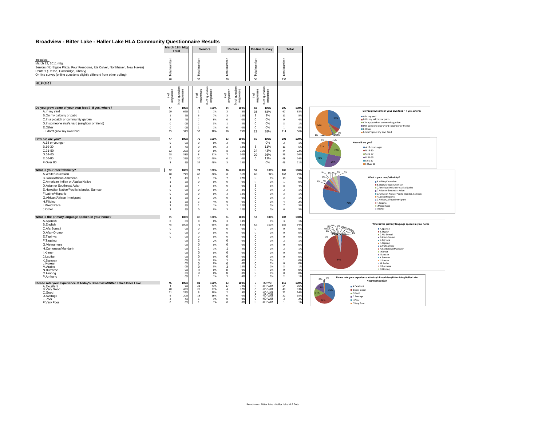### **Broadview - Bitter Lake - Haller Lake HLA Community Questionnaire Results**

|                                                                                                                                                                                                                                                                                                                                                                                                                                |                                                                                                                                                                                                       | March 12th Mtg<br><b>Total</b>                                                                                                            |                                                                                                                                                                                                                                                                    | <b>Seniors</b>                                                                                                                            |                                                                                                                                                                                                                                                                                      | <b>Renters</b>                                                                                                                            |                                                                                                                                                                                                                                         | <b>On-line Survey</b>                                                                                                                                         | Total                                                                                                                                                                                                                                                                                      |                                                                                                                                           |                                                                                                                                                                                                                                                                                                                                                                                                                                                                                                                   |
|--------------------------------------------------------------------------------------------------------------------------------------------------------------------------------------------------------------------------------------------------------------------------------------------------------------------------------------------------------------------------------------------------------------------------------|-------------------------------------------------------------------------------------------------------------------------------------------------------------------------------------------------------|-------------------------------------------------------------------------------------------------------------------------------------------|--------------------------------------------------------------------------------------------------------------------------------------------------------------------------------------------------------------------------------------------------------------------|-------------------------------------------------------------------------------------------------------------------------------------------|--------------------------------------------------------------------------------------------------------------------------------------------------------------------------------------------------------------------------------------------------------------------------------------|-------------------------------------------------------------------------------------------------------------------------------------------|-----------------------------------------------------------------------------------------------------------------------------------------------------------------------------------------------------------------------------------------|---------------------------------------------------------------------------------------------------------------------------------------------------------------|--------------------------------------------------------------------------------------------------------------------------------------------------------------------------------------------------------------------------------------------------------------------------------------------|-------------------------------------------------------------------------------------------------------------------------------------------|-------------------------------------------------------------------------------------------------------------------------------------------------------------------------------------------------------------------------------------------------------------------------------------------------------------------------------------------------------------------------------------------------------------------------------------------------------------------------------------------------------------------|
| Includes:<br>March 12, 2011 mtg.<br>Seniors (Northgate Plaza, Four Freedoms, Ida Culver, Northhaven, New Haven)<br>Renters (Tressa, Cambridge, Library)<br>On-line survey (online questions slightly different from other polling)                                                                                                                                                                                             | Total number<br>48                                                                                                                                                                                    |                                                                                                                                           | Total number<br>98                                                                                                                                                                                                                                                 |                                                                                                                                           | Total number<br>30                                                                                                                                                                                                                                                                   |                                                                                                                                           | Total number<br>56                                                                                                                                                                                                                      |                                                                                                                                                               | Total number<br>232                                                                                                                                                                                                                                                                        |                                                                                                                                           |                                                                                                                                                                                                                                                                                                                                                                                                                                                                                                                   |
| <b>REPORT</b>                                                                                                                                                                                                                                                                                                                                                                                                                  |                                                                                                                                                                                                       |                                                                                                                                           |                                                                                                                                                                                                                                                                    |                                                                                                                                           |                                                                                                                                                                                                                                                                                      |                                                                                                                                           |                                                                                                                                                                                                                                         |                                                                                                                                                               |                                                                                                                                                                                                                                                                                            |                                                                                                                                           |                                                                                                                                                                                                                                                                                                                                                                                                                                                                                                                   |
| Do you grow some of your own food? If yes, where?<br>A.In my yard<br>B.On my balcony or patio<br>C.In a p-patch or community garden<br>D.In someone else's yard (neighbor or friend)<br>E.Other<br>F.I don't grow my own food                                                                                                                                                                                                  | # of<br>responses<br>47<br>29<br>$\overline{1}$<br>$\overline{2}$<br>$\overline{\mathbf{0}}$<br>$\overline{\mathbf{0}}$<br>15                                                                         | of question<br>responses<br>×<br>100%<br>62%<br>2%<br>4%<br>0%<br>0%<br>32%                                                               | # of<br>responses<br>74<br>$\,$ 1<br>$\overline{\phantom{a}}$<br>$\overline{7}$<br>$\overline{2}$<br>$\overline{1}$<br>58                                                                                                                                          | 6 of question<br>responses<br>×<br>100%<br>1%<br>7%<br>9%<br>3%<br>1%<br>78%                                                              | # of<br>response<br>24<br>$\overline{2}$<br>$\overline{\mathbf{3}}$<br>$\mathbf 0$<br>$\,$ 1 $\,$<br>$\mathbf 0$<br>18                                                                                                                                                               | of question<br>responses<br>$\approx$<br>100%<br>8%<br>12%<br>0%<br>4%<br>0%<br>75%                                                       | # of<br>responses<br>60<br>35<br>$\overline{2}$<br>0<br>$^{\circ}$<br>0<br>23                                                                                                                                                           | of question<br>responses<br>వి<br>100%<br>58%<br>3%<br>0%<br>0%<br>0%<br>38%                                                                                  | 205<br>67<br>$11\,$<br>$\overline{9}$<br>$\overline{\mathbf{3}}$<br>$\mathbf{1}$<br>114                                                                                                                                                                                                    | 100%<br>33%<br>5%<br>4%<br>1%<br>0%<br>56%                                                                                                | Do you grow some of your own food? If yes, where?<br>A.In my yard<br><b>B.On my balcony or patio</b><br>C.In a p-patch or community garden<br>56%<br><b>III</b> D.In someone else's yard (neighbor or friend)<br><b>E.Other</b><br>F.I don't grow my own food<br>1944%<br>1%                                                                                                                                                                                                                                      |
| How old are you?<br>A.18 or younger<br>B.19-30<br>$C.31 - 50$<br>D.51-65<br>E.66-80<br>F.Over 80                                                                                                                                                                                                                                                                                                                               | 47<br>$\overline{0}$<br>$\overline{2}$<br>12<br>18<br>$12\,$<br>$\overline{\mathbf{3}}$                                                                                                               | 100%<br>0%<br>4%<br>26%<br>38%<br>26%<br>6%                                                                                               | 75<br>$\Omega$<br>$\overline{0}$<br>$\mathbf 0$<br>$\mathbf{R}$<br>30<br>37                                                                                                                                                                                        | 100%<br>0%<br>0%<br>0%<br>11%<br>40%<br>49%                                                                                               | 23<br>$\overline{2}$<br>$\overline{\mathbf{3}}$<br>8<br>$\overline{7}$<br>$\circ$<br>$\overline{\mathbf{3}}$                                                                                                                                                                         | 100%<br>9%<br>13%<br>35%<br>30%<br>0%<br>13%                                                                                              | 56<br>6<br>24<br>20<br>6                                                                                                                                                                                                                | 100%<br>0%<br>11%<br>43%<br>36%<br>11%<br>0%                                                                                                                  | 201<br>$\overline{2}$<br>$11\,$<br>44<br>53<br>48<br>43                                                                                                                                                                                                                                    | 100%<br>1%<br>5%<br>22%<br>26%<br>24%<br>21%                                                                                              | 1%<br>.6%<br>How old are you?<br>21%<br>A.18 or younger<br>22%<br><b>B.19-30</b><br>C.31-50<br><b>III</b> D.51-65<br>24%<br><b>■E.66-80</b><br>F.Over 80                                                                                                                                                                                                                                                                                                                                                          |
| What is your race/ethnicity?<br>A.White/Caucasian<br><b>B.Black/African American</b><br>C.American Indian or Alaska Native<br>D.Asian or Southeast Asian<br>E.Hawaiian Native/Pacific Islander, Samoan<br>F.Latino/Hispanic<br>G.African/African Immigrant<br>H.Filipino<br><b>I.Mixed Race</b><br>J.Other                                                                                                                     | 52<br>40<br>$\overline{2}$<br>$\overline{1}$<br>$\overline{1}$<br>$\overline{0}$<br>$\overline{\mathbf{0}}$<br>$\overline{1}$<br>$\overline{1}$<br>$\overline{\mathbf{3}}$<br>$\overline{\mathbf{3}}$ | 100%<br>77%<br>4%<br>2%<br>2%<br>0%<br>0%<br>2%<br>2%<br>6%<br>6%                                                                         | 77<br>66<br>$\overline{1}$<br>$\mathbf 0$<br>$\mathbf{A}$<br>$\Omega$<br>$\mathbf 0$<br>$\overline{2}$<br>$\overline{\mathbf{3}}$<br>$\overline{1}$<br>$\Omega$                                                                                                    | 100%<br>86%<br>1%<br>0%<br>5%<br>0%<br>0%<br>3%<br>4%<br>1%<br>0%                                                                         | 26<br>8<br>$\overline{7}$<br>$\mathbf 0$<br>$\mathbf 0$<br>$\overline{2}$<br>$\overline{\mathbf{3}}$<br>$\circ$<br>$\circ$<br>$\overline{\mathbf{3}}$<br>$\overline{\mathbf{3}}$                                                                                                     | 100%<br>31%<br>27%<br>0%<br>0%<br>8%<br>12%<br>0%<br>0%<br>12%<br>12%                                                                     | 51<br>48<br>$\mathsf 0$<br>$^{\circ}$<br>3<br>$\Omega$<br>0<br>$\Omega$<br>$\Omega$<br>$^{\circ}$<br>$\Omega$                                                                                                                           | 100%<br>94%<br>0%<br>0%<br>6%<br>0%<br>0%<br>0%<br>0%<br>0%<br>0%                                                                                             | 206<br>162<br>10<br>$\mathbf{1}$<br>8<br>$\overline{2}$<br>$\overline{\mathbf{3}}$<br>$\overline{\mathbf{3}}$<br>$\overline{a}$<br>$\overline{7}$<br>6                                                                                                                                     | 100%<br>79%<br>5%<br>0%<br>4%<br>1%<br>1%<br>1%<br>2%<br>3%<br>3%                                                                         | 1% 2% 3% 3%<br>$1\%$<br>1%<br>What is your race/ethnicity?<br>A.White/Caucasian<br><b>B.Black/African American</b><br><b>E</b> C.American Indian or Alaska Native<br><b>III</b> D.Asian or Southeast Asian<br>E.Hawaiian Native/Pacific Islander, Samoan<br>F.Latino/Hispanic<br>G.African/African Immigrant<br><b>H.Filipino</b><br>I Mixed Race<br><b>III J.Other</b>                                                                                                                                           |
| What is the primary language spoken in your home?<br>A.Spanish<br><b>B.English</b><br>C.Afa-Somali<br>D.Afan-Oromo<br>E.Tigrinya<br>F.Tagalog<br>G.Vietnamese<br>H.Cantonese/Mandarin<br>I.Khmer<br>J.Laotian<br>K.Samoan<br>L.Korean<br>M.Arabic<br>N.Burmese<br>O.Hmong<br>P.Amharic<br>Please rate your experience at today's Broadview/Bitter Lake/Haller Lake<br>A.Excellent<br><b>B.Verv Good</b><br>C.Good<br>D.Average | 45<br>$\overline{0}$<br>45<br>$\overline{0}$<br>$\overline{\mathbf{0}}$<br>$\overline{0}$<br>46<br>$\overline{a}$<br>20<br>11<br>-9                                                                   | 100%<br>0%<br>100%<br>0%<br>0%<br>0%<br>0%<br>0%<br>0%<br>0%<br>0%<br>0%<br>0%<br>0%<br>0%<br>0%<br>0%<br>100%<br>9%<br>43%<br>24%<br>20% | 80<br>$\mathbf 0$<br>76<br>$\overline{0}$<br>$\mathbf 0$<br>$\overline{0}$<br>$\overline{2}$<br>$\mathbf 0$<br>$\overline{1}$<br>$\circ$<br>$\Omega$<br>$\Omega$<br>$\mathbf{0}$<br>$\Omega$<br>$\circ$<br>$\Omega$<br>$\overline{1}$<br>81<br>33<br>25<br>8<br>13 | 100%<br>0%<br>95%<br>0%<br>0%<br>0%<br>2%<br>0%<br>1%<br>0%<br>0%<br>0%<br>0%<br>0%<br>0%<br>0%<br>1%<br>100%<br>41%<br>31%<br>10%<br>16% | 24<br>$\overline{\mathbf{3}}$<br>15<br>$\circ$<br>$\circ$<br>$\mathbf 0$<br>$\mathbf 0$<br>$\mathbf 0$<br>$\overline{1}$<br>0<br>$\mathsf 0$<br>-1<br>$^{\circ}$<br>3<br>$\mathbf 0$<br>$\mathbf 0$<br>$\overline{1}$<br>23<br>17<br>$\overline{a}$<br>$\overline{2}$<br>$\mathbf 0$ | 100%<br>13%<br>62%<br>0%<br>0%<br>0%<br>0%<br>0%<br>4%<br>0%<br>0%<br>4%<br>0%<br>13%<br>0%<br>0%<br>4%<br>100%<br>74%<br>17%<br>9%<br>0% | 53<br>53<br>$\mathbf{0}$<br>0<br>$\mathsf 0$<br>$\Omega$<br>$\Omega$<br>$\Omega$<br>0<br>$\Omega$<br>$\Omega$<br>$\Omega$<br>$\Omega$<br>$\Omega$<br>$\Omega$<br>$\Omega$<br>$\Omega$<br>$^{\circ}$<br>$\Omega$<br>$\Omega$<br>$\Omega$ | 100%<br>0%<br>100%<br>0%<br>0%<br>0%<br>0%<br>0%<br>0%<br>0%<br>0%<br>0%<br>0%<br>0%<br>0%<br>0%<br>0%<br>#DIV/0!<br>#DIV/0!<br>#DIV/0!<br>#DIV/0!<br>#DIV/0! | 202<br>$\overline{\mathbf{3}}$<br>189<br>$\mathbf 0$<br>$\circ$<br>$\Omega$<br>$\overline{2}$<br>$\circ$<br>$\overline{2}$<br>$\circ$<br>$\Omega$<br>$\overline{1}$<br>$\circ$<br>$\overline{\mathbf{3}}$<br>$\,0\,$<br>$\circ$<br>$\overline{\phantom{0}}$<br>150<br>54<br>49<br>21<br>22 | 100%<br>1%<br>94%<br>0%<br>0%<br>0%<br>1%<br>0%<br>1%<br>0%<br>0%<br>0%<br>0%<br>1%<br>0%<br>0%<br>1%<br>100%<br>36%<br>33%<br>14%<br>15% | What is the primary language spoken in your home<br>A.Spanish<br><b>B.English</b><br>C.Afa-Somal<br><b>D.Afan-Oromo</b><br>E.Tigrinya<br>F.Tagalog<br>G.Vietnamese<br><b>BH Cantonese/Mandarin</b><br>III.Khmer<br><b>III</b> J. Laotian<br>K.Samoan<br>94%<br><b>LI</b> Korean<br>M.Arabic<br>N.Burmese<br>O.Hmong<br>Please rate your experience at today's Broadview/Bitter Lake/Haller Lake<br>$-1%$<br>2%.<br>Neighborhood(s)?<br>A.Excellent<br><b>B.Very Good</b><br>14%<br>C.Good<br><b>III</b> D.Average |
| E.Poor<br>F.Verv Poor                                                                                                                                                                                                                                                                                                                                                                                                          | $\overline{z}$<br>$\overline{0}$                                                                                                                                                                      | 4%<br>0%                                                                                                                                  | $\overline{1}$<br>$\mathbf{1}$                                                                                                                                                                                                                                     | 1%<br>1%                                                                                                                                  | $\circ$<br>$\mathbf 0$                                                                                                                                                                                                                                                               | 0%<br>0%                                                                                                                                  | $\Omega$<br>$\Omega$                                                                                                                                                                                                                    | #DIV/0!<br>#DIV/0!                                                                                                                                            | $\overline{\mathbf{3}}$<br>$\mathbf{1}$                                                                                                                                                                                                                                                    | 2%<br>1%                                                                                                                                  | <b>III</b> F. Poor<br><b>F</b> Very Poor                                                                                                                                                                                                                                                                                                                                                                                                                                                                          |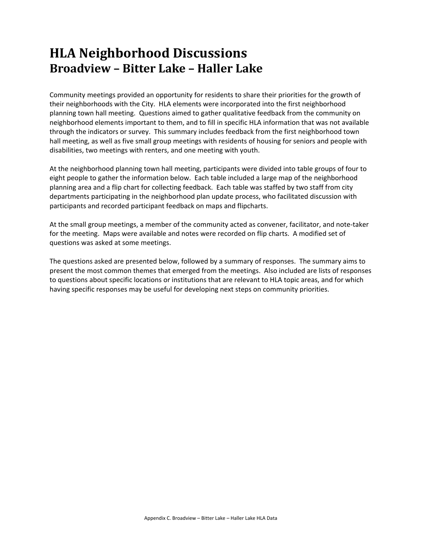## **HLA Neighborhood Discussions Broadview – Bitter Lake – Haller Lake**

Community meetings provided an opportunity for residents to share their priorities for the growth of their neighborhoods with the City. HLA elements were incorporated into the first neighborhood planning town hall meeting. Questions aimed to gather qualitative feedback from the community on neighborhood elements important to them, and to fill in specific HLA information that was not available through the indicators or survey. This summary includes feedback from the first neighborhood town hall meeting, as well as five small group meetings with residents of housing for seniors and people with disabilities, two meetings with renters, and one meeting with youth.

At the neighborhood planning town hall meeting, participants were divided into table groups of four to eight people to gather the information below. Each table included a large map of the neighborhood planning area and a flip chart for collecting feedback. Each table was staffed by two staff from city departments participating in the neighborhood plan update process, who facilitated discussion with participants and recorded participant feedback on maps and flipcharts.

At the small group meetings, a member of the community acted as convener, facilitator, and note‐taker for the meeting. Maps were available and notes were recorded on flip charts. A modified set of questions was asked at some meetings.

The questions asked are presented below, followed by a summary of responses. The summary aims to present the most common themes that emerged from the meetings. Also included are lists of responses to questions about specific locations or institutions that are relevant to HLA topic areas, and for which having specific responses may be useful for developing next steps on community priorities.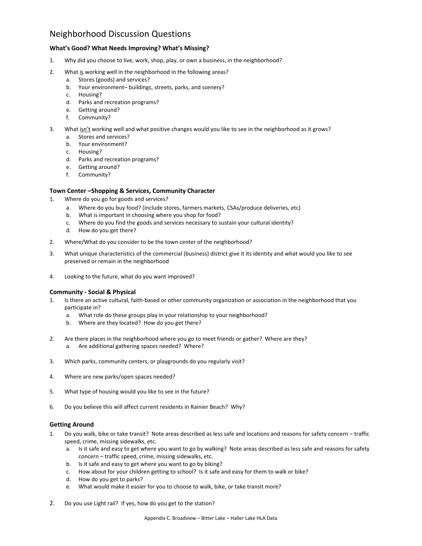## Neighborhood Discussion Questions

## **What's Good? What Needs Improving? What's Missing?**

- 1. Why did you choose to live, work, shop, play, or own a business, in the neighborhood?
- 2. What is working well in the neighborhood in the following areas?
	- a. Stores (goods) and services?
	- b. Your environment– buildings, streets, parks, and scenery?
	- c. Housing?
	- d. Parks and recreation programs?
	- e. Getting around?
	- f. Community?
- 3. What isn't working well and what positive changes would you like to see in the neighborhood as it grows?
	- a. Stores and services?
	- b. Your environment?
	- c. Housing?
	- d. Parks and recreation programs?
	- e. Getting around?
	- f. Community?

## **Town Center –Shopping & Services, Community Character**

- 1. Where do you go for goods and services?
	- a. Where do you buy food? (include stores, farmers markets, CSAs/produce deliveries, etc)
	- b. What is important in choosing where you shop for food?
	- c. Where do you find the goods and services necessary to sustain your cultural identity?
	- d. How do you get there?
- 2. Where/What do you consider to be the town center of the neighborhood?
- 3. What unique characteristics of the commercial (business) district give it its identity and what would you like to see preserved or remain in the neighborhood
- 4. Looking to the future, what do you want improved?

## **Community ‐ Social & Physical**

- Is there an active cultural, faith-based or other community organization or association in the neighborhood that you participate in?
	- a. What role do these groups play in your relationship to your neighborhood?
	- b. Where are they located? How do you get there?
- 2. Are there places in the neighborhood where you go to meet friends or gather? Where are they? a. Are additional gathering spaces needed? Where?
- 3. Which parks, community centers, or playgrounds do you regularly visit?
- 4. Where are new parks/open spaces needed?
- 5. What type of housing would you like to see in the future?
- 6. Do you believe this will affect current residents in Rainier Beach? Why?

## **Getting Around**

- 1. Do you walk, bike or take transit? Note areas described as less safe and locations and reasons for safety concern traffic speed, crime, missing sidewalks, etc.
	- a. Is it safe and easy to get where you want to go by walking? Note areas described as less safe and reasons for safety concern – traffic speed, crime, missing sidewalks, etc.
	- b. Is it safe and easy to get where you want to go by biking?
	- c. How about for your children getting to school? Is it safe and easy for them to walk or bike?
	- d. How do you get to parks?
	- e. What would make it easier for you to choose to walk, bike, or take transit more?
- 2. Do you use Light rail? If yes, how do you get to the station?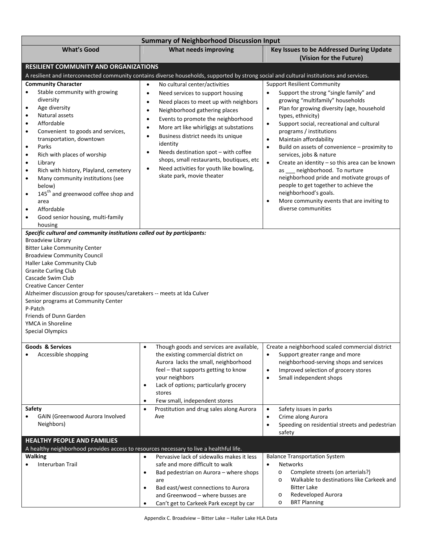| <b>Summary of Neighborhood Discussion Input</b>                                                                                                                                                                                                                                                                                                                                                                                                                                                                                                                                                                           |                                                                                                                                                                                                                                                                                                                                                                                                                                                                                                                                    |                                                                                                                                                                                                                                                                                                                                                                                                                                                                                                                                                                                                                                                                                                            |  |  |  |  |  |  |  |  |
|---------------------------------------------------------------------------------------------------------------------------------------------------------------------------------------------------------------------------------------------------------------------------------------------------------------------------------------------------------------------------------------------------------------------------------------------------------------------------------------------------------------------------------------------------------------------------------------------------------------------------|------------------------------------------------------------------------------------------------------------------------------------------------------------------------------------------------------------------------------------------------------------------------------------------------------------------------------------------------------------------------------------------------------------------------------------------------------------------------------------------------------------------------------------|------------------------------------------------------------------------------------------------------------------------------------------------------------------------------------------------------------------------------------------------------------------------------------------------------------------------------------------------------------------------------------------------------------------------------------------------------------------------------------------------------------------------------------------------------------------------------------------------------------------------------------------------------------------------------------------------------------|--|--|--|--|--|--|--|--|
| <b>What's Good</b>                                                                                                                                                                                                                                                                                                                                                                                                                                                                                                                                                                                                        | <b>What needs improving</b>                                                                                                                                                                                                                                                                                                                                                                                                                                                                                                        | Key Issues to be Addressed During Update<br>(Vision for the Future)                                                                                                                                                                                                                                                                                                                                                                                                                                                                                                                                                                                                                                        |  |  |  |  |  |  |  |  |
| <b>RESILIENT COMMUNITY AND ORGANIZATIONS</b>                                                                                                                                                                                                                                                                                                                                                                                                                                                                                                                                                                              |                                                                                                                                                                                                                                                                                                                                                                                                                                                                                                                                    |                                                                                                                                                                                                                                                                                                                                                                                                                                                                                                                                                                                                                                                                                                            |  |  |  |  |  |  |  |  |
|                                                                                                                                                                                                                                                                                                                                                                                                                                                                                                                                                                                                                           | A resilient and interconnected community contains diverse households, supported by strong social and cultural institutions and services.                                                                                                                                                                                                                                                                                                                                                                                           |                                                                                                                                                                                                                                                                                                                                                                                                                                                                                                                                                                                                                                                                                                            |  |  |  |  |  |  |  |  |
| <b>Community Character</b><br>Stable community with growing<br>$\bullet$<br>diversity<br>Age diversity<br>$\bullet$<br>Natural assets<br>$\bullet$<br>Affordable<br>$\bullet$<br>Convenient to goods and services,<br>$\bullet$<br>transportation, downtown<br>Parks<br>$\bullet$<br>Rich with places of worship<br>$\bullet$<br>Library<br>$\bullet$<br>Rich with history, Playland, cemetery<br>$\bullet$<br>Many community institutions (see<br>$\bullet$<br>below)<br>145 <sup>th</sup> and greenwood coffee shop and<br>area<br>Affordable<br>$\bullet$<br>Good senior housing, multi-family<br>$\bullet$<br>housing | No cultural center/activities<br>$\bullet$<br>Need services to support housing<br>$\bullet$<br>Need places to meet up with neighbors<br>$\bullet$<br>Neighborhood gathering places<br>$\bullet$<br>Events to promote the neighborhood<br>$\bullet$<br>More art like whirligigs at substations<br>٠<br>Business district needs its unique<br>$\bullet$<br>identity<br>Needs destination spot - with coffee<br>٠<br>shops, small restaurants, boutiques, etc<br>Need activities for youth like bowling,<br>skate park, movie theater | <b>Support Resilient Community</b><br>Support the strong "single family" and<br>growing "multifamily" households<br>Plan for growing diversity (age, household<br>$\bullet$<br>types, ethnicity)<br>Support social, recreational and cultural<br>$\bullet$<br>programs / institutions<br>Maintain affordability<br>$\bullet$<br>Build on assets of convenience - proximity to<br>$\bullet$<br>services, jobs & nature<br>$\bullet$<br>Create an identity - so this area can be known<br>as __ neighborhood. To nurture<br>neighborhood pride and motivate groups of<br>people to get together to achieve the<br>neighborhood's goals.<br>More community events that are inviting to<br>diverse communities |  |  |  |  |  |  |  |  |
| Specific cultural and community institutions called out by participants:<br><b>Broadview Library</b><br><b>Bitter Lake Community Center</b><br><b>Broadview Community Council</b><br>Haller Lake Community Club<br><b>Granite Curling Club</b><br>Cascade Swim Club<br><b>Creative Cancer Center</b><br>Alzheimer discussion group for spouses/caretakers -- meets at Ida Culver<br>Senior programs at Community Center<br>P-Patch<br>Friends of Dunn Garden<br>YMCA in Shoreline<br><b>Special Olympics</b>                                                                                                              |                                                                                                                                                                                                                                                                                                                                                                                                                                                                                                                                    |                                                                                                                                                                                                                                                                                                                                                                                                                                                                                                                                                                                                                                                                                                            |  |  |  |  |  |  |  |  |
| <b>Goods &amp; Services</b><br>Accessible shopping                                                                                                                                                                                                                                                                                                                                                                                                                                                                                                                                                                        | Though goods and services are available,<br>$\bullet$<br>the existing commercial district on<br>Aurora lacks the small, neighborhood<br>feel - that supports getting to know<br>your neighbors<br>Lack of options; particularly grocery<br>$\bullet$<br>stores<br>Few small, independent stores<br>$\bullet$                                                                                                                                                                                                                       | Create a neighborhood scaled commercial district<br>Support greater range and more<br>neighborhood-serving shops and services<br>Improved selection of grocery stores<br>$\bullet$<br>Small independent shops<br>$\bullet$                                                                                                                                                                                                                                                                                                                                                                                                                                                                                 |  |  |  |  |  |  |  |  |
| Safety<br>GAIN (Greenwood Aurora Involved<br>Neighbors)                                                                                                                                                                                                                                                                                                                                                                                                                                                                                                                                                                   | Prostitution and drug sales along Aurora<br>$\bullet$<br>Ave                                                                                                                                                                                                                                                                                                                                                                                                                                                                       | Safety issues in parks<br>$\bullet$<br>Crime along Aurora<br>$\bullet$<br>Speeding on residential streets and pedestrian<br>$\bullet$<br>safety                                                                                                                                                                                                                                                                                                                                                                                                                                                                                                                                                            |  |  |  |  |  |  |  |  |
| <b>HEALTHY PEOPLE AND FAMILIES</b>                                                                                                                                                                                                                                                                                                                                                                                                                                                                                                                                                                                        |                                                                                                                                                                                                                                                                                                                                                                                                                                                                                                                                    |                                                                                                                                                                                                                                                                                                                                                                                                                                                                                                                                                                                                                                                                                                            |  |  |  |  |  |  |  |  |
| A healthy neighborhood provides access to resources necessary to live a healthful life.<br><b>Walking</b><br>Interurban Trail                                                                                                                                                                                                                                                                                                                                                                                                                                                                                             | Pervasive lack of sidewalks makes it less<br>$\bullet$<br>safe and more difficult to walk<br>Bad pedestrian on Aurora - where shops<br>$\bullet$<br>are<br>Bad east/west connections to Aurora<br>$\bullet$<br>and Greenwood - where busses are                                                                                                                                                                                                                                                                                    | <b>Balance Transportation System</b><br>Networks<br>$\bullet$<br>Complete streets (on arterials?)<br>$\circ$<br>Walkable to destinations like Carkeek and<br>$\circ$<br><b>Bitter Lake</b><br>Redeveloped Aurora<br>$\circ$                                                                                                                                                                                                                                                                                                                                                                                                                                                                                |  |  |  |  |  |  |  |  |
|                                                                                                                                                                                                                                                                                                                                                                                                                                                                                                                                                                                                                           | Can't get to Carkeek Park except by car<br>$\bullet$                                                                                                                                                                                                                                                                                                                                                                                                                                                                               | <b>BRT Planning</b><br>O                                                                                                                                                                                                                                                                                                                                                                                                                                                                                                                                                                                                                                                                                   |  |  |  |  |  |  |  |  |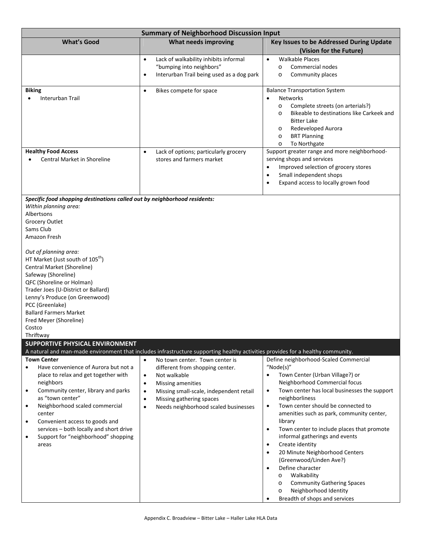| <b>Summary of Neighborhood Discussion Input</b>                                                                                                                                                                                                                                                                                                                                                                                                                                                          |                                                                                                                                                                                                                                                                                                     |                                                                                                                                                                                                                                                                                                                                                                                                                                                                                                                                                                                                                                                                                                         |  |  |  |  |  |  |  |  |
|----------------------------------------------------------------------------------------------------------------------------------------------------------------------------------------------------------------------------------------------------------------------------------------------------------------------------------------------------------------------------------------------------------------------------------------------------------------------------------------------------------|-----------------------------------------------------------------------------------------------------------------------------------------------------------------------------------------------------------------------------------------------------------------------------------------------------|---------------------------------------------------------------------------------------------------------------------------------------------------------------------------------------------------------------------------------------------------------------------------------------------------------------------------------------------------------------------------------------------------------------------------------------------------------------------------------------------------------------------------------------------------------------------------------------------------------------------------------------------------------------------------------------------------------|--|--|--|--|--|--|--|--|
| <b>What's Good</b>                                                                                                                                                                                                                                                                                                                                                                                                                                                                                       | <b>What needs improving</b>                                                                                                                                                                                                                                                                         | Key Issues to be Addressed During Update<br>(Vision for the Future)                                                                                                                                                                                                                                                                                                                                                                                                                                                                                                                                                                                                                                     |  |  |  |  |  |  |  |  |
|                                                                                                                                                                                                                                                                                                                                                                                                                                                                                                          | Lack of walkability inhibits informal<br>$\bullet$<br>"bumping into neighbors"<br>Interurban Trail being used as a dog park<br>$\bullet$                                                                                                                                                            | <b>Walkable Places</b><br>$\bullet$<br>Commercial nodes<br>$\circ$<br>Community places<br>$\circ$                                                                                                                                                                                                                                                                                                                                                                                                                                                                                                                                                                                                       |  |  |  |  |  |  |  |  |
| <b>Biking</b><br>Interurban Trail                                                                                                                                                                                                                                                                                                                                                                                                                                                                        | Bikes compete for space<br>$\bullet$                                                                                                                                                                                                                                                                | <b>Balance Transportation System</b><br><b>Networks</b><br>Complete streets (on arterials?)<br>$\circ$<br>Bikeable to destinations like Carkeek and<br>$\circ$<br><b>Bitter Lake</b><br>Redeveloped Aurora<br>$\circ$<br><b>BRT Planning</b><br>$\circ$<br>To Northgate<br>$\circ$                                                                                                                                                                                                                                                                                                                                                                                                                      |  |  |  |  |  |  |  |  |
| <b>Healthy Food Access</b><br><b>Central Market in Shoreline</b>                                                                                                                                                                                                                                                                                                                                                                                                                                         | Lack of options; particularly grocery<br>$\bullet$<br>stores and farmers market                                                                                                                                                                                                                     | Support greater range and more neighborhood-<br>serving shops and services<br>Improved selection of grocery stores<br>$\bullet$<br>Small independent shops<br>$\bullet$<br>Expand access to locally grown food<br>$\bullet$                                                                                                                                                                                                                                                                                                                                                                                                                                                                             |  |  |  |  |  |  |  |  |
| Specific food shopping destinations called out by neighborhood residents:<br>Within planning area:<br>Albertsons<br>Grocery Outlet<br>Sams Club<br>Amazon Fresh<br>Out of planning area:<br>HT Market (Just south of 105 <sup>th</sup> )<br>Central Market (Shoreline)<br>Safeway (Shoreline)<br>QFC (Shoreline or Holman)<br>Trader Joes (U-District or Ballard)<br>Lenny's Produce (on Greenwood)<br>PCC (Greenlake)<br><b>Ballard Farmers Market</b><br>Fred Meyer (Shoreline)<br>Costco<br>Thriftwav |                                                                                                                                                                                                                                                                                                     |                                                                                                                                                                                                                                                                                                                                                                                                                                                                                                                                                                                                                                                                                                         |  |  |  |  |  |  |  |  |
| SUPPORTIVE PHYSICAL ENVIRONMENT                                                                                                                                                                                                                                                                                                                                                                                                                                                                          | A natural and man-made environment that includes infrastructure supporting healthy activities provides for a healthy community.                                                                                                                                                                     |                                                                                                                                                                                                                                                                                                                                                                                                                                                                                                                                                                                                                                                                                                         |  |  |  |  |  |  |  |  |
| <b>Town Center</b><br>Have convenience of Aurora but not a<br>$\bullet$<br>place to relax and get together with<br>neighbors<br>Community center, library and parks<br>٠<br>as "town center"<br>Neighborhood scaled commercial<br>٠<br>center<br>Convenient access to goods and<br>٠<br>services - both locally and short drive<br>Support for "neighborhood" shopping<br>٠<br>areas                                                                                                                     | No town center. Town center is<br>$\bullet$<br>different from shopping center.<br>Not walkable<br>$\bullet$<br>Missing amenities<br>$\bullet$<br>Missing small-scale, independent retail<br>$\bullet$<br>Missing gathering spaces<br>$\bullet$<br>Needs neighborhood scaled businesses<br>$\bullet$ | Define neighborhood-Scaled Commercial<br>"Node(s)"<br>Town Center (Urban Village?) or<br>Neighborhood Commercial focus<br>Town center has local businesses the support<br>$\bullet$<br>neighborliness<br>Town center should be connected to<br>$\bullet$<br>amenities such as park, community center,<br>library<br>Town center to include places that promote<br>$\bullet$<br>informal gatherings and events<br>Create identity<br>$\bullet$<br>20 Minute Neighborhood Centers<br>$\bullet$<br>(Greenwood/Linden Ave?)<br>Define character<br>$\bullet$<br>Walkability<br>$\circ$<br><b>Community Gathering Spaces</b><br>$\circ$<br>Neighborhood Identity<br>$\circ$<br>Breadth of shops and services |  |  |  |  |  |  |  |  |